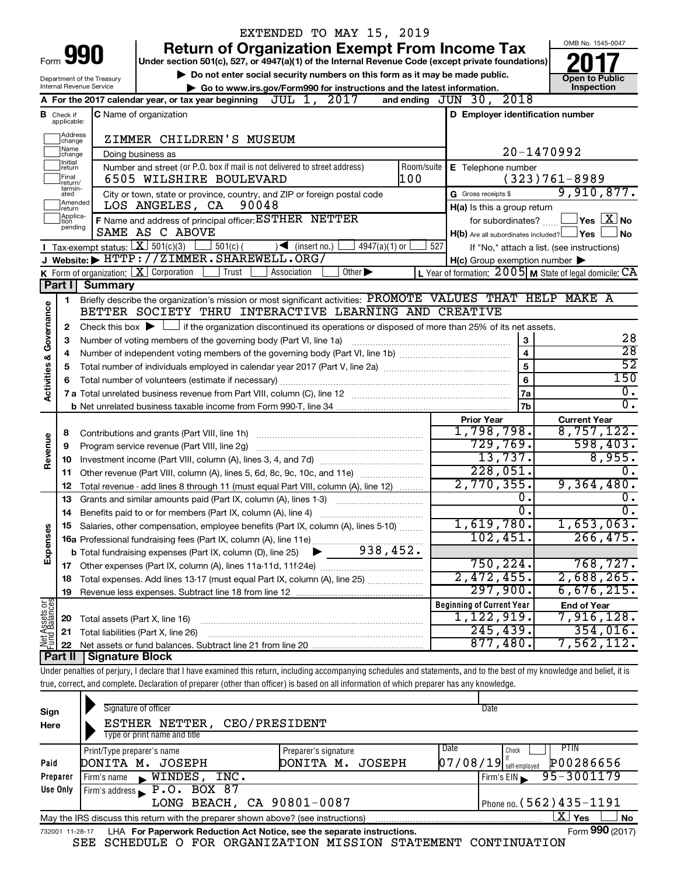|                                    |                               |                                                        | EXTENDED TO MAY 15, 2019                                                                                                                                                   |                                                         |                                                           |
|------------------------------------|-------------------------------|--------------------------------------------------------|----------------------------------------------------------------------------------------------------------------------------------------------------------------------------|---------------------------------------------------------|-----------------------------------------------------------|
|                                    |                               | 990                                                    | <b>Return of Organization Exempt From Income Tax</b>                                                                                                                       |                                                         | OMB No. 1545-0047                                         |
| Form                               |                               |                                                        | Under section 501(c), 527, or 4947(a)(1) of the Internal Revenue Code (except private foundations)                                                                         |                                                         |                                                           |
|                                    |                               | Department of the Treasury<br>Internal Revenue Service | Do not enter social security numbers on this form as it may be made public.                                                                                                |                                                         | <b>Open to Public</b><br>Inspection                       |
|                                    |                               |                                                        | Go to www.irs.gov/Form990 for instructions and the latest information.<br>A For the 2017 calendar year, or tax year beginning $JUL$ 1, $2017$                              | and ending JUN 30, 2018                                 |                                                           |
|                                    |                               |                                                        | <b>C</b> Name of organization                                                                                                                                              | D Employer identification number                        |                                                           |
|                                    | <b>B</b> Check if applicable: |                                                        |                                                                                                                                                                            |                                                         |                                                           |
|                                    | Address<br>change             |                                                        | ZIMMER CHILDREN'S MUSEUM                                                                                                                                                   |                                                         |                                                           |
|                                    | ]Name<br>]change              |                                                        | Doing business as                                                                                                                                                          | 20-1470992                                              |                                                           |
|                                    | ]Initial<br>]return           |                                                        | Number and street (or P.O. box if mail is not delivered to street address)<br>Room/suite                                                                                   | E Telephone number                                      |                                                           |
|                                    | Final<br>return/<br>termin-   |                                                        | 100<br>6505 WILSHIRE BOULEVARD                                                                                                                                             |                                                         | $(323)761 - 8989$<br>9,910,877.                           |
|                                    | ated<br>Amended               |                                                        | City or town, state or province, country, and ZIP or foreign postal code<br>90048<br>LOS ANGELES, CA                                                                       | G Gross receipts \$                                     |                                                           |
|                                    | Ireturn<br>Applica-<br>tion   |                                                        | F Name and address of principal officer: ESTHER NETTER                                                                                                                     | H(a) Is this a group return<br>for subordinates?        | $\sqrt{}$ Yes $\left\lfloor \frac{X}{X} \right\rfloor$ No |
|                                    | pending                       |                                                        | SAME AS C ABOVE                                                                                                                                                            | $H(b)$ Are all subordinates included? $\Box$ Yes        | <b>No</b>                                                 |
|                                    |                               |                                                        | Tax-exempt status: $X \over 301(c)(3)$<br>$501(c)$ (<br>$\sqrt{\frac{1}{1}}$ (insert no.)<br>$4947(a)(1)$ or                                                               | 527<br>If "No," attach a list. (see instructions)       |                                                           |
|                                    |                               |                                                        | J Website: FITTP://ZIMMER.SHAREWELL.ORG/                                                                                                                                   | $H(c)$ Group exemption number $\blacktriangleright$     |                                                           |
|                                    |                               |                                                        | <b>K</b> Form of organization: $\boxed{\mathbf{X}}$ Corporation<br>Association<br>Other $\blacktriangleright$<br>Trust                                                     | L Year of formation: 2005 M State of legal domicile: CA |                                                           |
|                                    | Part I                        | <b>Summary</b>                                         |                                                                                                                                                                            |                                                         |                                                           |
|                                    | 1                             |                                                        | Briefly describe the organization's mission or most significant activities: PROMOTE VALUES THAT HELP MAKE A                                                                |                                                         |                                                           |
| <b>Activities &amp; Governance</b> |                               |                                                        | BETTER SOCIETY THRU INTERACTIVE LEARNING AND CREATIVE                                                                                                                      |                                                         |                                                           |
|                                    | 2                             |                                                        | Check this box $\blacktriangleright$ $\Box$ if the organization discontinued its operations or disposed of more than 25% of its net assets.                                |                                                         |                                                           |
|                                    | з                             |                                                        | Number of voting members of the governing body (Part VI, line 1a)                                                                                                          | 3                                                       | 28                                                        |
|                                    | 4                             |                                                        |                                                                                                                                                                            | $\overline{\mathbf{4}}$                                 | $\overline{28}$                                           |
|                                    | 5                             |                                                        |                                                                                                                                                                            | 5                                                       | $\overline{52}$                                           |
|                                    | 6                             |                                                        |                                                                                                                                                                            | 6                                                       | 150                                                       |
|                                    |                               |                                                        |                                                                                                                                                                            | <b>7a</b>                                               | $\overline{0}$ .                                          |
|                                    |                               |                                                        |                                                                                                                                                                            | 7 <sub>b</sub>                                          | σ.                                                        |
|                                    |                               |                                                        |                                                                                                                                                                            | <b>Prior Year</b>                                       | <b>Current Year</b>                                       |
|                                    | 8                             |                                                        |                                                                                                                                                                            | 1,798,798.                                              | 8,757,122.                                                |
|                                    | 9                             |                                                        | Program service revenue (Part VIII, line 2g)                                                                                                                               | 729,769.                                                | 598,403.                                                  |
| Revenue                            | 10                            |                                                        |                                                                                                                                                                            | 13,737.                                                 | 8,955.                                                    |
|                                    | 11                            |                                                        | Other revenue (Part VIII, column (A), lines 5, 6d, 8c, 9c, 10c, and 11e)                                                                                                   | 228,051.                                                |                                                           |
|                                    | 12                            |                                                        | Total revenue - add lines 8 through 11 (must equal Part VIII, column (A), line 12)                                                                                         | 2,770,355.                                              | 9,364,480.                                                |
|                                    | 13                            |                                                        | Grants and similar amounts paid (Part IX, column (A), lines 1-3)                                                                                                           | о.                                                      | υ.                                                        |
|                                    | 14                            |                                                        |                                                                                                                                                                            | σ.                                                      | σ.                                                        |
|                                    |                               |                                                        | Salaries, other compensation, employee benefits (Part IX, column (A), lines 5-10)                                                                                          | 1,619,780.                                              | 1,653,063.                                                |
| Expenses                           |                               |                                                        |                                                                                                                                                                            | 102,451.                                                | 266, 475.                                                 |
|                                    |                               |                                                        |                                                                                                                                                                            |                                                         |                                                           |
|                                    | 17                            |                                                        | Other expenses (Part IX, column (A), lines 11a-11d, 11f-24e)                                                                                                               | 750, 224.                                               | 768, 727.                                                 |
|                                    | 18                            |                                                        | Total expenses. Add lines 13-17 (must equal Part IX, column (A), line 25) [                                                                                                | 2,472,455.                                              | 2,688,265.                                                |
|                                    | 19                            |                                                        |                                                                                                                                                                            | 297,900.                                                | 6,676,215.                                                |
| Net Assets or                      |                               |                                                        |                                                                                                                                                                            | <b>Beginning of Current Year</b>                        | <b>End of Year</b>                                        |
|                                    | 20                            | Total assets (Part X, line 16)                         |                                                                                                                                                                            | 1,122,919.                                              | 7,916,128 <b>.</b>                                        |
|                                    | 21                            |                                                        | Total liabilities (Part X, line 26)                                                                                                                                        | 245, 439.                                               | $354,016$ .                                               |
|                                    | 22                            |                                                        |                                                                                                                                                                            | 877,480.                                                | 7,562,112.                                                |
|                                    | Part II                       | <b>Signature Block</b>                                 |                                                                                                                                                                            |                                                         |                                                           |
|                                    |                               |                                                        | Under penalties of perjury, I declare that I have examined this return, including accompanying schedules and statements, and to the best of my knowledge and belief, it is |                                                         |                                                           |
|                                    |                               |                                                        | true, correct, and complete. Declaration of preparer (other than officer) is based on all information of which preparer has any knowledge.                                 |                                                         |                                                           |
|                                    |                               |                                                        |                                                                                                                                                                            |                                                         |                                                           |

| Sign<br>Here                                                                                                 | Signature of officer<br>CEO/PRESIDENT<br>ESTHER NETTER,   |                      | Date                                  |  |  |  |  |  |  |  |
|--------------------------------------------------------------------------------------------------------------|-----------------------------------------------------------|----------------------|---------------------------------------|--|--|--|--|--|--|--|
|                                                                                                              | Type or print name and title                              |                      |                                       |  |  |  |  |  |  |  |
|                                                                                                              | Print/Type preparer's name                                | Preparer's signature | Date<br>PTIN<br>Check                 |  |  |  |  |  |  |  |
| Paid                                                                                                         | DONITA M. JOSEPH                                          | DONITA M.<br>JOSEPH  | P00286656<br>$07/08/19$ self-employed |  |  |  |  |  |  |  |
| Preparer                                                                                                     | WINDES,<br>INC.<br>Firm's name                            |                      | 95-3001179<br>Firm's $EIN$            |  |  |  |  |  |  |  |
| Use Only                                                                                                     | Firm's address $\blacktriangleright$ P.O. BOX 87          |                      |                                       |  |  |  |  |  |  |  |
|                                                                                                              | LONG BEACH, CA 90801-0087<br>Phone no. (562) $435 - 1191$ |                      |                                       |  |  |  |  |  |  |  |
| x.<br><b>No</b><br>Yes<br>May the IRS discuss this return with the preparer shown above? (see instructions)  |                                                           |                      |                                       |  |  |  |  |  |  |  |
| Form 990 (2017)<br>LHA For Paperwork Reduction Act Notice, see the separate instructions.<br>732001 11-28-17 |                                                           |                      |                                       |  |  |  |  |  |  |  |

SEE SCHEDULE O FOR ORGANIZATION MISSION STATEMENT CONTINUATION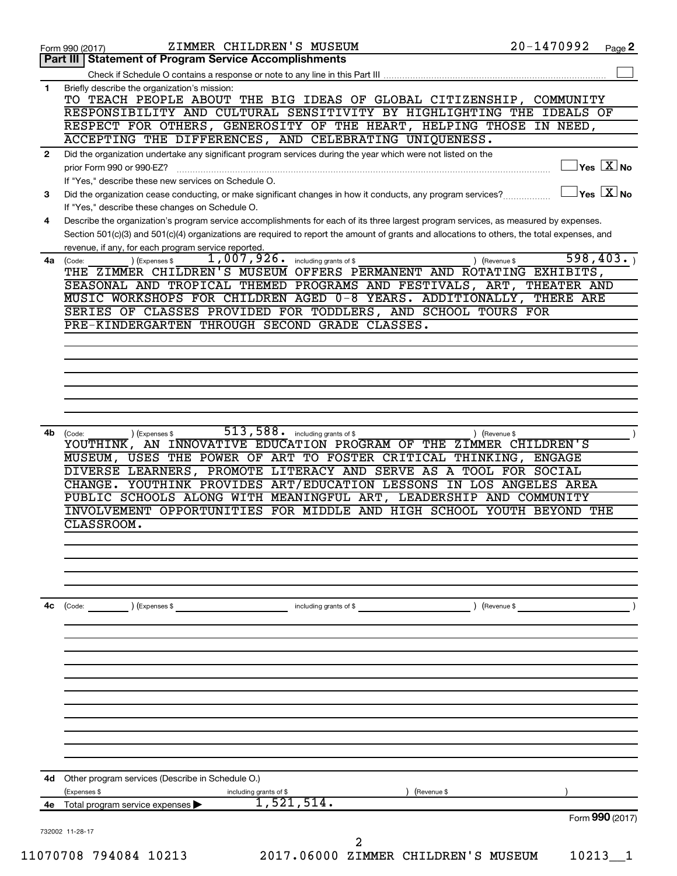|              | ZIMMER CHILDREN'S MUSEUM<br>Form 990 (2017)                                                                                                                                                                                                                                          | 20-1470992 | Page 2                                                 |
|--------------|--------------------------------------------------------------------------------------------------------------------------------------------------------------------------------------------------------------------------------------------------------------------------------------|------------|--------------------------------------------------------|
|              | Part III   Statement of Program Service Accomplishments                                                                                                                                                                                                                              |            |                                                        |
|              |                                                                                                                                                                                                                                                                                      |            |                                                        |
| 1            | Briefly describe the organization's mission:<br>TO TEACH PEOPLE ABOUT THE BIG IDEAS OF GLOBAL CITIZENSHIP, COMMUNITY                                                                                                                                                                 |            |                                                        |
|              | RESPONSIBILITY AND CULTURAL SENSITIVITY BY HIGHLIGHTING THE IDEALS OF                                                                                                                                                                                                                |            |                                                        |
|              | RESPECT FOR OTHERS, GENEROSITY OF THE HEART, HELPING THOSE IN NEED,<br>ACCEPTING THE DIFFERENCES, AND CELEBRATING UNIQUENESS.                                                                                                                                                        |            |                                                        |
| $\mathbf{2}$ | Did the organization undertake any significant program services during the year which were not listed on the                                                                                                                                                                         |            |                                                        |
|              | prior Form 990 or 990-EZ?                                                                                                                                                                                                                                                            |            | $\sqrt{\mathsf{Yes}\ \mathbf{X}}$ No                   |
| 3            | If "Yes," describe these new services on Schedule O.<br>Did the organization cease conducting, or make significant changes in how it conducts, any program services?                                                                                                                 |            | $\vert$ Yes $\vert$ $\overline{\mathrm{X}}$ $\vert$ No |
|              | If "Yes," describe these changes on Schedule O.                                                                                                                                                                                                                                      |            |                                                        |
| 4            | Describe the organization's program service accomplishments for each of its three largest program services, as measured by expenses.<br>Section 501(c)(3) and 501(c)(4) organizations are required to report the amount of grants and allocations to others, the total expenses, and |            |                                                        |
|              | revenue, if any, for each program service reported.                                                                                                                                                                                                                                  |            |                                                        |
|              | $1,007,926$ .<br>(Expenses \$<br>including grants of \$<br>4a (Code:<br>(Revenue \$<br>THE ZIMMER CHILDREN'S MUSEUM OFFERS PERMANENT AND ROTATING EXHIBITS,                                                                                                                          |            | 598, 403.                                              |
|              | SEASONAL AND TROPICAL THEMED PROGRAMS AND FESTIVALS, ART, THEATER AND                                                                                                                                                                                                                |            |                                                        |
|              | MUSIC WORKSHOPS FOR CHILDREN AGED 0-8 YEARS. ADDITIONALLY, THERE ARE                                                                                                                                                                                                                 |            |                                                        |
|              | SERIES OF CLASSES PROVIDED FOR TODDLERS, AND SCHOOL TOURS FOR                                                                                                                                                                                                                        |            |                                                        |
|              | PRE-KINDERGARTEN THROUGH SECOND GRADE CLASSES.                                                                                                                                                                                                                                       |            |                                                        |
|              |                                                                                                                                                                                                                                                                                      |            |                                                        |
|              |                                                                                                                                                                                                                                                                                      |            |                                                        |
|              |                                                                                                                                                                                                                                                                                      |            |                                                        |
|              |                                                                                                                                                                                                                                                                                      |            |                                                        |
|              |                                                                                                                                                                                                                                                                                      |            |                                                        |
|              |                                                                                                                                                                                                                                                                                      |            |                                                        |
| 4b           | 513, 588 . including grants of \$<br>(Code:<br>(Expenses \$<br>(Revenue \$<br>YOUTHINK, AN INNOVATIVE EDUCATION PROGRAM OF THE ZIMMER CHILDREN'S<br>MUSEUM, USES THE POWER OF ART TO FOSTER CRITICAL THINKING, ENGAGE                                                                |            |                                                        |
|              | DIVERSE LEARNERS, PROMOTE LITERACY AND SERVE AS A TOOL FOR SOCIAL                                                                                                                                                                                                                    |            |                                                        |
|              | CHANGE. YOUTHINK PROVIDES ART/EDUCATION LESSONS IN LOS ANGELES AREA                                                                                                                                                                                                                  |            |                                                        |
|              | PUBLIC SCHOOLS ALONG WITH MEANINGFUL ART, LEADERSHIP AND COMMUNITY                                                                                                                                                                                                                   |            |                                                        |
|              | INVOLVEMENT OPPORTUNITIES FOR MIDDLE AND HIGH SCHOOL YOUTH BEYOND THE                                                                                                                                                                                                                |            |                                                        |
|              | CLASSROOM.                                                                                                                                                                                                                                                                           |            |                                                        |
|              |                                                                                                                                                                                                                                                                                      |            |                                                        |
|              |                                                                                                                                                                                                                                                                                      |            |                                                        |
|              |                                                                                                                                                                                                                                                                                      |            |                                                        |
|              |                                                                                                                                                                                                                                                                                      |            |                                                        |
| 4с           | (Code:<br>(Expenses \$<br>including grants of \$<br>(Revenue \$                                                                                                                                                                                                                      |            |                                                        |
|              |                                                                                                                                                                                                                                                                                      |            |                                                        |
|              |                                                                                                                                                                                                                                                                                      |            |                                                        |
|              |                                                                                                                                                                                                                                                                                      |            |                                                        |
|              |                                                                                                                                                                                                                                                                                      |            |                                                        |
|              |                                                                                                                                                                                                                                                                                      |            |                                                        |
|              |                                                                                                                                                                                                                                                                                      |            |                                                        |
|              |                                                                                                                                                                                                                                                                                      |            |                                                        |
|              |                                                                                                                                                                                                                                                                                      |            |                                                        |
|              |                                                                                                                                                                                                                                                                                      |            |                                                        |
| 4d           | Other program services (Describe in Schedule O.)                                                                                                                                                                                                                                     |            |                                                        |
|              | (Expenses \$<br>including grants of \$<br>(Revenue \$                                                                                                                                                                                                                                |            |                                                        |
| 4е           | 1,521,514.<br>Total program service expenses                                                                                                                                                                                                                                         |            |                                                        |
|              |                                                                                                                                                                                                                                                                                      |            | Form 990 (2017)                                        |
|              | 732002 11-28-17<br>2                                                                                                                                                                                                                                                                 |            |                                                        |
|              | 2017.06000 ZIMMER CHILDREN'S MUSEUM<br>11070708 794084 10213                                                                                                                                                                                                                         | 10213      | $\mathbf{1}$                                           |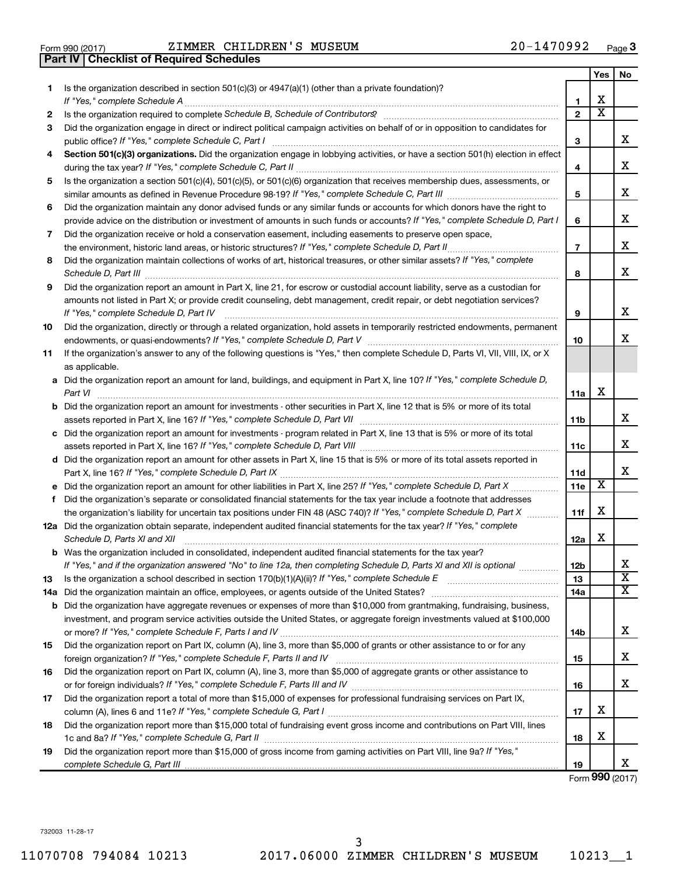|  | Form 990 (2017) |
|--|-----------------|

**Part IV Checklist of Required Schedules**

Form 990 (2017) Page ZIMMER CHILDREN'S MUSEUM 20-1470992

|    |                                                                                                                                                                                                                                                                |                | Yes                     | No                           |
|----|----------------------------------------------------------------------------------------------------------------------------------------------------------------------------------------------------------------------------------------------------------------|----------------|-------------------------|------------------------------|
| 1  | Is the organization described in section 501(c)(3) or 4947(a)(1) (other than a private foundation)?                                                                                                                                                            |                |                         |                              |
|    |                                                                                                                                                                                                                                                                | 1              | х                       |                              |
| 2  |                                                                                                                                                                                                                                                                | $\mathbf{2}$   | $\overline{\textbf{x}}$ |                              |
| 3  | Did the organization engage in direct or indirect political campaign activities on behalf of or in opposition to candidates for                                                                                                                                | 3              |                         | x                            |
| 4  | Section 501(c)(3) organizations. Did the organization engage in lobbying activities, or have a section 501(h) election in effect                                                                                                                               |                |                         |                              |
|    |                                                                                                                                                                                                                                                                | 4              |                         | х                            |
| 5  | Is the organization a section 501(c)(4), 501(c)(5), or 501(c)(6) organization that receives membership dues, assessments, or                                                                                                                                   |                |                         |                              |
|    |                                                                                                                                                                                                                                                                | 5              |                         | x                            |
| 6  | Did the organization maintain any donor advised funds or any similar funds or accounts for which donors have the right to                                                                                                                                      |                |                         |                              |
|    | provide advice on the distribution or investment of amounts in such funds or accounts? If "Yes," complete Schedule D, Part I                                                                                                                                   | 6              |                         | х                            |
| 7  | Did the organization receive or hold a conservation easement, including easements to preserve open space,                                                                                                                                                      |                |                         | x                            |
|    | the environment, historic land areas, or historic structures? If "Yes," complete Schedule D, Part II                                                                                                                                                           | $\overline{7}$ |                         |                              |
| 8  | Did the organization maintain collections of works of art, historical treasures, or other similar assets? If "Yes," complete                                                                                                                                   | 8              |                         | x                            |
| 9  | Did the organization report an amount in Part X, line 21, for escrow or custodial account liability, serve as a custodian for                                                                                                                                  |                |                         |                              |
|    | amounts not listed in Part X; or provide credit counseling, debt management, credit repair, or debt negotiation services?<br>If "Yes," complete Schedule D, Part IV                                                                                            | 9              |                         | х                            |
| 10 | Did the organization, directly or through a related organization, hold assets in temporarily restricted endowments, permanent                                                                                                                                  |                |                         |                              |
|    |                                                                                                                                                                                                                                                                |                |                         | x                            |
| 11 | If the organization's answer to any of the following questions is "Yes," then complete Schedule D, Parts VI, VII, VIII, IX, or X                                                                                                                               |                |                         |                              |
|    | as applicable.                                                                                                                                                                                                                                                 |                |                         |                              |
|    | a Did the organization report an amount for land, buildings, and equipment in Part X, line 10? If "Yes," complete Schedule D,<br>Part VI                                                                                                                       | 11a            | х                       |                              |
|    | <b>b</b> Did the organization report an amount for investments - other securities in Part X, line 12 that is 5% or more of its total                                                                                                                           | <b>11b</b>     |                         | x                            |
|    | c Did the organization report an amount for investments - program related in Part X, line 13 that is 5% or more of its total                                                                                                                                   |                |                         |                              |
|    |                                                                                                                                                                                                                                                                | 11c            |                         | x                            |
|    | d Did the organization report an amount for other assets in Part X, line 15 that is 5% or more of its total assets reported in                                                                                                                                 |                |                         |                              |
|    |                                                                                                                                                                                                                                                                | 11d            |                         | х                            |
|    |                                                                                                                                                                                                                                                                | 11e            | X                       |                              |
| f  | Did the organization's separate or consolidated financial statements for the tax year include a footnote that addresses                                                                                                                                        |                |                         |                              |
|    | the organization's liability for uncertain tax positions under FIN 48 (ASC 740)? If "Yes," complete Schedule D, Part X                                                                                                                                         | 11f            | х                       |                              |
|    | 12a Did the organization obtain separate, independent audited financial statements for the tax year? If "Yes," complete<br>Schedule D, Parts XI and XII                                                                                                        | 12a            | х                       |                              |
|    | <b>b</b> Was the organization included in consolidated, independent audited financial statements for the tax year?                                                                                                                                             |                |                         |                              |
|    | If "Yes," and if the organization answered "No" to line 12a, then completing Schedule D, Parts XI and XII is optional                                                                                                                                          | 12b            |                         | Δ,                           |
| 13 |                                                                                                                                                                                                                                                                | 13             |                         | $\overline{\textbf{x}}$<br>х |
|    | 14a Did the organization maintain an office, employees, or agents outside of the United States?                                                                                                                                                                | 14a            |                         |                              |
|    | <b>b</b> Did the organization have aggregate revenues or expenses of more than \$10,000 from grantmaking, fundraising, business,<br>investment, and program service activities outside the United States, or aggregate foreign investments valued at \$100,000 |                |                         |                              |
|    |                                                                                                                                                                                                                                                                | 14b            |                         | х                            |
| 15 | Did the organization report on Part IX, column (A), line 3, more than \$5,000 of grants or other assistance to or for any                                                                                                                                      |                |                         |                              |
|    |                                                                                                                                                                                                                                                                | 15             |                         | х                            |
| 16 | Did the organization report on Part IX, column (A), line 3, more than \$5,000 of aggregate grants or other assistance to                                                                                                                                       |                |                         |                              |
|    |                                                                                                                                                                                                                                                                | 16             |                         | х                            |
| 17 | Did the organization report a total of more than \$15,000 of expenses for professional fundraising services on Part IX,                                                                                                                                        |                |                         |                              |
|    |                                                                                                                                                                                                                                                                | 17             | х                       |                              |
| 18 | Did the organization report more than \$15,000 total of fundraising event gross income and contributions on Part VIII, lines                                                                                                                                   |                |                         |                              |
|    |                                                                                                                                                                                                                                                                | 18             | х                       |                              |
| 19 | Did the organization report more than \$15,000 of gross income from gaming activities on Part VIII, line 9a? If "Yes,"                                                                                                                                         |                |                         | x                            |
|    |                                                                                                                                                                                                                                                                | 19             |                         |                              |

Form (2017) **990**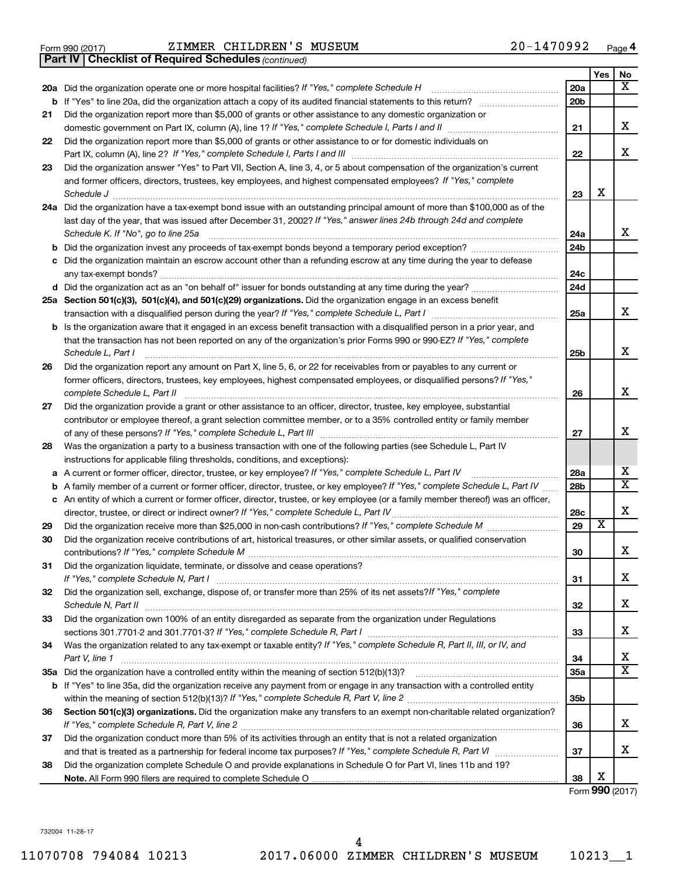|  | Form 990 (2017) |
|--|-----------------|
|  |                 |

Form 990 (2017) Page ZIMMER CHILDREN'S MUSEUM 20-1470992

*(continued)* **Part IV Checklist of Required Schedules**

|          | 20a Did the organization operate one or more hospital facilities? If "Yes," complete Schedule H                                                                                                                                 | 20a             |                         | х                       |  |
|----------|---------------------------------------------------------------------------------------------------------------------------------------------------------------------------------------------------------------------------------|-----------------|-------------------------|-------------------------|--|
|          |                                                                                                                                                                                                                                 | 20 <sub>b</sub> |                         |                         |  |
| 21       | Did the organization report more than \$5,000 of grants or other assistance to any domestic organization or                                                                                                                     |                 |                         |                         |  |
|          |                                                                                                                                                                                                                                 | 21              |                         | x                       |  |
| 22       | Did the organization report more than \$5,000 of grants or other assistance to or for domestic individuals on<br>Part IX, column (A), line 2? If "Yes," complete Schedule I, Parts I and III [11]] [11]] [11] [11] [11] [11] [1 | 22              |                         | x                       |  |
| 23       | Did the organization answer "Yes" to Part VII, Section A, line 3, 4, or 5 about compensation of the organization's current                                                                                                      |                 |                         |                         |  |
|          | and former officers, directors, trustees, key employees, and highest compensated employees? If "Yes," complete                                                                                                                  |                 |                         |                         |  |
|          | Schedule J <b>www.communications.communications.com</b>                                                                                                                                                                         | 23              | х                       |                         |  |
|          | 24a Did the organization have a tax-exempt bond issue with an outstanding principal amount of more than \$100,000 as of the                                                                                                     |                 |                         |                         |  |
|          | last day of the year, that was issued after December 31, 2002? If "Yes," answer lines 24b through 24d and complete                                                                                                              |                 |                         |                         |  |
|          | Schedule K. If "No", go to line 25a                                                                                                                                                                                             | 24a             |                         | x                       |  |
| b        |                                                                                                                                                                                                                                 | 24 <sub>b</sub> |                         |                         |  |
|          | Did the organization maintain an escrow account other than a refunding escrow at any time during the year to defease                                                                                                            | 24c             |                         |                         |  |
|          |                                                                                                                                                                                                                                 | 24d             |                         |                         |  |
|          | 25a Section 501(c)(3), 501(c)(4), and 501(c)(29) organizations. Did the organization engage in an excess benefit                                                                                                                |                 |                         |                         |  |
|          |                                                                                                                                                                                                                                 | 25a             |                         | x                       |  |
|          | <b>b</b> Is the organization aware that it engaged in an excess benefit transaction with a disqualified person in a prior year, and                                                                                             |                 |                         |                         |  |
|          | that the transaction has not been reported on any of the organization's prior Forms 990 or 990-EZ? If "Yes," complete                                                                                                           |                 |                         |                         |  |
|          | Schedule L, Part I                                                                                                                                                                                                              | 25b             |                         | x                       |  |
| 26       | Did the organization report any amount on Part X, line 5, 6, or 22 for receivables from or payables to any current or                                                                                                           |                 |                         |                         |  |
|          | former officers, directors, trustees, key employees, highest compensated employees, or disqualified persons? If "Yes,"<br>complete Schedule L, Part II                                                                          | 26              |                         | x                       |  |
| 27       | Did the organization provide a grant or other assistance to an officer, director, trustee, key employee, substantial                                                                                                            |                 |                         |                         |  |
|          | contributor or employee thereof, a grant selection committee member, or to a 35% controlled entity or family member                                                                                                             |                 |                         |                         |  |
|          |                                                                                                                                                                                                                                 | 27              |                         | x                       |  |
| 28       | Was the organization a party to a business transaction with one of the following parties (see Schedule L, Part IV                                                                                                               |                 |                         |                         |  |
|          | instructions for applicable filing thresholds, conditions, and exceptions):                                                                                                                                                     |                 |                         |                         |  |
| а        | A current or former officer, director, trustee, or key employee? If "Yes," complete Schedule L, Part IV                                                                                                                         | 28a             |                         | x                       |  |
| b        | A family member of a current or former officer, director, trustee, or key employee? If "Yes," complete Schedule L, Part IV                                                                                                      | 28 <sub>b</sub> |                         | $\overline{\mathtt{x}}$ |  |
|          | c An entity of which a current or former officer, director, trustee, or key employee (or a family member thereof) was an officer,                                                                                               |                 |                         | X                       |  |
|          | director, trustee, or direct or indirect owner? If "Yes," complete Schedule L, Part IV                                                                                                                                          | 28c<br>29       | $\overline{\textbf{x}}$ |                         |  |
| 29<br>30 | Did the organization receive contributions of art, historical treasures, or other similar assets, or qualified conservation                                                                                                     |                 |                         |                         |  |
|          |                                                                                                                                                                                                                                 | 30              |                         | X                       |  |
| 31       | Did the organization liquidate, terminate, or dissolve and cease operations?                                                                                                                                                    |                 |                         |                         |  |
|          | If "Yes," complete Schedule N, Part I                                                                                                                                                                                           | 31              |                         | х                       |  |
| 32       | Did the organization sell, exchange, dispose of, or transfer more than 25% of its net assets? If "Yes," complete                                                                                                                |                 |                         |                         |  |
|          |                                                                                                                                                                                                                                 | 32              |                         | X                       |  |
| 33       | Did the organization own 100% of an entity disregarded as separate from the organization under Regulations                                                                                                                      |                 |                         |                         |  |
|          |                                                                                                                                                                                                                                 | 33              |                         | X                       |  |
| 34       | Was the organization related to any tax-exempt or taxable entity? If "Yes," complete Schedule R, Part II, III, or IV, and                                                                                                       |                 |                         |                         |  |
|          | Part V, line 1                                                                                                                                                                                                                  | 34              |                         | х                       |  |
|          |                                                                                                                                                                                                                                 | 35a             |                         | $\overline{\mathtt{x}}$ |  |
|          | b If "Yes" to line 35a, did the organization receive any payment from or engage in any transaction with a controlled entity                                                                                                     |                 |                         |                         |  |
|          |                                                                                                                                                                                                                                 | 35 <sub>b</sub> |                         |                         |  |
| 36       | Section 501(c)(3) organizations. Did the organization make any transfers to an exempt non-charitable related organization?                                                                                                      | 36              |                         | x                       |  |
| 37       | Did the organization conduct more than 5% of its activities through an entity that is not a related organization                                                                                                                |                 |                         |                         |  |
|          |                                                                                                                                                                                                                                 | 37              |                         | x                       |  |
| 38       | Did the organization complete Schedule O and provide explanations in Schedule O for Part VI, lines 11b and 19?                                                                                                                  |                 |                         |                         |  |
|          |                                                                                                                                                                                                                                 | 38              | х                       |                         |  |

Form (2017) **990**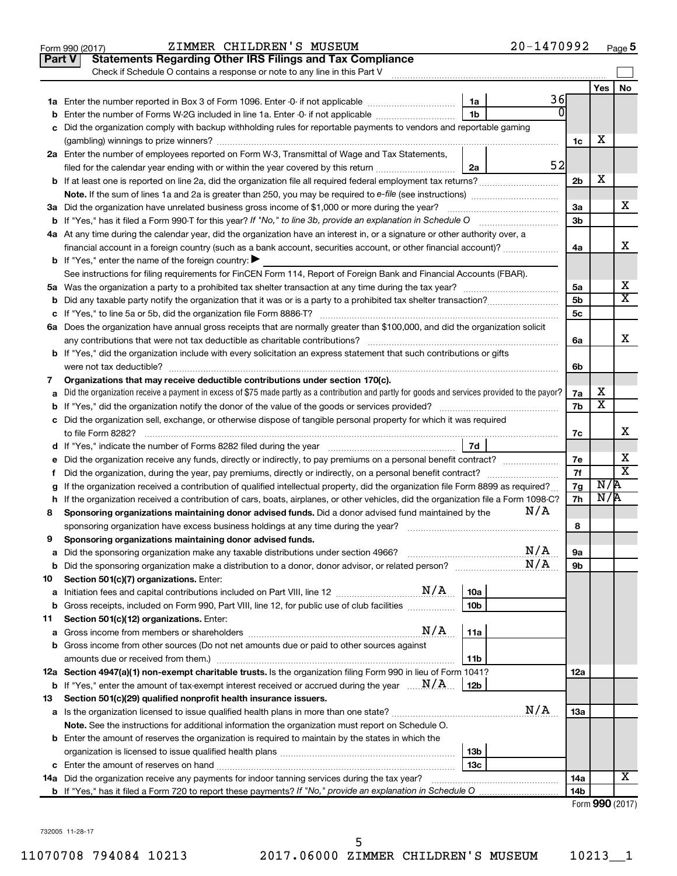|               | $20 - 1470992$<br>ZIMMER CHILDREN'S MUSEUM<br>Form 990 (2017)                                                                                   |                |                         | Page 5                      |
|---------------|-------------------------------------------------------------------------------------------------------------------------------------------------|----------------|-------------------------|-----------------------------|
| <b>Part V</b> | <b>Statements Regarding Other IRS Filings and Tax Compliance</b>                                                                                |                |                         |                             |
|               | Check if Schedule O contains a response or note to any line in this Part V                                                                      |                |                         |                             |
|               |                                                                                                                                                 |                | Yes                     | No                          |
|               | 36<br>1a                                                                                                                                        |                |                         |                             |
| b             | $\Omega$<br>1 <sub>b</sub><br>Enter the number of Forms W-2G included in line 1a. Enter -0- if not applicable                                   |                |                         |                             |
|               | c Did the organization comply with backup withholding rules for reportable payments to vendors and reportable gaming                            |                |                         |                             |
|               |                                                                                                                                                 | 1c             | х                       |                             |
|               | 2a Enter the number of employees reported on Form W-3, Transmittal of Wage and Tax Statements,                                                  |                |                         |                             |
|               | 52<br>filed for the calendar year ending with or within the year covered by this return<br>2a                                                   |                |                         |                             |
|               |                                                                                                                                                 | 2 <sub>b</sub> | х                       |                             |
|               | <b>Note.</b> If the sum of lines 1a and 2a is greater than 250, you may be required to e-file (see instructions)                                |                |                         |                             |
|               | 3a Did the organization have unrelated business gross income of \$1,000 or more during the year?                                                | 3a             |                         | х                           |
|               |                                                                                                                                                 | 3 <sub>b</sub> |                         |                             |
|               | 4a At any time during the calendar year, did the organization have an interest in, or a signature or other authority over, a                    |                |                         |                             |
|               | financial account in a foreign country (such as a bank account, securities account, or other financial account)?                                | 4a             |                         | х                           |
|               | <b>b</b> If "Yes," enter the name of the foreign country: $\blacktriangleright$                                                                 |                |                         |                             |
|               | See instructions for filing requirements for FinCEN Form 114, Report of Foreign Bank and Financial Accounts (FBAR).                             |                |                         |                             |
|               |                                                                                                                                                 | 5a             |                         | x                           |
|               |                                                                                                                                                 | 5 <sub>b</sub> |                         | $\overline{\text{x}}$       |
|               |                                                                                                                                                 | 5c             |                         |                             |
|               | 6a Does the organization have annual gross receipts that are normally greater than \$100,000, and did the organization solicit                  |                |                         |                             |
|               |                                                                                                                                                 | 6a             |                         | х                           |
|               | <b>b</b> If "Yes," did the organization include with every solicitation an express statement that such contributions or gifts                   |                |                         |                             |
|               | were not tax deductible?                                                                                                                        | 6b             |                         |                             |
| 7             | Organizations that may receive deductible contributions under section 170(c).                                                                   |                |                         |                             |
| а             | Did the organization receive a payment in excess of \$75 made partly as a contribution and partly for goods and services provided to the payor? | 7a             | х                       |                             |
|               |                                                                                                                                                 | 7b             | $\overline{\textbf{x}}$ |                             |
|               | c Did the organization sell, exchange, or otherwise dispose of tangible personal property for which it was required                             |                |                         |                             |
|               | to file Form 8282?                                                                                                                              | 7с             |                         | x                           |
|               | 7d                                                                                                                                              |                |                         |                             |
|               | e Did the organization receive any funds, directly or indirectly, to pay premiums on a personal benefit contract?                               | 7e             |                         | х                           |
| f.            | Did the organization, during the year, pay premiums, directly or indirectly, on a personal benefit contract?                                    | 7f             |                         | $\overline{\textnormal{x}}$ |
| g             | If the organization received a contribution of qualified intellectual property, did the organization file Form 8899 as required?                | 7g             | N/R                     |                             |
|               | h If the organization received a contribution of cars, boats, airplanes, or other vehicles, did the organization file a Form 1098-C?            | 7h             | N/R                     |                             |
| 8             | N/A<br>Sponsoring organizations maintaining donor advised funds. Did a donor advised fund maintained by the                                     |                |                         |                             |
|               | sponsoring organization have excess business holdings at any time during the year?                                                              | 8              |                         |                             |
| 9             | Sponsoring organizations maintaining donor advised funds.                                                                                       |                |                         |                             |
| а             | N/A                                                                                                                                             | 9а             |                         |                             |
| b             | N/A                                                                                                                                             | 9b             |                         |                             |
| 10            | Section 501(c)(7) organizations. Enter:                                                                                                         |                |                         |                             |
| а             | 10a                                                                                                                                             |                |                         |                             |
| b             | Gross receipts, included on Form 990, Part VIII, line 12, for public use of club facilities<br>10 <sub>b</sub>                                  |                |                         |                             |
| 11            | Section 501(c)(12) organizations. Enter:                                                                                                        |                |                         |                             |
| а             | N/A<br>11a                                                                                                                                      |                |                         |                             |
|               | b Gross income from other sources (Do not net amounts due or paid to other sources against                                                      |                |                         |                             |
|               | amounts due or received from them.)<br>11b                                                                                                      |                |                         |                             |
|               | 12a Section 4947(a)(1) non-exempt charitable trusts. Is the organization filing Form 990 in lieu of Form 1041?                                  | 12a            |                         |                             |
| b             | If "Yes," enter the amount of tax-exempt interest received or accrued during the year $\ldots$ $\ldots$ $\ldots$ $\ldots$<br>12b                |                |                         |                             |
| 13            | Section 501(c)(29) qualified nonprofit health insurance issuers.                                                                                |                |                         |                             |
|               | N/A                                                                                                                                             | 13a            |                         |                             |
|               | Note. See the instructions for additional information the organization must report on Schedule O.                                               |                |                         |                             |
|               | <b>b</b> Enter the amount of reserves the organization is required to maintain by the states in which the                                       |                |                         |                             |
|               | 13 <sub>b</sub>                                                                                                                                 |                |                         |                             |
|               | 13с                                                                                                                                             |                |                         |                             |
|               |                                                                                                                                                 | 14a            |                         | х                           |
|               |                                                                                                                                                 | 14b            |                         |                             |
|               |                                                                                                                                                 |                | Form 990 (2017)         |                             |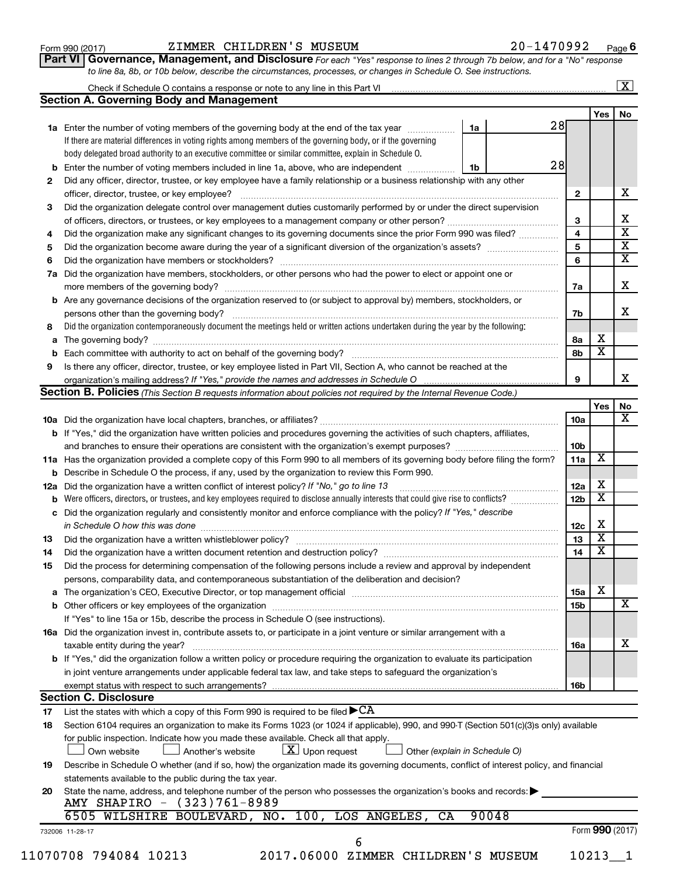| Form 990 (2017) |
|-----------------|
|-----------------|

## Form 990 (2017) Page ZIMMER CHILDREN'S MUSEUM 20-1470992

**Part VI** Governance, Management, and Disclosure For each "Yes" response to lines 2 through 7b below, and for a "No" response *to line 8a, 8b, or 10b below, describe the circumstances, processes, or changes in Schedule O. See instructions.*

|     |                                                                                                                                           |    |       |    |                 |                         | $\overline{\mathbf{X}}$ |  |  |
|-----|-------------------------------------------------------------------------------------------------------------------------------------------|----|-------|----|-----------------|-------------------------|-------------------------|--|--|
|     | <b>Section A. Governing Body and Management</b>                                                                                           |    |       |    |                 |                         |                         |  |  |
|     |                                                                                                                                           |    |       |    |                 | Yes                     | No                      |  |  |
|     | 1a Enter the number of voting members of the governing body at the end of the tax year                                                    | 1a |       | 28 |                 |                         |                         |  |  |
|     | If there are material differences in voting rights among members of the governing body, or if the governing                               |    |       |    |                 |                         |                         |  |  |
|     | body delegated broad authority to an executive committee or similar committee, explain in Schedule O.                                     |    |       |    |                 |                         |                         |  |  |
|     | Enter the number of voting members included in line 1a, above, who are independent                                                        | 1b |       | 28 |                 |                         |                         |  |  |
| 2   | Did any officer, director, trustee, or key employee have a family relationship or a business relationship with any other                  |    |       |    |                 |                         |                         |  |  |
|     | officer, director, trustee, or key employee?                                                                                              |    |       |    | 2               |                         |                         |  |  |
| 3   | Did the organization delegate control over management duties customarily performed by or under the direct supervision                     |    |       |    |                 |                         |                         |  |  |
|     |                                                                                                                                           |    |       |    | 3               |                         |                         |  |  |
| 4   |                                                                                                                                           |    |       |    | 4<br>5          |                         |                         |  |  |
| 5   |                                                                                                                                           |    |       |    |                 |                         |                         |  |  |
| 6   |                                                                                                                                           |    |       |    |                 |                         |                         |  |  |
| 7a  | Did the organization have members, stockholders, or other persons who had the power to elect or appoint one or                            |    |       |    |                 |                         |                         |  |  |
|     |                                                                                                                                           |    |       |    |                 |                         |                         |  |  |
|     | <b>b</b> Are any governance decisions of the organization reserved to (or subject to approval by) members, stockholders, or               |    |       |    |                 |                         |                         |  |  |
|     |                                                                                                                                           |    |       |    | 7b              |                         |                         |  |  |
| 8   | Did the organization contemporaneously document the meetings held or written actions undertaken during the year by the following:         |    |       |    |                 |                         |                         |  |  |
| a   |                                                                                                                                           |    |       |    | 8а              | х                       |                         |  |  |
|     |                                                                                                                                           |    |       |    | 8b              | $\overline{\textbf{x}}$ |                         |  |  |
| 9   | Is there any officer, director, trustee, or key employee listed in Part VII, Section A, who cannot be reached at the                      |    |       |    |                 |                         |                         |  |  |
|     |                                                                                                                                           |    |       |    | 9               |                         |                         |  |  |
|     | <b>Section B. Policies</b> (This Section B requests information about policies not required by the Internal Revenue Code.)                |    |       |    |                 |                         |                         |  |  |
|     |                                                                                                                                           |    |       |    |                 | Yes                     |                         |  |  |
|     |                                                                                                                                           |    |       |    | <b>10a</b>      |                         |                         |  |  |
|     | b If "Yes," did the organization have written policies and procedures governing the activities of such chapters, affiliates,              |    |       |    |                 |                         |                         |  |  |
|     |                                                                                                                                           |    |       |    |                 |                         |                         |  |  |
|     | 11a Has the organization provided a complete copy of this Form 990 to all members of its governing body before filing the form?           |    |       |    | 11a             | X                       |                         |  |  |
|     | <b>b</b> Describe in Schedule O the process, if any, used by the organization to review this Form 990.                                    |    |       |    |                 |                         |                         |  |  |
| 12a | Did the organization have a written conflict of interest policy? If "No," go to line 13                                                   |    |       |    |                 |                         |                         |  |  |
|     | Were officers, directors, or trustees, and key employees required to disclose annually interests that could give rise to conflicts?       |    |       |    | 12 <sub>b</sub> | $\overline{\textbf{x}}$ |                         |  |  |
| с   | Did the organization regularly and consistently monitor and enforce compliance with the policy? If "Yes," describe                        |    |       |    |                 |                         |                         |  |  |
|     | in Schedule O how this was done manufactured and continuum and contract the way of the schedule O how this was                            |    |       |    | 12c             | х                       |                         |  |  |
| 13  |                                                                                                                                           |    |       |    | 13              | $\overline{\text{X}}$   |                         |  |  |
| 14  |                                                                                                                                           |    |       |    | 14              | $\overline{\textbf{x}}$ |                         |  |  |
| 15  | Did the process for determining compensation of the following persons include a review and approval by independent                        |    |       |    |                 |                         |                         |  |  |
|     | persons, comparability data, and contemporaneous substantiation of the deliberation and decision?                                         |    |       |    |                 |                         |                         |  |  |
|     |                                                                                                                                           |    |       |    | 15a             | х                       |                         |  |  |
|     |                                                                                                                                           |    |       |    | 15b             |                         |                         |  |  |
|     | If "Yes" to line 15a or 15b, describe the process in Schedule O (see instructions).                                                       |    |       |    |                 |                         |                         |  |  |
|     | 16a Did the organization invest in, contribute assets to, or participate in a joint venture or similar arrangement with a                 |    |       |    |                 |                         |                         |  |  |
|     | taxable entity during the year?                                                                                                           |    |       |    | 16a             |                         |                         |  |  |
|     | b If "Yes," did the organization follow a written policy or procedure requiring the organization to evaluate its participation            |    |       |    |                 |                         |                         |  |  |
|     | in joint venture arrangements under applicable federal tax law, and take steps to safeguard the organization's                            |    |       |    |                 |                         |                         |  |  |
|     | exempt status with respect to such arrangements?                                                                                          |    |       |    | 16b             |                         |                         |  |  |
|     | <b>Section C. Disclosure</b>                                                                                                              |    |       |    |                 |                         |                         |  |  |
| 17  | List the states with which a copy of this Form 990 is required to be filed $\blacktriangleright$ CA                                       |    |       |    |                 |                         |                         |  |  |
| 18  | Section 6104 requires an organization to make its Forms 1023 (or 1024 if applicable), 990, and 990-T (Section 501(c)(3)s only) available  |    |       |    |                 |                         |                         |  |  |
|     | for public inspection. Indicate how you made these available. Check all that apply.                                                       |    |       |    |                 |                         |                         |  |  |
|     | $\lfloor x \rfloor$ Upon request<br>Another's website<br>Other (explain in Schedule O)<br>Own website                                     |    |       |    |                 |                         |                         |  |  |
| 19  | Describe in Schedule O whether (and if so, how) the organization made its governing documents, conflict of interest policy, and financial |    |       |    |                 |                         |                         |  |  |
|     | statements available to the public during the tax year.                                                                                   |    |       |    |                 |                         |                         |  |  |
| 20  |                                                                                                                                           |    |       |    |                 |                         |                         |  |  |
|     | State the name, address, and telephone number of the person who possesses the organization's books and records:                           |    |       |    |                 |                         |                         |  |  |
|     |                                                                                                                                           |    |       |    |                 |                         |                         |  |  |
|     | AMY SHAPIRO - (323)761-8989                                                                                                               |    |       |    |                 |                         |                         |  |  |
|     | 6505 WILSHIRE BOULEVARD, NO. 100, LOS ANGELES,<br>CA                                                                                      |    | 90048 |    |                 |                         |                         |  |  |
|     | 732006 11-28-17                                                                                                                           |    |       |    |                 | Form 990 (2017)         |                         |  |  |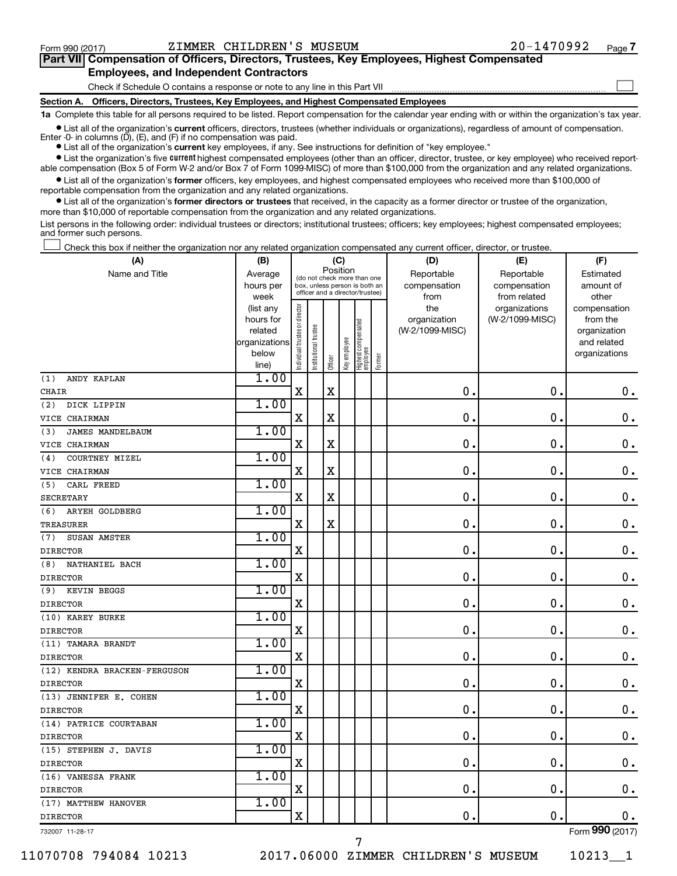$\Box$ 

| Part VII Compensation of Officers, Directors, Trustees, Key Employees, Highest Compensated |  |  |  |  |
|--------------------------------------------------------------------------------------------|--|--|--|--|
| <b>Employees, and Independent Contractors</b>                                              |  |  |  |  |

Check if Schedule O contains a response or note to any line in this Part VII

**Section A. Officers, Directors, Trustees, Key Employees, and Highest Compensated Employees**

**1a**  Complete this table for all persons required to be listed. Report compensation for the calendar year ending with or within the organization's tax year.

**•** List all of the organization's current officers, directors, trustees (whether individuals or organizations), regardless of amount of compensation. Enter -0- in columns  $(D)$ ,  $(E)$ , and  $(F)$  if no compensation was paid.

**•** List all of the organization's **current** key employees, if any. See instructions for definition of "key employee."

**•** List the organization's five current highest compensated employees (other than an officer, director, trustee, or key employee) who received reportable compensation (Box 5 of Form W-2 and/or Box 7 of Form 1099-MISC) of more than \$100,000 from the organization and any related organizations.

**•** List all of the organization's former officers, key employees, and highest compensated employees who received more than \$100,000 of reportable compensation from the organization and any related organizations.

**•** List all of the organization's former directors or trustees that received, in the capacity as a former director or trustee of the organization, more than \$10,000 of reportable compensation from the organization and any related organizations.

List persons in the following order: individual trustees or directors; institutional trustees; officers; key employees; highest compensated employees; and former such persons.

Check this box if neither the organization nor any related organization compensated any current officer, director, or trustee.  $\Box$ 

| (A)                            | (B)               | (C)                                     |                                                                  |             |              |                                 |        | (D)             | (E)                           | (F)                     |
|--------------------------------|-------------------|-----------------------------------------|------------------------------------------------------------------|-------------|--------------|---------------------------------|--------|-----------------|-------------------------------|-------------------------|
| Name and Title                 | Average           | Position<br>(do not check more than one |                                                                  |             |              |                                 |        | Reportable      | Reportable                    | Estimated               |
|                                | hours per         |                                         | box, unless person is both an<br>officer and a director/trustee) |             |              |                                 |        | compensation    | compensation                  | amount of               |
|                                | week<br>(list any |                                         |                                                                  |             |              |                                 |        | from<br>the     | from related<br>organizations | other<br>compensation   |
|                                | hours for         |                                         |                                                                  |             |              |                                 |        | organization    | (W-2/1099-MISC)               | from the                |
|                                | related           |                                         |                                                                  |             |              |                                 |        | (W-2/1099-MISC) |                               | organization            |
|                                | organizations     |                                         |                                                                  |             |              |                                 |        |                 |                               | and related             |
|                                | below             | Individual trustee or director          | Institutional trustee                                            |             | Key employee | Highest compensated<br>employee |        |                 |                               | organizations           |
|                                | line)             |                                         |                                                                  | Officer     |              |                                 | Former |                 |                               |                         |
| ANDY KAPLAN<br>(1)             | 1.00              |                                         |                                                                  |             |              |                                 |        |                 |                               |                         |
| <b>CHAIR</b>                   |                   | $\mathbf X$                             |                                                                  | $\rm X$     |              |                                 |        | $\mathbf 0$     | $\mathbf 0$ .                 | 0.                      |
| (2)<br>DICK LIPPIN             | 1.00              |                                         |                                                                  |             |              |                                 |        |                 |                               |                         |
| VICE CHAIRMAN                  |                   | X                                       |                                                                  | X           |              |                                 |        | $\mathbf 0$     | 0                             | $\mathbf 0$ .           |
| <b>JAMES MANDELBAUM</b><br>(3) | 1.00              |                                         |                                                                  |             |              |                                 |        |                 |                               |                         |
| VICE CHAIRMAN                  |                   | X                                       |                                                                  | $\mathbf X$ |              |                                 |        | $\mathbf 0$     | 0.                            | $\mathbf 0$ .           |
| COURTNEY MIZEL<br>(4)          | 1.00              |                                         |                                                                  |             |              |                                 |        |                 |                               |                         |
| VICE CHAIRMAN                  |                   | $\mathbf X$                             |                                                                  | $\mathbf X$ |              |                                 |        | 0.              | $\mathbf 0$ .                 | $\mathbf 0$ .           |
| CARL FREED<br>(5)              | 1.00              |                                         |                                                                  |             |              |                                 |        |                 |                               |                         |
| <b>SECRETARY</b>               |                   | X                                       |                                                                  | X           |              |                                 |        | $\mathbf 0$     | 0.                            | $\mathbf 0$ .           |
| ARYEH GOLDBERG<br>(6)          | 1.00              |                                         |                                                                  |             |              |                                 |        |                 |                               |                         |
| <b>TREASURER</b>               |                   | X                                       |                                                                  | $\mathbf X$ |              |                                 |        | $\mathbf 0$     | 0                             | 0.                      |
| SUSAN AMSTER<br>(7)            | 1.00              |                                         |                                                                  |             |              |                                 |        |                 |                               |                         |
| <b>DIRECTOR</b>                |                   | X                                       |                                                                  |             |              |                                 |        | 0               | 0                             | $\mathbf 0$ .           |
| NATHANIEL BACH<br>(8)          | 1.00              |                                         |                                                                  |             |              |                                 |        |                 |                               |                         |
| <b>DIRECTOR</b>                |                   | X                                       |                                                                  |             |              |                                 |        | $\mathbf 0$ .   | $\mathbf{0}$                  | $\mathbf 0$ .           |
| KEVIN BEGGS<br>(9)             | 1.00              |                                         |                                                                  |             |              |                                 |        |                 |                               |                         |
| <b>DIRECTOR</b>                |                   | X                                       |                                                                  |             |              |                                 |        | 0               | $\mathbf 0$                   | $\mathbf 0$ .           |
| (10) KAREY BURKE               | 1.00              |                                         |                                                                  |             |              |                                 |        |                 |                               |                         |
| <b>DIRECTOR</b>                |                   | X                                       |                                                                  |             |              |                                 |        | $\mathbf 0$ .   | $\mathbf 0$ .                 | $0$ .                   |
| (11) TAMARA BRANDT             | 1.00              |                                         |                                                                  |             |              |                                 |        |                 |                               |                         |
| <b>DIRECTOR</b>                |                   | X                                       |                                                                  |             |              |                                 |        | $\mathbf 0$ .   | $\mathbf 0$                   | $\mathbf 0$ .           |
| (12) KENDRA BRACKEN-FERGUSON   | 1.00              |                                         |                                                                  |             |              |                                 |        |                 |                               |                         |
| <b>DIRECTOR</b>                |                   | X                                       |                                                                  |             |              |                                 |        | 0.              | $\mathbf 0$ .                 | $0$ .                   |
| (13) JENNIFER E. COHEN         | 1.00              |                                         |                                                                  |             |              |                                 |        |                 |                               |                         |
| <b>DIRECTOR</b>                |                   | Χ                                       |                                                                  |             |              |                                 |        | $\mathbf 0$ .   | $\mathbf 0$ .                 | 0.                      |
| (14) PATRICE COURTABAN         | 1.00              |                                         |                                                                  |             |              |                                 |        |                 |                               |                         |
| <b>DIRECTOR</b>                |                   | $\mathbf X$                             |                                                                  |             |              |                                 |        | 0.              | $\mathbf 0$ .                 | $\mathbf 0$ .           |
| (15) STEPHEN J. DAVIS          | 1.00              |                                         |                                                                  |             |              |                                 |        |                 |                               |                         |
| <b>DIRECTOR</b>                |                   | $\mathbf X$                             |                                                                  |             |              |                                 |        | 0.              | $\mathbf 0$ .                 | $\mathbf 0$ .           |
| (16) VANESSA FRANK             | 1.00              |                                         |                                                                  |             |              |                                 |        |                 |                               |                         |
| <b>DIRECTOR</b>                |                   | $\mathbf X$                             |                                                                  |             |              |                                 |        | 0.              | $\mathbf 0$ .                 | $\mathbf 0$ .           |
| (17) MATTHEW HANOVER           | 1.00              |                                         |                                                                  |             |              |                                 |        |                 |                               |                         |
| <b>DIRECTOR</b>                |                   | $\mathbf X$                             |                                                                  |             |              |                                 |        | $\mathbf 0$     | $\mathbf 0$ .                 | 0.                      |
|                                |                   |                                         |                                                                  |             |              |                                 |        |                 |                               | $\overline{\mathbf{a}}$ |

732007 11-28-17

11070708 794084 10213 2017.06000 ZIMMER CHILDREN'S MUSEUM 10213\_\_1

7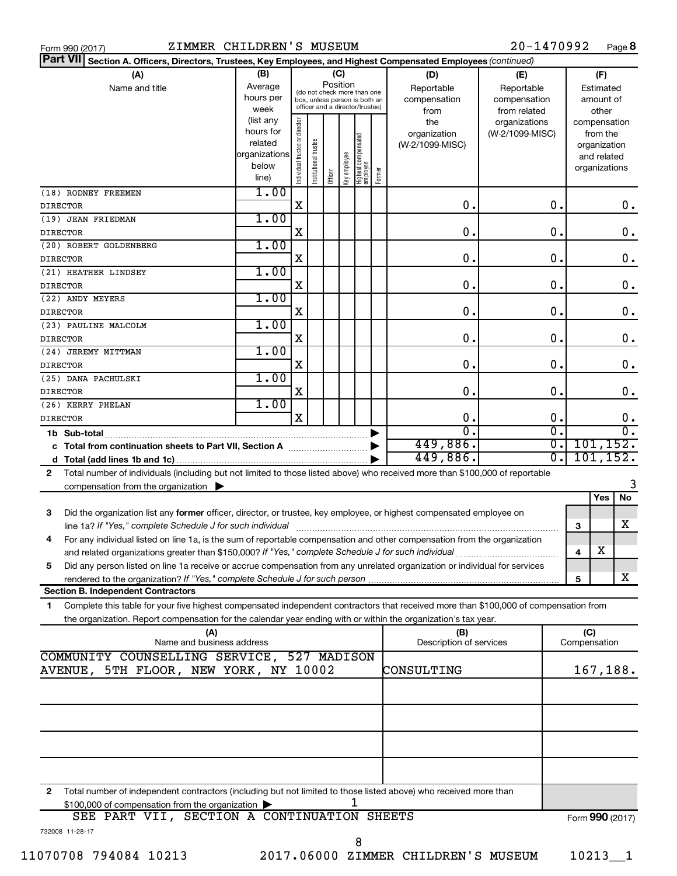|  | Form 990 (2017) |
|--|-----------------|

| Part VII Section A. Officers, Directors, Trustees, Key Employees, and Highest Compensated Employees (continued)                           |                        |                                |                       |          |              |                                 |        |                         |                 |                             |  |
|-------------------------------------------------------------------------------------------------------------------------------------------|------------------------|--------------------------------|-----------------------|----------|--------------|---------------------------------|--------|-------------------------|-----------------|-----------------------------|--|
| (A)                                                                                                                                       | (B)                    |                                |                       |          | (C)          |                                 |        | (D)                     | (E)             | (F)                         |  |
| Name and title                                                                                                                            | Average                |                                |                       | Position |              | (do not check more than one     |        | Reportable              | Reportable      | Estimated                   |  |
|                                                                                                                                           | hours per              |                                |                       |          |              | box, unless person is both an   |        | compensation            | compensation    | amount of                   |  |
|                                                                                                                                           | week                   |                                |                       |          |              | officer and a director/trustee) |        | from                    | from related    | other                       |  |
|                                                                                                                                           | (list any<br>hours for |                                |                       |          |              |                                 |        | the                     | organizations   | compensation                |  |
|                                                                                                                                           | related                |                                |                       |          |              |                                 |        | organization            | (W-2/1099-MISC) | from the                    |  |
|                                                                                                                                           | organizations          |                                |                       |          |              |                                 |        | (W-2/1099-MISC)         |                 | organization<br>and related |  |
|                                                                                                                                           | below                  |                                |                       |          |              |                                 |        |                         |                 | organizations               |  |
|                                                                                                                                           | line)                  | Individual trustee or director | Institutional trustee | Officer  | Key employee | Highest compensated<br>employee | Former |                         |                 |                             |  |
| (18) RODNEY FREEMEN                                                                                                                       | 1.00                   |                                |                       |          |              |                                 |        |                         |                 |                             |  |
| <b>DIRECTOR</b>                                                                                                                           |                        | Χ                              |                       |          |              |                                 |        | $\mathbf 0$ .           | 0.              | 0.                          |  |
| (19) JEAN FRIEDMAN                                                                                                                        | 1.00                   |                                |                       |          |              |                                 |        |                         |                 |                             |  |
| <b>DIRECTOR</b>                                                                                                                           |                        | Χ                              |                       |          |              |                                 |        | $\mathbf 0$ .           | $\mathbf 0$ .   | 0.                          |  |
| (20) ROBERT GOLDENBERG                                                                                                                    | 1.00                   |                                |                       |          |              |                                 |        |                         |                 |                             |  |
| <b>DIRECTOR</b>                                                                                                                           |                        | Χ                              |                       |          |              |                                 |        | $\mathbf 0$ .           | $\mathbf 0$ .   | 0.                          |  |
| (21) HEATHER LINDSEY                                                                                                                      | 1.00                   |                                |                       |          |              |                                 |        |                         |                 |                             |  |
| <b>DIRECTOR</b>                                                                                                                           |                        | X                              |                       |          |              |                                 |        | $\mathbf 0$ .           | $\mathbf 0$ .   | 0.                          |  |
| (22) ANDY MEYERS                                                                                                                          | 1.00                   |                                |                       |          |              |                                 |        |                         |                 |                             |  |
| <b>DIRECTOR</b>                                                                                                                           |                        | X                              |                       |          |              |                                 |        | $\mathbf 0$ .           | $\mathbf 0$ .   | 0.                          |  |
| (23) PAULINE MALCOLM                                                                                                                      | 1.00                   |                                |                       |          |              |                                 |        |                         |                 |                             |  |
| <b>DIRECTOR</b>                                                                                                                           |                        | X                              |                       |          |              |                                 |        | $\mathbf 0$ .           | $\mathbf 0$ .   | 0.                          |  |
| (24) JEREMY MITTMAN                                                                                                                       | 1.00                   |                                |                       |          |              |                                 |        |                         |                 |                             |  |
| <b>DIRECTOR</b>                                                                                                                           |                        | Χ                              |                       |          |              |                                 |        | $\mathbf 0$ .           | $\mathbf 0$ .   | 0.                          |  |
| (25) DANA PACHULSKI                                                                                                                       | 1.00                   |                                |                       |          |              |                                 |        |                         |                 |                             |  |
| <b>DIRECTOR</b>                                                                                                                           |                        | Χ                              |                       |          |              |                                 |        | $\mathbf 0$ .           | $\mathbf 0$ .   | 0.                          |  |
| (26) KERRY PHELAN                                                                                                                         | 1.00                   |                                |                       |          |              |                                 |        |                         |                 |                             |  |
| <b>DIRECTOR</b>                                                                                                                           |                        | X                              |                       |          |              |                                 |        | $\mathbf 0$ .           | 0.              | 0.                          |  |
| 1b Sub-total                                                                                                                              |                        |                                |                       |          |              |                                 |        | 0                       | σ.              | 0.                          |  |
| c Total from continuation sheets to Part VII, Section A manufactured by                                                                   |                        |                                |                       |          |              |                                 |        | 449,886.                | σ.              | 101, 152.                   |  |
|                                                                                                                                           |                        |                                |                       |          |              |                                 |        | 449,886.                | σ.              | 101, 152.                   |  |
| Total number of individuals (including but not limited to those listed above) who received more than \$100,000 of reportable<br>2         |                        |                                |                       |          |              |                                 |        |                         |                 |                             |  |
| compensation from the organization $\blacktriangleright$                                                                                  |                        |                                |                       |          |              |                                 |        |                         |                 |                             |  |
|                                                                                                                                           |                        |                                |                       |          |              |                                 |        |                         |                 | Yes<br>No                   |  |
| Did the organization list any former officer, director, or trustee, key employee, or highest compensated employee on<br>3                 |                        |                                |                       |          |              |                                 |        |                         |                 |                             |  |
| line 1a? If "Yes," complete Schedule J for such individual                                                                                |                        |                                |                       |          |              |                                 |        |                         |                 | X<br>3                      |  |
| For any individual listed on line 1a, is the sum of reportable compensation and other compensation from the organization<br>4             |                        |                                |                       |          |              |                                 |        |                         |                 |                             |  |
| and related organizations greater than \$150,000? If "Yes," complete Schedule J for such individual                                       |                        |                                |                       |          |              |                                 |        |                         |                 | X<br>4                      |  |
| Did any person listed on line 1a receive or accrue compensation from any unrelated organization or individual for services<br>5           |                        |                                |                       |          |              |                                 |        |                         |                 |                             |  |
| rendered to the organization? If "Yes," complete Schedule J for such person.                                                              |                        |                                |                       |          |              |                                 |        |                         |                 | x<br>5                      |  |
| <b>Section B. Independent Contractors</b>                                                                                                 |                        |                                |                       |          |              |                                 |        |                         |                 |                             |  |
| Complete this table for your five highest compensated independent contractors that received more than \$100,000 of compensation from<br>1 |                        |                                |                       |          |              |                                 |        |                         |                 |                             |  |
| the organization. Report compensation for the calendar year ending with or within the organization's tax year.                            |                        |                                |                       |          |              |                                 |        |                         |                 |                             |  |
| (A)                                                                                                                                       |                        |                                |                       |          |              |                                 |        | (B)                     |                 | (C)                         |  |
| Name and business address                                                                                                                 |                        |                                |                       |          |              |                                 |        | Description of services |                 | Compensation                |  |
| COMMUNITY COUNSELLING SERVICE, 527 MADISON                                                                                                |                        |                                |                       |          |              |                                 |        |                         |                 |                             |  |
| AVENUE, 5TH FLOOR, NEW YORK, NY 10002                                                                                                     |                        |                                |                       |          |              |                                 |        | CONSULTING              |                 | 167,188.                    |  |
|                                                                                                                                           |                        |                                |                       |          |              |                                 |        |                         |                 |                             |  |
|                                                                                                                                           |                        |                                |                       |          |              |                                 |        |                         |                 |                             |  |
|                                                                                                                                           |                        |                                |                       |          |              |                                 |        |                         |                 |                             |  |
|                                                                                                                                           |                        |                                |                       |          |              |                                 |        |                         |                 |                             |  |
|                                                                                                                                           |                        |                                |                       |          |              |                                 |        |                         |                 |                             |  |
|                                                                                                                                           |                        |                                |                       |          |              |                                 |        |                         |                 |                             |  |
|                                                                                                                                           |                        |                                |                       |          |              |                                 |        |                         |                 |                             |  |
|                                                                                                                                           |                        |                                |                       |          |              |                                 |        |                         |                 |                             |  |
| Total number of independent contractors (including but not limited to those listed above) who received more than<br>2                     |                        |                                |                       |          |              |                                 |        |                         |                 |                             |  |
| \$100,000 of compensation from the organization                                                                                           |                        |                                |                       |          |              |                                 |        |                         |                 |                             |  |
| SEE PART VII, SECTION A CONTINUATION SHEETS                                                                                               |                        |                                |                       |          |              |                                 |        |                         |                 | Form 990 (2017)             |  |

8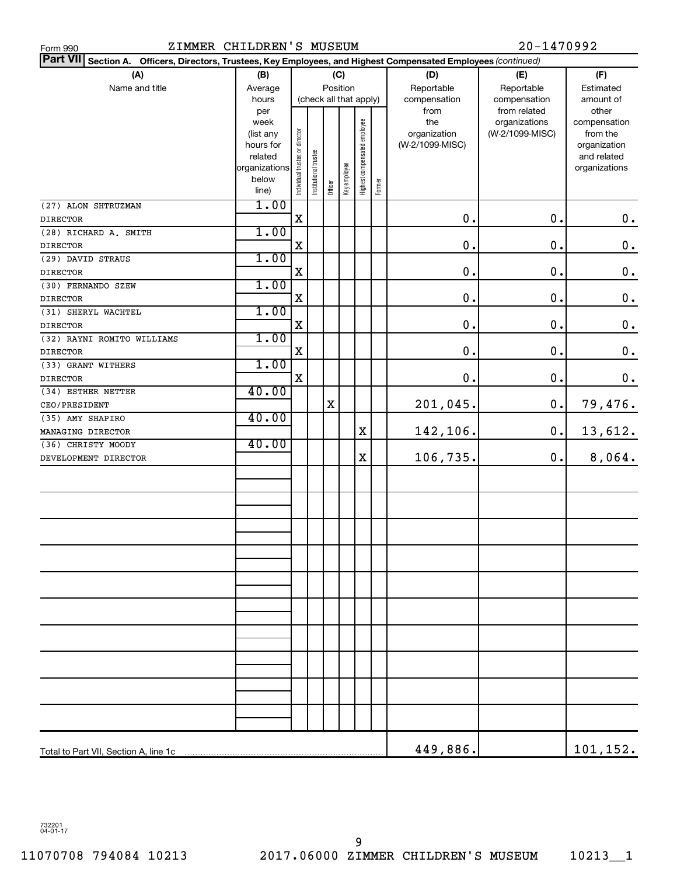| ZIMMER CHILDREN'S MUSEUM<br>Form 990                                                                            |                        |                                |                        |         |              |                              |        |                 | 20-1470992                    |                       |
|-----------------------------------------------------------------------------------------------------------------|------------------------|--------------------------------|------------------------|---------|--------------|------------------------------|--------|-----------------|-------------------------------|-----------------------|
| Part VII Section A. Officers, Directors, Trustees, Key Employees, and Highest Compensated Employees (continued) |                        |                                |                        |         |              |                              |        |                 |                               |                       |
| (A)                                                                                                             | (B)                    |                                |                        |         | (C)          |                              |        | (D)             | (E)                           | (F)                   |
| Name and title                                                                                                  | Average                |                                |                        |         | Position     |                              |        | Reportable      | Reportable                    | Estimated             |
|                                                                                                                 | hours                  |                                | (check all that apply) |         |              |                              |        | compensation    | compensation                  | amount of             |
|                                                                                                                 | per<br>week            |                                |                        |         |              |                              |        | from<br>the     | from related<br>organizations | other<br>compensation |
|                                                                                                                 | (list any              |                                |                        |         |              |                              |        | organization    | (W-2/1099-MISC)               | from the              |
|                                                                                                                 | hours for              |                                |                        |         |              |                              |        | (W-2/1099-MISC) |                               | organization          |
|                                                                                                                 | related                |                                |                        |         |              |                              |        |                 |                               | and related           |
|                                                                                                                 | organizations<br>below |                                |                        |         |              |                              |        |                 |                               | organizations         |
|                                                                                                                 | line)                  | Individual trustee or director | Institutional trustee  | Officer | Key employee | Highest compensated employee | Former |                 |                               |                       |
| (27) ALON SHTRUZMAN                                                                                             | 1.00                   |                                |                        |         |              |                              |        |                 |                               |                       |
| <b>DIRECTOR</b>                                                                                                 |                        | X                              |                        |         |              |                              |        | 0.              | 0.                            | $0\,$ .               |
| (28) RICHARD A. SMITH                                                                                           | 1.00                   |                                |                        |         |              |                              |        |                 |                               |                       |
| <b>DIRECTOR</b>                                                                                                 |                        | X                              |                        |         |              |                              |        | 0.              | 0.                            | $\mathbf 0$ .         |
| (29) DAVID STRAUS                                                                                               | 1.00                   |                                |                        |         |              |                              |        |                 |                               |                       |
| <b>DIRECTOR</b>                                                                                                 |                        | X                              |                        |         |              |                              |        | 0.              | 0.                            | $\mathbf 0$ .         |
| (30) FERNANDO SZEW                                                                                              | 1.00                   |                                |                        |         |              |                              |        | 0.              |                               |                       |
| <b>DIRECTOR</b>                                                                                                 | 1.00                   | X                              |                        |         |              |                              |        |                 | 0.                            | $\mathbf 0$ .         |
| (31) SHERYL WACHTEL                                                                                             |                        | X                              |                        |         |              |                              |        | 0.              | 0.                            | $\mathbf 0$ .         |
| <b>DIRECTOR</b><br>(32) RAYNI ROMITO WILLIAMS                                                                   | 1.00                   |                                |                        |         |              |                              |        |                 |                               |                       |
| <b>DIRECTOR</b>                                                                                                 |                        | X                              |                        |         |              |                              |        | 0.              | 0.                            | $\mathbf 0$ .         |
| (33) GRANT WITHERS                                                                                              | 1.00                   |                                |                        |         |              |                              |        |                 |                               |                       |
| <b>DIRECTOR</b>                                                                                                 |                        | X                              |                        |         |              |                              |        | 0.              | 0.                            | $0$ .                 |
| (34) ESTHER NETTER                                                                                              | 40.00                  |                                |                        |         |              |                              |        |                 |                               |                       |
| CEO/PRESIDENT                                                                                                   |                        |                                |                        | $\rm X$ |              |                              |        | 201,045.        | $\mathbf 0$ .                 | 79,476.               |
| (35) AMY SHAPIRO                                                                                                | 40.00                  |                                |                        |         |              |                              |        |                 |                               |                       |
| MANAGING DIRECTOR                                                                                               |                        |                                |                        |         |              | $\mathbf X$                  |        | 142,106.        | $\mathbf 0$ .                 | 13,612.               |
| (36) CHRISTY MOODY                                                                                              | 40.00                  |                                |                        |         |              |                              |        |                 |                               |                       |
| DEVELOPMENT DIRECTOR                                                                                            |                        |                                |                        |         |              | $\mathbf X$                  |        | 106,735.        | 0.                            | 8,064.                |
|                                                                                                                 |                        |                                |                        |         |              |                              |        |                 |                               |                       |
|                                                                                                                 |                        |                                |                        |         |              |                              |        |                 |                               |                       |
|                                                                                                                 |                        |                                |                        |         |              |                              |        |                 |                               |                       |
|                                                                                                                 |                        |                                |                        |         |              |                              |        |                 |                               |                       |
|                                                                                                                 |                        |                                |                        |         |              |                              |        |                 |                               |                       |
|                                                                                                                 |                        |                                |                        |         |              |                              |        |                 |                               |                       |
|                                                                                                                 |                        |                                |                        |         |              |                              |        |                 |                               |                       |
|                                                                                                                 |                        |                                |                        |         |              |                              |        |                 |                               |                       |
|                                                                                                                 |                        |                                |                        |         |              |                              |        |                 |                               |                       |
|                                                                                                                 |                        |                                |                        |         |              |                              |        |                 |                               |                       |
|                                                                                                                 |                        |                                |                        |         |              |                              |        |                 |                               |                       |
|                                                                                                                 |                        |                                |                        |         |              |                              |        |                 |                               |                       |
|                                                                                                                 |                        |                                |                        |         |              |                              |        |                 |                               |                       |
|                                                                                                                 |                        |                                |                        |         |              |                              |        |                 |                               |                       |
|                                                                                                                 |                        |                                |                        |         |              |                              |        |                 |                               |                       |
|                                                                                                                 |                        |                                |                        |         |              |                              |        |                 |                               |                       |
|                                                                                                                 |                        |                                |                        |         |              |                              |        |                 |                               |                       |
|                                                                                                                 |                        |                                |                        |         |              |                              |        |                 |                               |                       |
|                                                                                                                 |                        |                                |                        |         |              |                              |        |                 |                               |                       |
| Total to Part VII, Section A, line 1c                                                                           |                        |                                |                        |         |              |                              |        | 449,886.        |                               | 101,152.              |

732201 04-01-17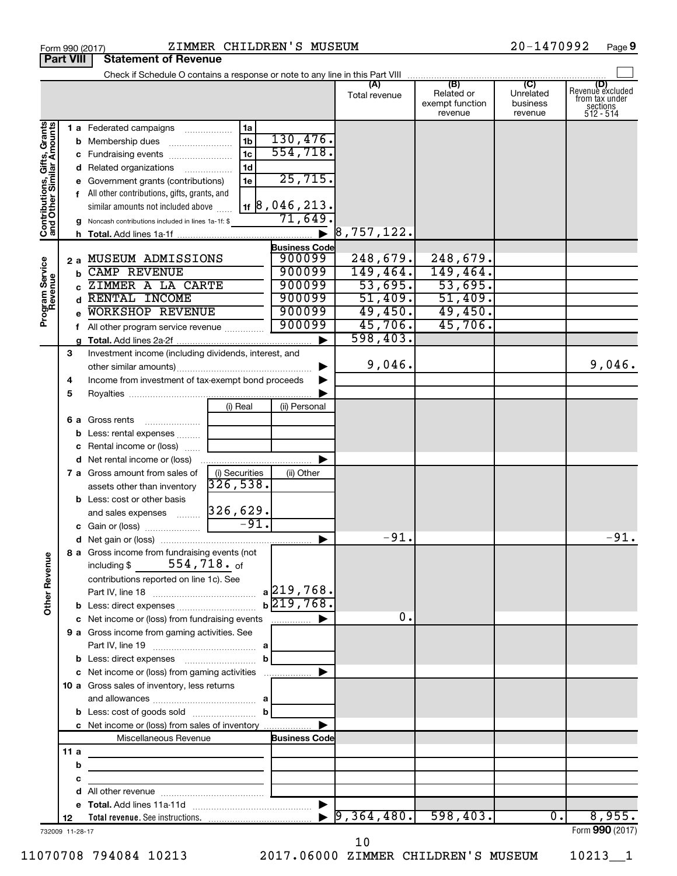|                                                           | <b>Fait VIII</b> | olalchicht of Uckchac                                                                                                |                |                       |               |                                          |                                  |                                                                    |
|-----------------------------------------------------------|------------------|----------------------------------------------------------------------------------------------------------------------|----------------|-----------------------|---------------|------------------------------------------|----------------------------------|--------------------------------------------------------------------|
|                                                           |                  | Check if Schedule O contains a response or note to any line in this Part VIII (B) (B) (C) C) $\frac{1}{\sqrt{2\pi}}$ |                |                       | Total revenue | Related or<br>exempt function<br>revenue | Unrelated<br>business<br>revenue | (D)<br>Revenue excluded<br>from tax under<br>sections<br>512 - 514 |
| Contributions, Gifts, Grants<br>and Other Similar Amounts |                  | <b>1 a</b> Federated campaigns                                                                                       | 1a             |                       |               |                                          |                                  |                                                                    |
|                                                           |                  |                                                                                                                      | 1 <sub>b</sub> | 130,476.              |               |                                          |                                  |                                                                    |
|                                                           |                  |                                                                                                                      | 1 <sub>c</sub> | 554, 718.             |               |                                          |                                  |                                                                    |
|                                                           |                  | d Related organizations                                                                                              | 1 <sub>d</sub> |                       |               |                                          |                                  |                                                                    |
|                                                           |                  | e Government grants (contributions)                                                                                  | 1e             | 25,715.               |               |                                          |                                  |                                                                    |
|                                                           |                  | f All other contributions, gifts, grants, and                                                                        |                |                       |               |                                          |                                  |                                                                    |
|                                                           |                  | similar amounts not included above                                                                                   |                | $_{1f}$ 8,046,213.    |               |                                          |                                  |                                                                    |
|                                                           |                  | g Noncash contributions included in lines 1a-1f: \$                                                                  |                | 71,649                |               |                                          |                                  |                                                                    |
|                                                           |                  |                                                                                                                      |                |                       | 8, 757, 122.  |                                          |                                  |                                                                    |
|                                                           |                  |                                                                                                                      |                | <b>Business Code</b>  |               |                                          |                                  |                                                                    |
|                                                           |                  | 2 a MUSEUM ADMISSIONS                                                                                                |                | 900099                | 248,679.      | 248,679.                                 |                                  |                                                                    |
|                                                           | b.               | <b>CAMP REVENUE</b>                                                                                                  |                | 900099                | 149,464.      | 149,464.                                 |                                  |                                                                    |
|                                                           |                  | ZIMMER A LA CARTE                                                                                                    |                | 900099                | 53,695.       | 53,695.                                  |                                  |                                                                    |
|                                                           |                  | d RENTAL INCOME                                                                                                      |                | 900099                | 51,409.       | 51,409.                                  |                                  |                                                                    |
| Program Service<br>Revenue                                |                  | <b>WORKSHOP REVENUE</b>                                                                                              |                | 900099                | 49,450.       | 49,450.                                  |                                  |                                                                    |
|                                                           |                  | f All other program service revenue                                                                                  |                | 900099                | 45,706.       | 45,706.                                  |                                  |                                                                    |
|                                                           |                  |                                                                                                                      |                |                       | 598,403.      |                                          |                                  |                                                                    |
|                                                           | 3                | Investment income (including dividends, interest, and                                                                |                |                       |               |                                          |                                  |                                                                    |
|                                                           |                  |                                                                                                                      |                |                       | 9,046.        |                                          |                                  | 9,046.                                                             |
|                                                           | 4                | Income from investment of tax-exempt bond proceeds                                                                   |                |                       |               |                                          |                                  |                                                                    |
|                                                           | 5                |                                                                                                                      |                |                       |               |                                          |                                  |                                                                    |
|                                                           |                  |                                                                                                                      | (i) Real       | (ii) Personal         |               |                                          |                                  |                                                                    |
|                                                           |                  | 6 a Gross rents                                                                                                      |                |                       |               |                                          |                                  |                                                                    |
|                                                           |                  | <b>b</b> Less: rental expenses <i>many</i>                                                                           |                |                       |               |                                          |                                  |                                                                    |
|                                                           |                  | c Rental income or (loss)                                                                                            |                |                       |               |                                          |                                  |                                                                    |
|                                                           |                  |                                                                                                                      |                |                       |               |                                          |                                  |                                                                    |
|                                                           |                  | 7 a Gross amount from sales of                                                                                       | (i) Securities | (ii) Other            |               |                                          |                                  |                                                                    |
|                                                           |                  | assets other than inventory                                                                                          | 326,538.       |                       |               |                                          |                                  |                                                                    |
|                                                           |                  | <b>b</b> Less: cost or other basis                                                                                   |                |                       |               |                                          |                                  |                                                                    |
|                                                           |                  |                                                                                                                      |                |                       |               |                                          |                                  |                                                                    |
|                                                           |                  |                                                                                                                      |                |                       |               |                                          |                                  |                                                                    |
|                                                           |                  |                                                                                                                      |                | $\blacktriangleright$ | $-91.$        |                                          |                                  | $-91.$                                                             |
| Ф                                                         |                  | 8 a Gross income from fundraising events (not                                                                        |                |                       |               |                                          |                                  |                                                                    |
|                                                           |                  | $554$ , $718.$ of<br>including \$                                                                                    |                |                       |               |                                          |                                  |                                                                    |
|                                                           |                  | contributions reported on line 1c). See                                                                              |                |                       |               |                                          |                                  |                                                                    |
|                                                           |                  |                                                                                                                      |                | a 219,768.            |               |                                          |                                  |                                                                    |
| Other Revenu                                              |                  |                                                                                                                      |                | $b\overline{219,768}$ |               |                                          |                                  |                                                                    |
|                                                           |                  | c Net income or (loss) from fundraising events                                                                       |                | .                     | 0.            |                                          |                                  |                                                                    |
|                                                           |                  | 9 a Gross income from gaming activities. See                                                                         |                |                       |               |                                          |                                  |                                                                    |
|                                                           |                  |                                                                                                                      |                |                       |               |                                          |                                  |                                                                    |
|                                                           |                  |                                                                                                                      | b              |                       |               |                                          |                                  |                                                                    |
|                                                           |                  | c Net income or (loss) from gaming activities                                                                        |                |                       |               |                                          |                                  |                                                                    |
|                                                           |                  | <b>10 a</b> Gross sales of inventory, less returns                                                                   |                |                       |               |                                          |                                  |                                                                    |
|                                                           |                  |                                                                                                                      |                |                       |               |                                          |                                  |                                                                    |
|                                                           |                  |                                                                                                                      | b              |                       |               |                                          |                                  |                                                                    |
|                                                           |                  | c Net income or (loss) from sales of inventory                                                                       |                |                       |               |                                          |                                  |                                                                    |
|                                                           |                  | Miscellaneous Revenue                                                                                                |                | <b>Business Code</b>  |               |                                          |                                  |                                                                    |
|                                                           | 11a              |                                                                                                                      |                |                       |               |                                          |                                  |                                                                    |
|                                                           | b                |                                                                                                                      |                |                       |               |                                          |                                  |                                                                    |
|                                                           | c                |                                                                                                                      |                |                       |               |                                          |                                  |                                                                    |
|                                                           | d                |                                                                                                                      |                |                       |               |                                          |                                  |                                                                    |
|                                                           |                  |                                                                                                                      |                |                       |               |                                          |                                  |                                                                    |
|                                                           | 12               |                                                                                                                      |                |                       | 9,364,480.    | 598,403.                                 | 0.                               | 8,955.                                                             |
|                                                           | 732009 11-28-17  |                                                                                                                      |                |                       |               |                                          |                                  | Form 990 (2017)                                                    |

## Form 990 (2017) Page ZIMMER CHILDREN'S MUSEUM 20-1470992

**Part VIII Statement of Revenue**<br> **Part VIII** | Statement of Revenue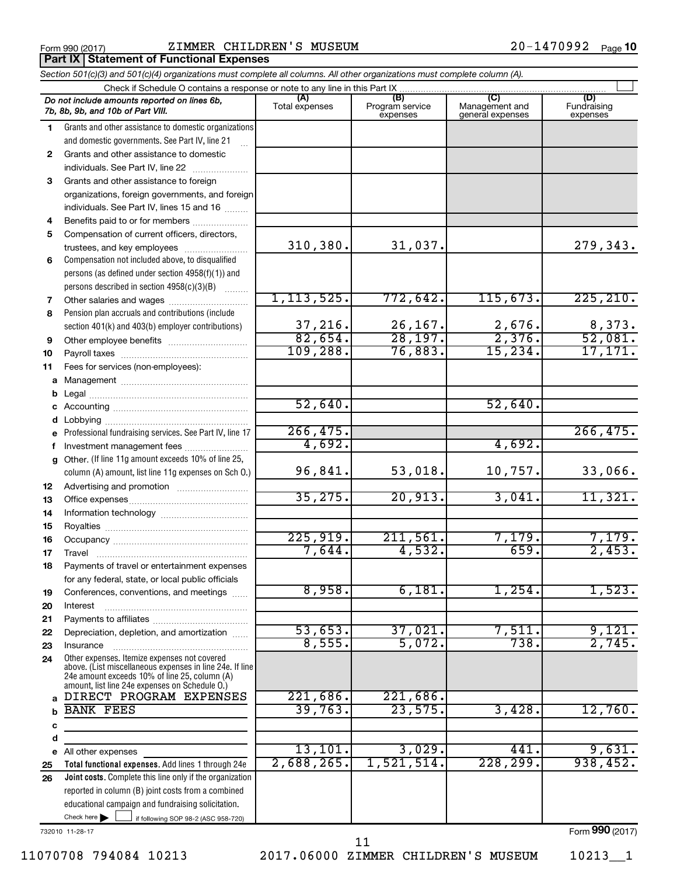**Part IX Statement of Functional Expenses** 

|              | Section 501(c)(3) and 501(c)(4) organizations must complete all columns. All other organizations must complete column (A).                                                                                  |                        |                                    |                                           |                                |
|--------------|-------------------------------------------------------------------------------------------------------------------------------------------------------------------------------------------------------------|------------------------|------------------------------------|-------------------------------------------|--------------------------------|
|              | Check if Schedule O contains a response or note to any line in this Part IX                                                                                                                                 |                        |                                    |                                           |                                |
|              | Do not include amounts reported on lines 6b,<br>7b, 8b, 9b, and 10b of Part VIII.                                                                                                                           | (A)<br>Total expenses  | (B)<br>Program service<br>expenses | (C)<br>Management and<br>general expenses | (D)<br>Fundraising<br>expenses |
| 1            | Grants and other assistance to domestic organizations                                                                                                                                                       |                        |                                    |                                           |                                |
|              | and domestic governments. See Part IV, line 21                                                                                                                                                              |                        |                                    |                                           |                                |
| $\mathbf{2}$ | Grants and other assistance to domestic                                                                                                                                                                     |                        |                                    |                                           |                                |
|              | individuals. See Part IV, line 22                                                                                                                                                                           |                        |                                    |                                           |                                |
| 3            | Grants and other assistance to foreign                                                                                                                                                                      |                        |                                    |                                           |                                |
|              | organizations, foreign governments, and foreign                                                                                                                                                             |                        |                                    |                                           |                                |
|              | individuals. See Part IV, lines 15 and 16                                                                                                                                                                   |                        |                                    |                                           |                                |
| 4            | Benefits paid to or for members                                                                                                                                                                             |                        |                                    |                                           |                                |
| 5            | Compensation of current officers, directors,                                                                                                                                                                |                        |                                    |                                           |                                |
|              | trustees, and key employees                                                                                                                                                                                 | 310, 380.              | 31,037.                            |                                           | 279,343.                       |
| 6            | Compensation not included above, to disqualified                                                                                                                                                            |                        |                                    |                                           |                                |
|              | persons (as defined under section 4958(f)(1)) and                                                                                                                                                           |                        |                                    |                                           |                                |
|              | persons described in section 4958(c)(3)(B)                                                                                                                                                                  |                        |                                    |                                           |                                |
| 7            | Other salaries and wages                                                                                                                                                                                    | 1, 113, 525.           | 772,642.                           | 115,673.                                  | 225, 210.                      |
| 8            | Pension plan accruals and contributions (include                                                                                                                                                            |                        |                                    |                                           |                                |
|              | section 401(k) and 403(b) employer contributions)                                                                                                                                                           | $\frac{37}{82}$ , 216. | $\frac{26,167.}{28,197.}$          | $\frac{2,676}{2,376}$                     | $\frac{8,373}{52,081}$         |
| 9            | Other employee benefits                                                                                                                                                                                     |                        |                                    | 15, 234.                                  |                                |
| 10           |                                                                                                                                                                                                             | 109, 288.              | 76,883.                            |                                           | 17,171.                        |
| 11           | Fees for services (non-employees):                                                                                                                                                                          |                        |                                    |                                           |                                |
| a            |                                                                                                                                                                                                             |                        |                                    |                                           |                                |
| b            |                                                                                                                                                                                                             | 52,640.                |                                    | 52,640.                                   |                                |
| с            |                                                                                                                                                                                                             |                        |                                    |                                           |                                |
| d            |                                                                                                                                                                                                             | 266, 475.              |                                    |                                           | 266, 475.                      |
| е            | Professional fundraising services. See Part IV, line 17                                                                                                                                                     | 4,692.                 |                                    | 4,692.                                    |                                |
| f            | Investment management fees<br>Other. (If line 11g amount exceeds 10% of line 25,                                                                                                                            |                        |                                    |                                           |                                |
| g            | column (A) amount, list line 11g expenses on Sch O.)                                                                                                                                                        | 96,841.                | 53,018.                            | 10,757.                                   | 33,066.                        |
| 12           |                                                                                                                                                                                                             |                        |                                    |                                           |                                |
| 13           |                                                                                                                                                                                                             | 35, 275.               | 20,913.                            | 3,041.                                    | 11,321.                        |
| 14           |                                                                                                                                                                                                             |                        |                                    |                                           |                                |
| 15           |                                                                                                                                                                                                             | 225,919.               | 211,561.                           | 7,179.                                    | 7,179.                         |
| 16           |                                                                                                                                                                                                             | 7,644.                 | 4,532.                             | 659.                                      | 2,453.                         |
| 17           |                                                                                                                                                                                                             |                        |                                    |                                           |                                |
| 18           | Payments of travel or entertainment expenses                                                                                                                                                                |                        |                                    |                                           |                                |
| 19           | for any federal, state, or local public officials<br>Conferences, conventions, and meetings                                                                                                                 | 8,958.                 | 6,181.                             | 1,254.                                    | 1,523.                         |
| 20           | Interest                                                                                                                                                                                                    |                        |                                    |                                           |                                |
| 21           |                                                                                                                                                                                                             |                        |                                    |                                           |                                |
| 22           | Depreciation, depletion, and amortization                                                                                                                                                                   | 53,653.                | 37,021.                            | 7,511                                     | 9,121.                         |
| 23           | Insurance                                                                                                                                                                                                   | 8,555.                 | 5,072.                             | 738.                                      | 2,745.                         |
| 24           | Other expenses. Itemize expenses not covered<br>above. (List miscellaneous expenses in line 24e. If line<br>24e amount exceeds 10% of line 25, column (A)<br>amount, list line 24e expenses on Schedule O.) |                        |                                    |                                           |                                |
| a            | DIRECT PROGRAM EXPENSES                                                                                                                                                                                     | 221,686.               | 221,686.                           |                                           |                                |
| b            | <b>BANK FEES</b>                                                                                                                                                                                            | 39,763.                | 23,575.                            | 3,428.                                    | 12,760.                        |
| с            |                                                                                                                                                                                                             |                        |                                    |                                           |                                |
| d            |                                                                                                                                                                                                             |                        |                                    |                                           |                                |
| е            | All other expenses                                                                                                                                                                                          | 13, 101.               | 3,029.                             | 441                                       | 9,631.                         |
| 25           | Total functional expenses. Add lines 1 through 24e                                                                                                                                                          | 2,688,265.             | 1,521,514.                         | 228, 299.                                 | 938,452.                       |
| 26           | Joint costs. Complete this line only if the organization                                                                                                                                                    |                        |                                    |                                           |                                |
|              | reported in column (B) joint costs from a combined                                                                                                                                                          |                        |                                    |                                           |                                |
|              | educational campaign and fundraising solicitation.                                                                                                                                                          |                        |                                    |                                           |                                |
|              | Check here $\blacktriangleright$<br>if following SOP 98-2 (ASC 958-720)                                                                                                                                     |                        |                                    |                                           |                                |

732010 11-28-17

11070708 794084 10213 2017.06000 ZIMMER CHILDREN'S MUSEUM 10213\_\_1 11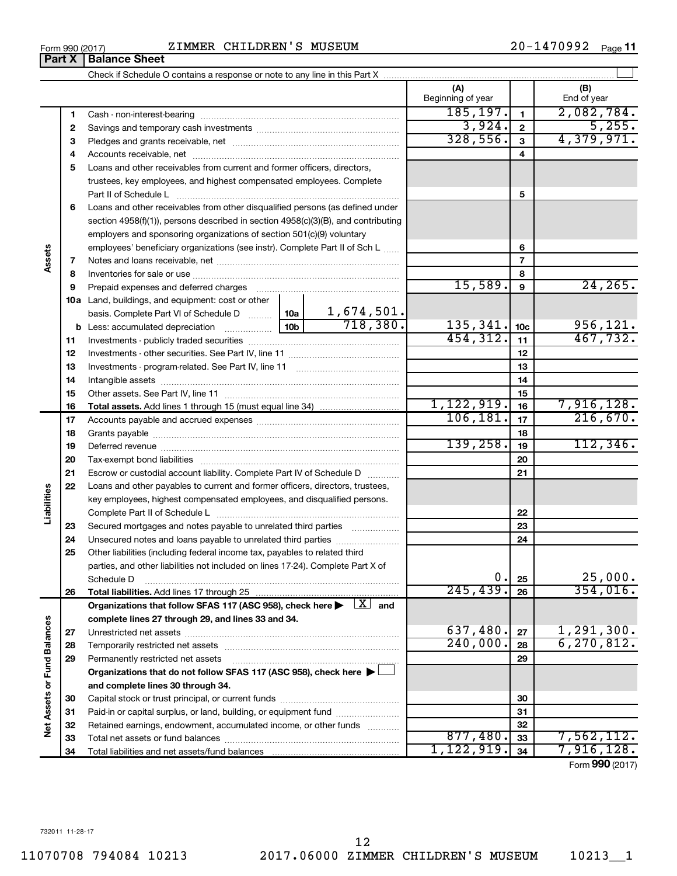**34**

Total liabilities and net assets/fund balances

**Part X Balance Sheet** 

**Assets**

**Liabilities**

**Vet Assets or Fund Balances** 

| Form 990 (2017) | CHILDREN'S<br>MUSEUM<br>ZIMMER | .470992<br>20-<br>Page |
|-----------------|--------------------------------|------------------------|
|                 |                                |                        |

Check if Schedule O contains a response or note to any line in this Part X

**1 2 3** Pledges and grants receivable, net ~~~~~~~~~~~~~~~~~~~~~ **4** Accounts receivable, net ~~~~~~~~~~~~~~~~~~~~~~~~~~ **5** Loans and other receivables from current and former officers, directors, **6** Loans and other receivables from other disqualified persons (as defined under **7 8 9 10 a** Land, buildings, and equipment: cost or other **11** Investments - publicly traded securities ~~~~~~~~~~~~~~~~~~~ **12** Investments - other securities. See Part IV, line 11 ~~~~~~~~~~~~~~ **13 14 15 16 17 18 19 20 21 22 23 24 25 26 27 28 29 30 31 32 33 1 2 3 4 5 6 7 8 9 10c 11 12 13 14 15 16 17 18 19 20 21 22 23 24 25 26 b** Less: accumulated depreciation  $\ldots$  [10b basis. Complete Part VI of Schedule D  $\frac{1}{10}$  10a **Total assets.**  Add lines 1 through 15 (must equal line 34) **Total liabilities.**  Add lines 17 through 25 Organizations that follow SFAS 117 (ASC 958), check here  $\blacktriangleright$   $\boxed{X}$  and **complete lines 27 through 29, and lines 33 and 34. 27 28 29 Organizations that do not follow SFAS 117 (ASC 958), check here** | † **and complete lines 30 through 34. 30 31 32 33 34 Net Assets or Fund Balances** Beginning of year | | End of year Cash - non-interest-bearing ~~~~~~~~~~~~~~~~~~~~~~~~~ Savings and temporary cash investments ~~~~~~~~~~~~~~~~~~ trustees, key employees, and highest compensated employees. Complete Part II of Schedule L ~~~~~~~~~~~~~~~~~~~~~~~~~~~~ section 4958(f)(1)), persons described in section 4958(c)(3)(B), and contributing employers and sponsoring organizations of section 501(c)(9) voluntary employees' beneficiary organizations (see instr). Complete Part II of Sch L ...... Notes and loans receivable, net ~~~~~~~~~~~~~~~~~~~~~~~ Inventories for sale or use ~~~~~~~~~~~~~~~~~~~~~~~~~~ Prepaid expenses and deferred charges ~~~~~~~~~~~~~~~~~~ Investments - program-related. See Part IV, line 11 ~~~~~~~~~~~~~ Intangible assets ~~~~~~~~~~~~~~~~~~~~~~~~~~~~~~ Other assets. See Part IV, line 11 ~~~~~~~~~~~~~~~~~~~~~~ Accounts payable and accrued expenses ~~~~~~~~~~~~~~~~~~ Grants payable ~~~~~~~~~~~~~~~~~~~~~~~~~~~~~~~ Deferred revenue ~~~~~~~~~~~~~~~~~~~~~~~~~~~~~~ Tax-exempt bond liabilities ~~~~~~~~~~~~~~~~~~~~~~~~~ Escrow or custodial account liability. Complete Part IV of Schedule D ........... Loans and other payables to current and former officers, directors, trustees, key employees, highest compensated employees, and disqualified persons. Complete Part II of Schedule L ~~~~~~~~~~~~~~~~~~~~~~~ Secured mortgages and notes payable to unrelated third parties  $\ldots$  ................. Unsecured notes and loans payable to unrelated third parties ~~~~~~~~ Other liabilities (including federal income tax, payables to related third parties, and other liabilities not included on lines 17-24). Complete Part X of Schedule D ~~~~~~~~~~~~~~~~~~~~~~~~~~~~~~~~ Unrestricted net assets ~~~~~~~~~~~~~~~~~~~~~~~~~~~ Temporarily restricted net assets ~~~~~~~~~~~~~~~~~~~~~~ Permanently restricted net assets ~~~~~~~~~~~~~~~~~~~~~ Capital stock or trust principal, or current funds ~~~~~~~~~~~~~~~ Paid-in or capital surplus, or land, building, or equipment fund ....................... Retained earnings, endowment, accumulated income, or other funds ............ Total net assets or fund balances ~~~~~~~~~~~~~~~~~~~~~~  $185, 197.$  1 2,082,784.  $3,924.$   $2$   $5,255.$ 328,556. 4,379,971.  $15,589.$  9  $24,265.$ 1,674,501.  $718,380.$  135,341.  $|10c|$  956,121. 454,312. 11 467,732.  $1,122,919.$   $16$   $7,916,128.$  $106, 181.$  17  $216, 670.$  $139,258.$  19 112,346.  $0. |25|$  25,000. 245,439. 354,016. 637,480.  $|z_7|$  1,291,300.  $240,000$ .  $28$  6,270,812.  $877,480.$  33  $7,562,112.$ 1,122,919. 7,916,128.

 $\perp$ 

Form (2017) **990**

**(A) (B)**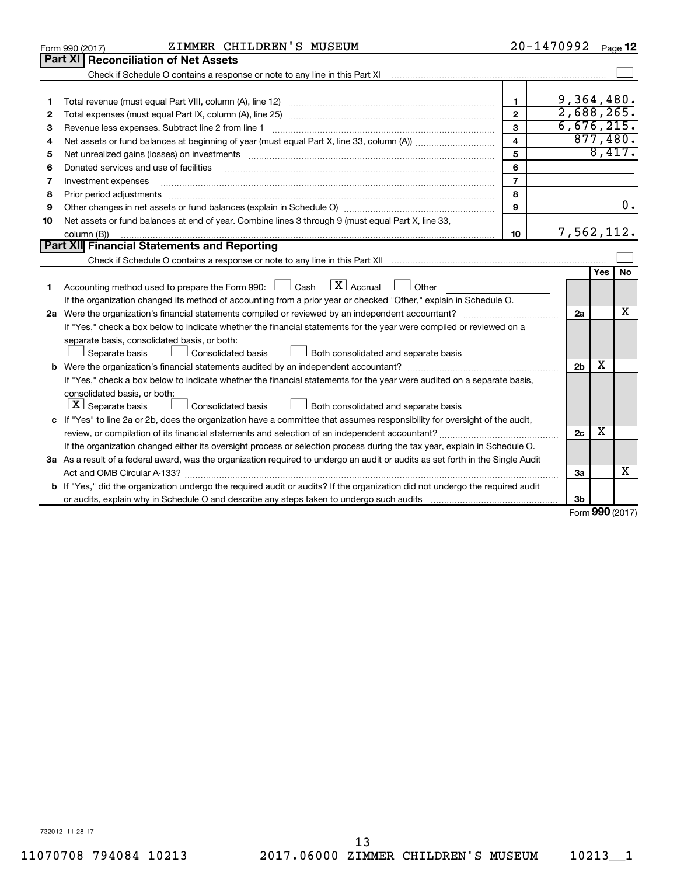| Part XI<br><b>Reconciliation of Net Assets</b><br>Check if Schedule O contains a response or note to any line in this Part XI<br>9,364,480.<br>1<br>1<br>2,688,265.<br>$\overline{2}$<br>2<br>6,676,215.<br>3<br>Revenue less expenses. Subtract line 2 from line 1<br>з<br>877,480.<br>$\overline{\mathbf{4}}$<br>4<br>8,417.<br>5<br>5<br>6<br>Donated services and use of facilities<br>6<br>$\overline{7}$<br>7<br>Investment expenses<br>8<br>8<br>Prior period adjustments<br>$\overline{0}$ .<br>9<br>9<br>Net assets or fund balances at end of year. Combine lines 3 through 9 (must equal Part X, line 33,<br>10<br>7,562,112.<br>10<br>column (B))<br>Part XII Financial Statements and Reporting<br>No<br>Yes<br>$\lfloor x \rfloor$ Accrual<br>Accounting method used to prepare the Form 990: $\Box$ Cash<br>Other<br>1.<br>If the organization changed its method of accounting from a prior year or checked "Other," explain in Schedule O.<br>х<br>2a<br>If "Yes," check a box below to indicate whether the financial statements for the year were compiled or reviewed on a<br>separate basis, consolidated basis, or both:<br>Both consolidated and separate basis<br>Separate basis<br>Consolidated basis<br>x<br>2 <sub>b</sub><br>If "Yes," check a box below to indicate whether the financial statements for the year were audited on a separate basis,<br>consolidated basis, or both:<br>$ \mathbf{X} $ Separate basis<br>Consolidated basis<br>Both consolidated and separate basis<br>c If "Yes" to line 2a or 2b, does the organization have a committee that assumes responsibility for oversight of the audit,<br>x<br>2c<br>If the organization changed either its oversight process or selection process during the tax year, explain in Schedule O.<br>3a As a result of a federal award, was the organization required to undergo an audit or audits as set forth in the Single Audit<br>x<br>Act and OMB Circular A-133?<br>За<br><b>b</b> If "Yes," did the organization undergo the required audit or audits? If the organization did not undergo the required audit |  | ZIMMER CHILDREN'S MUSEUM<br>Form 990 (2017) |  | 20-1470992 |  | Page 12 |  |  |  |
|-------------------------------------------------------------------------------------------------------------------------------------------------------------------------------------------------------------------------------------------------------------------------------------------------------------------------------------------------------------------------------------------------------------------------------------------------------------------------------------------------------------------------------------------------------------------------------------------------------------------------------------------------------------------------------------------------------------------------------------------------------------------------------------------------------------------------------------------------------------------------------------------------------------------------------------------------------------------------------------------------------------------------------------------------------------------------------------------------------------------------------------------------------------------------------------------------------------------------------------------------------------------------------------------------------------------------------------------------------------------------------------------------------------------------------------------------------------------------------------------------------------------------------------------------------------------------------------------------------------------------------------------------------------------------------------------------------------------------------------------------------------------------------------------------------------------------------------------------------------------------------------------------------------------------------------------------------------------------------------------------------------------------------------------------------------------------------------------------------------|--|---------------------------------------------|--|------------|--|---------|--|--|--|
|                                                                                                                                                                                                                                                                                                                                                                                                                                                                                                                                                                                                                                                                                                                                                                                                                                                                                                                                                                                                                                                                                                                                                                                                                                                                                                                                                                                                                                                                                                                                                                                                                                                                                                                                                                                                                                                                                                                                                                                                                                                                                                             |  |                                             |  |            |  |         |  |  |  |
|                                                                                                                                                                                                                                                                                                                                                                                                                                                                                                                                                                                                                                                                                                                                                                                                                                                                                                                                                                                                                                                                                                                                                                                                                                                                                                                                                                                                                                                                                                                                                                                                                                                                                                                                                                                                                                                                                                                                                                                                                                                                                                             |  |                                             |  |            |  |         |  |  |  |
|                                                                                                                                                                                                                                                                                                                                                                                                                                                                                                                                                                                                                                                                                                                                                                                                                                                                                                                                                                                                                                                                                                                                                                                                                                                                                                                                                                                                                                                                                                                                                                                                                                                                                                                                                                                                                                                                                                                                                                                                                                                                                                             |  |                                             |  |            |  |         |  |  |  |
|                                                                                                                                                                                                                                                                                                                                                                                                                                                                                                                                                                                                                                                                                                                                                                                                                                                                                                                                                                                                                                                                                                                                                                                                                                                                                                                                                                                                                                                                                                                                                                                                                                                                                                                                                                                                                                                                                                                                                                                                                                                                                                             |  |                                             |  |            |  |         |  |  |  |
|                                                                                                                                                                                                                                                                                                                                                                                                                                                                                                                                                                                                                                                                                                                                                                                                                                                                                                                                                                                                                                                                                                                                                                                                                                                                                                                                                                                                                                                                                                                                                                                                                                                                                                                                                                                                                                                                                                                                                                                                                                                                                                             |  |                                             |  |            |  |         |  |  |  |
|                                                                                                                                                                                                                                                                                                                                                                                                                                                                                                                                                                                                                                                                                                                                                                                                                                                                                                                                                                                                                                                                                                                                                                                                                                                                                                                                                                                                                                                                                                                                                                                                                                                                                                                                                                                                                                                                                                                                                                                                                                                                                                             |  |                                             |  |            |  |         |  |  |  |
|                                                                                                                                                                                                                                                                                                                                                                                                                                                                                                                                                                                                                                                                                                                                                                                                                                                                                                                                                                                                                                                                                                                                                                                                                                                                                                                                                                                                                                                                                                                                                                                                                                                                                                                                                                                                                                                                                                                                                                                                                                                                                                             |  |                                             |  |            |  |         |  |  |  |
|                                                                                                                                                                                                                                                                                                                                                                                                                                                                                                                                                                                                                                                                                                                                                                                                                                                                                                                                                                                                                                                                                                                                                                                                                                                                                                                                                                                                                                                                                                                                                                                                                                                                                                                                                                                                                                                                                                                                                                                                                                                                                                             |  |                                             |  |            |  |         |  |  |  |
|                                                                                                                                                                                                                                                                                                                                                                                                                                                                                                                                                                                                                                                                                                                                                                                                                                                                                                                                                                                                                                                                                                                                                                                                                                                                                                                                                                                                                                                                                                                                                                                                                                                                                                                                                                                                                                                                                                                                                                                                                                                                                                             |  |                                             |  |            |  |         |  |  |  |
|                                                                                                                                                                                                                                                                                                                                                                                                                                                                                                                                                                                                                                                                                                                                                                                                                                                                                                                                                                                                                                                                                                                                                                                                                                                                                                                                                                                                                                                                                                                                                                                                                                                                                                                                                                                                                                                                                                                                                                                                                                                                                                             |  |                                             |  |            |  |         |  |  |  |
|                                                                                                                                                                                                                                                                                                                                                                                                                                                                                                                                                                                                                                                                                                                                                                                                                                                                                                                                                                                                                                                                                                                                                                                                                                                                                                                                                                                                                                                                                                                                                                                                                                                                                                                                                                                                                                                                                                                                                                                                                                                                                                             |  |                                             |  |            |  |         |  |  |  |
|                                                                                                                                                                                                                                                                                                                                                                                                                                                                                                                                                                                                                                                                                                                                                                                                                                                                                                                                                                                                                                                                                                                                                                                                                                                                                                                                                                                                                                                                                                                                                                                                                                                                                                                                                                                                                                                                                                                                                                                                                                                                                                             |  |                                             |  |            |  |         |  |  |  |
|                                                                                                                                                                                                                                                                                                                                                                                                                                                                                                                                                                                                                                                                                                                                                                                                                                                                                                                                                                                                                                                                                                                                                                                                                                                                                                                                                                                                                                                                                                                                                                                                                                                                                                                                                                                                                                                                                                                                                                                                                                                                                                             |  |                                             |  |            |  |         |  |  |  |
|                                                                                                                                                                                                                                                                                                                                                                                                                                                                                                                                                                                                                                                                                                                                                                                                                                                                                                                                                                                                                                                                                                                                                                                                                                                                                                                                                                                                                                                                                                                                                                                                                                                                                                                                                                                                                                                                                                                                                                                                                                                                                                             |  |                                             |  |            |  |         |  |  |  |
|                                                                                                                                                                                                                                                                                                                                                                                                                                                                                                                                                                                                                                                                                                                                                                                                                                                                                                                                                                                                                                                                                                                                                                                                                                                                                                                                                                                                                                                                                                                                                                                                                                                                                                                                                                                                                                                                                                                                                                                                                                                                                                             |  |                                             |  |            |  |         |  |  |  |
|                                                                                                                                                                                                                                                                                                                                                                                                                                                                                                                                                                                                                                                                                                                                                                                                                                                                                                                                                                                                                                                                                                                                                                                                                                                                                                                                                                                                                                                                                                                                                                                                                                                                                                                                                                                                                                                                                                                                                                                                                                                                                                             |  |                                             |  |            |  |         |  |  |  |
|                                                                                                                                                                                                                                                                                                                                                                                                                                                                                                                                                                                                                                                                                                                                                                                                                                                                                                                                                                                                                                                                                                                                                                                                                                                                                                                                                                                                                                                                                                                                                                                                                                                                                                                                                                                                                                                                                                                                                                                                                                                                                                             |  |                                             |  |            |  |         |  |  |  |
|                                                                                                                                                                                                                                                                                                                                                                                                                                                                                                                                                                                                                                                                                                                                                                                                                                                                                                                                                                                                                                                                                                                                                                                                                                                                                                                                                                                                                                                                                                                                                                                                                                                                                                                                                                                                                                                                                                                                                                                                                                                                                                             |  |                                             |  |            |  |         |  |  |  |
|                                                                                                                                                                                                                                                                                                                                                                                                                                                                                                                                                                                                                                                                                                                                                                                                                                                                                                                                                                                                                                                                                                                                                                                                                                                                                                                                                                                                                                                                                                                                                                                                                                                                                                                                                                                                                                                                                                                                                                                                                                                                                                             |  |                                             |  |            |  |         |  |  |  |
|                                                                                                                                                                                                                                                                                                                                                                                                                                                                                                                                                                                                                                                                                                                                                                                                                                                                                                                                                                                                                                                                                                                                                                                                                                                                                                                                                                                                                                                                                                                                                                                                                                                                                                                                                                                                                                                                                                                                                                                                                                                                                                             |  |                                             |  |            |  |         |  |  |  |
|                                                                                                                                                                                                                                                                                                                                                                                                                                                                                                                                                                                                                                                                                                                                                                                                                                                                                                                                                                                                                                                                                                                                                                                                                                                                                                                                                                                                                                                                                                                                                                                                                                                                                                                                                                                                                                                                                                                                                                                                                                                                                                             |  |                                             |  |            |  |         |  |  |  |
|                                                                                                                                                                                                                                                                                                                                                                                                                                                                                                                                                                                                                                                                                                                                                                                                                                                                                                                                                                                                                                                                                                                                                                                                                                                                                                                                                                                                                                                                                                                                                                                                                                                                                                                                                                                                                                                                                                                                                                                                                                                                                                             |  |                                             |  |            |  |         |  |  |  |
|                                                                                                                                                                                                                                                                                                                                                                                                                                                                                                                                                                                                                                                                                                                                                                                                                                                                                                                                                                                                                                                                                                                                                                                                                                                                                                                                                                                                                                                                                                                                                                                                                                                                                                                                                                                                                                                                                                                                                                                                                                                                                                             |  |                                             |  |            |  |         |  |  |  |
|                                                                                                                                                                                                                                                                                                                                                                                                                                                                                                                                                                                                                                                                                                                                                                                                                                                                                                                                                                                                                                                                                                                                                                                                                                                                                                                                                                                                                                                                                                                                                                                                                                                                                                                                                                                                                                                                                                                                                                                                                                                                                                             |  |                                             |  |            |  |         |  |  |  |
|                                                                                                                                                                                                                                                                                                                                                                                                                                                                                                                                                                                                                                                                                                                                                                                                                                                                                                                                                                                                                                                                                                                                                                                                                                                                                                                                                                                                                                                                                                                                                                                                                                                                                                                                                                                                                                                                                                                                                                                                                                                                                                             |  |                                             |  |            |  |         |  |  |  |
|                                                                                                                                                                                                                                                                                                                                                                                                                                                                                                                                                                                                                                                                                                                                                                                                                                                                                                                                                                                                                                                                                                                                                                                                                                                                                                                                                                                                                                                                                                                                                                                                                                                                                                                                                                                                                                                                                                                                                                                                                                                                                                             |  |                                             |  |            |  |         |  |  |  |
|                                                                                                                                                                                                                                                                                                                                                                                                                                                                                                                                                                                                                                                                                                                                                                                                                                                                                                                                                                                                                                                                                                                                                                                                                                                                                                                                                                                                                                                                                                                                                                                                                                                                                                                                                                                                                                                                                                                                                                                                                                                                                                             |  |                                             |  |            |  |         |  |  |  |
|                                                                                                                                                                                                                                                                                                                                                                                                                                                                                                                                                                                                                                                                                                                                                                                                                                                                                                                                                                                                                                                                                                                                                                                                                                                                                                                                                                                                                                                                                                                                                                                                                                                                                                                                                                                                                                                                                                                                                                                                                                                                                                             |  |                                             |  |            |  |         |  |  |  |
|                                                                                                                                                                                                                                                                                                                                                                                                                                                                                                                                                                                                                                                                                                                                                                                                                                                                                                                                                                                                                                                                                                                                                                                                                                                                                                                                                                                                                                                                                                                                                                                                                                                                                                                                                                                                                                                                                                                                                                                                                                                                                                             |  |                                             |  |            |  |         |  |  |  |
|                                                                                                                                                                                                                                                                                                                                                                                                                                                                                                                                                                                                                                                                                                                                                                                                                                                                                                                                                                                                                                                                                                                                                                                                                                                                                                                                                                                                                                                                                                                                                                                                                                                                                                                                                                                                                                                                                                                                                                                                                                                                                                             |  |                                             |  |            |  |         |  |  |  |
|                                                                                                                                                                                                                                                                                                                                                                                                                                                                                                                                                                                                                                                                                                                                                                                                                                                                                                                                                                                                                                                                                                                                                                                                                                                                                                                                                                                                                                                                                                                                                                                                                                                                                                                                                                                                                                                                                                                                                                                                                                                                                                             |  |                                             |  |            |  |         |  |  |  |
|                                                                                                                                                                                                                                                                                                                                                                                                                                                                                                                                                                                                                                                                                                                                                                                                                                                                                                                                                                                                                                                                                                                                                                                                                                                                                                                                                                                                                                                                                                                                                                                                                                                                                                                                                                                                                                                                                                                                                                                                                                                                                                             |  |                                             |  |            |  |         |  |  |  |
|                                                                                                                                                                                                                                                                                                                                                                                                                                                                                                                                                                                                                                                                                                                                                                                                                                                                                                                                                                                                                                                                                                                                                                                                                                                                                                                                                                                                                                                                                                                                                                                                                                                                                                                                                                                                                                                                                                                                                                                                                                                                                                             |  |                                             |  |            |  |         |  |  |  |
| nnn -                                                                                                                                                                                                                                                                                                                                                                                                                                                                                                                                                                                                                                                                                                                                                                                                                                                                                                                                                                                                                                                                                                                                                                                                                                                                                                                                                                                                                                                                                                                                                                                                                                                                                                                                                                                                                                                                                                                                                                                                                                                                                                       |  |                                             |  | 3b         |  |         |  |  |  |

Form (2017) **990**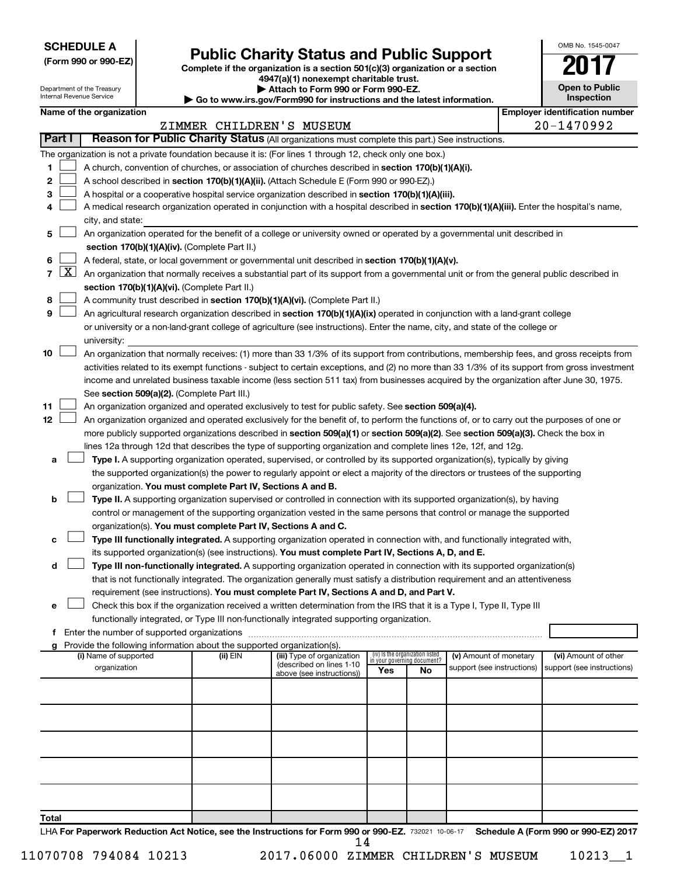**SCHEDULE A**

# Form 990 or 990-EZ)<br>
Complete if the organization is a section 501(c)(3) organization or a section<br> **Public Charity Status and Public Support**

**4947(a)(1) nonexempt charitable trust. | Attach to Form 990 or Form 990-EZ.** 

|    | <b>Open to Public</b><br>Inspection |
|----|-------------------------------------|
| ٩ľ | identification nu                   |

OMB No. 1545-0047

| Department of the Treasury<br>Internal Revenue Service |            |                                                                                                                                                                                                                                                                                        | Attach to Form 990 or Form 990-EZ.<br>Go to www.irs.gov/Form990 for instructions and the latest information. |                                                                        | <b>Open to Public</b><br>Inspection                                                                                                        |                                 |                             |                            |  |                                       |  |
|--------------------------------------------------------|------------|----------------------------------------------------------------------------------------------------------------------------------------------------------------------------------------------------------------------------------------------------------------------------------------|--------------------------------------------------------------------------------------------------------------|------------------------------------------------------------------------|--------------------------------------------------------------------------------------------------------------------------------------------|---------------------------------|-----------------------------|----------------------------|--|---------------------------------------|--|
|                                                        |            | Name of the organization                                                                                                                                                                                                                                                               |                                                                                                              |                                                                        |                                                                                                                                            |                                 |                             |                            |  | <b>Employer identification number</b> |  |
|                                                        |            |                                                                                                                                                                                                                                                                                        |                                                                                                              |                                                                        | ZIMMER CHILDREN'S MUSEUM                                                                                                                   |                                 |                             |                            |  | 20-1470992                            |  |
|                                                        | Part I     |                                                                                                                                                                                                                                                                                        |                                                                                                              |                                                                        | Reason for Public Charity Status (All organizations must complete this part.) See instructions.                                            |                                 |                             |                            |  |                                       |  |
|                                                        |            |                                                                                                                                                                                                                                                                                        |                                                                                                              |                                                                        | The organization is not a private foundation because it is: (For lines 1 through 12, check only one box.)                                  |                                 |                             |                            |  |                                       |  |
| 1                                                      |            |                                                                                                                                                                                                                                                                                        |                                                                                                              |                                                                        | A church, convention of churches, or association of churches described in section 170(b)(1)(A)(i).                                         |                                 |                             |                            |  |                                       |  |
| 2                                                      |            |                                                                                                                                                                                                                                                                                        |                                                                                                              |                                                                        |                                                                                                                                            |                                 |                             |                            |  |                                       |  |
|                                                        |            |                                                                                                                                                                                                                                                                                        |                                                                                                              |                                                                        | A school described in section 170(b)(1)(A)(ii). (Attach Schedule E (Form 990 or 990-EZ).)                                                  |                                 |                             |                            |  |                                       |  |
| 3                                                      |            |                                                                                                                                                                                                                                                                                        |                                                                                                              |                                                                        | A hospital or a cooperative hospital service organization described in section 170(b)(1)(A)(iii).                                          |                                 |                             |                            |  |                                       |  |
| 4                                                      |            |                                                                                                                                                                                                                                                                                        |                                                                                                              |                                                                        | A medical research organization operated in conjunction with a hospital described in section 170(b)(1)(A)(iii). Enter the hospital's name, |                                 |                             |                            |  |                                       |  |
|                                                        |            | city, and state:                                                                                                                                                                                                                                                                       |                                                                                                              |                                                                        |                                                                                                                                            |                                 |                             |                            |  |                                       |  |
| 5                                                      |            |                                                                                                                                                                                                                                                                                        |                                                                                                              |                                                                        | An organization operated for the benefit of a college or university owned or operated by a governmental unit described in                  |                                 |                             |                            |  |                                       |  |
|                                                        |            |                                                                                                                                                                                                                                                                                        |                                                                                                              | section 170(b)(1)(A)(iv). (Complete Part II.)                          |                                                                                                                                            |                                 |                             |                            |  |                                       |  |
| 6                                                      |            |                                                                                                                                                                                                                                                                                        |                                                                                                              |                                                                        | A federal, state, or local government or governmental unit described in section 170(b)(1)(A)(v).                                           |                                 |                             |                            |  |                                       |  |
| 7                                                      | <u>X  </u> |                                                                                                                                                                                                                                                                                        |                                                                                                              |                                                                        | An organization that normally receives a substantial part of its support from a governmental unit or from the general public described in  |                                 |                             |                            |  |                                       |  |
|                                                        |            |                                                                                                                                                                                                                                                                                        |                                                                                                              | section 170(b)(1)(A)(vi). (Complete Part II.)                          |                                                                                                                                            |                                 |                             |                            |  |                                       |  |
| 8                                                      |            |                                                                                                                                                                                                                                                                                        |                                                                                                              |                                                                        | A community trust described in section 170(b)(1)(A)(vi). (Complete Part II.)                                                               |                                 |                             |                            |  |                                       |  |
| 9                                                      |            |                                                                                                                                                                                                                                                                                        |                                                                                                              |                                                                        | An agricultural research organization described in section 170(b)(1)(A)(ix) operated in conjunction with a land-grant college              |                                 |                             |                            |  |                                       |  |
|                                                        |            |                                                                                                                                                                                                                                                                                        |                                                                                                              |                                                                        | or university or a non-land-grant college of agriculture (see instructions). Enter the name, city, and state of the college or             |                                 |                             |                            |  |                                       |  |
|                                                        |            | university:                                                                                                                                                                                                                                                                            |                                                                                                              |                                                                        |                                                                                                                                            |                                 |                             |                            |  |                                       |  |
| 10                                                     |            |                                                                                                                                                                                                                                                                                        |                                                                                                              |                                                                        | An organization that normally receives: (1) more than 33 1/3% of its support from contributions, membership fees, and gross receipts from  |                                 |                             |                            |  |                                       |  |
|                                                        |            |                                                                                                                                                                                                                                                                                        |                                                                                                              |                                                                        |                                                                                                                                            |                                 |                             |                            |  |                                       |  |
|                                                        |            | activities related to its exempt functions - subject to certain exceptions, and (2) no more than 33 1/3% of its support from gross investment<br>income and unrelated business taxable income (less section 511 tax) from businesses acquired by the organization after June 30, 1975. |                                                                                                              |                                                                        |                                                                                                                                            |                                 |                             |                            |  |                                       |  |
|                                                        |            | See section 509(a)(2). (Complete Part III.)                                                                                                                                                                                                                                            |                                                                                                              |                                                                        |                                                                                                                                            |                                 |                             |                            |  |                                       |  |
| 11                                                     |            |                                                                                                                                                                                                                                                                                        |                                                                                                              |                                                                        | An organization organized and operated exclusively to test for public safety. See section 509(a)(4).                                       |                                 |                             |                            |  |                                       |  |
| 12                                                     |            |                                                                                                                                                                                                                                                                                        |                                                                                                              |                                                                        | An organization organized and operated exclusively for the benefit of, to perform the functions of, or to carry out the purposes of one or |                                 |                             |                            |  |                                       |  |
|                                                        |            |                                                                                                                                                                                                                                                                                        |                                                                                                              |                                                                        | more publicly supported organizations described in section 509(a)(1) or section 509(a)(2). See section 509(a)(3). Check the box in         |                                 |                             |                            |  |                                       |  |
|                                                        |            |                                                                                                                                                                                                                                                                                        |                                                                                                              |                                                                        | lines 12a through 12d that describes the type of supporting organization and complete lines 12e, 12f, and 12g.                             |                                 |                             |                            |  |                                       |  |
| а                                                      |            |                                                                                                                                                                                                                                                                                        |                                                                                                              |                                                                        | Type I. A supporting organization operated, supervised, or controlled by its supported organization(s), typically by giving                |                                 |                             |                            |  |                                       |  |
|                                                        |            |                                                                                                                                                                                                                                                                                        |                                                                                                              |                                                                        | the supported organization(s) the power to regularly appoint or elect a majority of the directors or trustees of the supporting            |                                 |                             |                            |  |                                       |  |
|                                                        |            |                                                                                                                                                                                                                                                                                        |                                                                                                              |                                                                        |                                                                                                                                            |                                 |                             |                            |  |                                       |  |
|                                                        |            |                                                                                                                                                                                                                                                                                        |                                                                                                              | organization. You must complete Part IV, Sections A and B.             |                                                                                                                                            |                                 |                             |                            |  |                                       |  |
| b                                                      |            |                                                                                                                                                                                                                                                                                        |                                                                                                              |                                                                        | Type II. A supporting organization supervised or controlled in connection with its supported organization(s), by having                    |                                 |                             |                            |  |                                       |  |
|                                                        |            |                                                                                                                                                                                                                                                                                        |                                                                                                              |                                                                        | control or management of the supporting organization vested in the same persons that control or manage the supported                       |                                 |                             |                            |  |                                       |  |
|                                                        |            |                                                                                                                                                                                                                                                                                        |                                                                                                              | organization(s). You must complete Part IV, Sections A and C.          |                                                                                                                                            |                                 |                             |                            |  |                                       |  |
| с                                                      |            |                                                                                                                                                                                                                                                                                        |                                                                                                              |                                                                        | Type III functionally integrated. A supporting organization operated in connection with, and functionally integrated with,                 |                                 |                             |                            |  |                                       |  |
|                                                        |            |                                                                                                                                                                                                                                                                                        |                                                                                                              |                                                                        | its supported organization(s) (see instructions). You must complete Part IV, Sections A, D, and E.                                         |                                 |                             |                            |  |                                       |  |
| d                                                      |            |                                                                                                                                                                                                                                                                                        |                                                                                                              |                                                                        | Type III non-functionally integrated. A supporting organization operated in connection with its supported organization(s)                  |                                 |                             |                            |  |                                       |  |
|                                                        |            |                                                                                                                                                                                                                                                                                        |                                                                                                              |                                                                        | that is not functionally integrated. The organization generally must satisfy a distribution requirement and an attentiveness               |                                 |                             |                            |  |                                       |  |
|                                                        |            |                                                                                                                                                                                                                                                                                        |                                                                                                              |                                                                        | requirement (see instructions). You must complete Part IV, Sections A and D, and Part V.                                                   |                                 |                             |                            |  |                                       |  |
| е                                                      |            |                                                                                                                                                                                                                                                                                        |                                                                                                              |                                                                        | Check this box if the organization received a written determination from the IRS that it is a Type I, Type II, Type III                    |                                 |                             |                            |  |                                       |  |
|                                                        |            |                                                                                                                                                                                                                                                                                        |                                                                                                              |                                                                        | functionally integrated, or Type III non-functionally integrated supporting organization.                                                  |                                 |                             |                            |  |                                       |  |
|                                                        |            |                                                                                                                                                                                                                                                                                        |                                                                                                              |                                                                        |                                                                                                                                            |                                 |                             |                            |  |                                       |  |
| g                                                      |            |                                                                                                                                                                                                                                                                                        |                                                                                                              | Provide the following information about the supported organization(s). |                                                                                                                                            |                                 |                             |                            |  |                                       |  |
|                                                        |            | (i) Name of supported                                                                                                                                                                                                                                                                  |                                                                                                              | (ii) EIN                                                               | (iii) Type of organization<br>(described on lines 1-10                                                                                     | (iv) Is the organization listed | in your governing document? | (v) Amount of monetary     |  | (vi) Amount of other                  |  |
|                                                        |            | organization                                                                                                                                                                                                                                                                           |                                                                                                              |                                                                        | above (see instructions))                                                                                                                  | Yes                             | No                          | support (see instructions) |  | support (see instructions)            |  |
|                                                        |            |                                                                                                                                                                                                                                                                                        |                                                                                                              |                                                                        |                                                                                                                                            |                                 |                             |                            |  |                                       |  |
|                                                        |            |                                                                                                                                                                                                                                                                                        |                                                                                                              |                                                                        |                                                                                                                                            |                                 |                             |                            |  |                                       |  |
|                                                        |            |                                                                                                                                                                                                                                                                                        |                                                                                                              |                                                                        |                                                                                                                                            |                                 |                             |                            |  |                                       |  |
|                                                        |            |                                                                                                                                                                                                                                                                                        |                                                                                                              |                                                                        |                                                                                                                                            |                                 |                             |                            |  |                                       |  |
|                                                        |            |                                                                                                                                                                                                                                                                                        |                                                                                                              |                                                                        |                                                                                                                                            |                                 |                             |                            |  |                                       |  |
|                                                        |            |                                                                                                                                                                                                                                                                                        |                                                                                                              |                                                                        |                                                                                                                                            |                                 |                             |                            |  |                                       |  |
|                                                        |            |                                                                                                                                                                                                                                                                                        |                                                                                                              |                                                                        |                                                                                                                                            |                                 |                             |                            |  |                                       |  |
|                                                        |            |                                                                                                                                                                                                                                                                                        |                                                                                                              |                                                                        |                                                                                                                                            |                                 |                             |                            |  |                                       |  |
|                                                        |            |                                                                                                                                                                                                                                                                                        |                                                                                                              |                                                                        |                                                                                                                                            |                                 |                             |                            |  |                                       |  |
|                                                        |            |                                                                                                                                                                                                                                                                                        |                                                                                                              |                                                                        |                                                                                                                                            |                                 |                             |                            |  |                                       |  |

**Total**

LHA For Paperwork Reduction Act Notice, see the Instructions for Form 990 or 990-EZ. 732021 10-06-17 Schedule A (Form 990 or 990-EZ) 2017 14

11070708 794084 10213 2017.06000 ZIMMER CHILDREN'S MUSEUM 10213\_\_1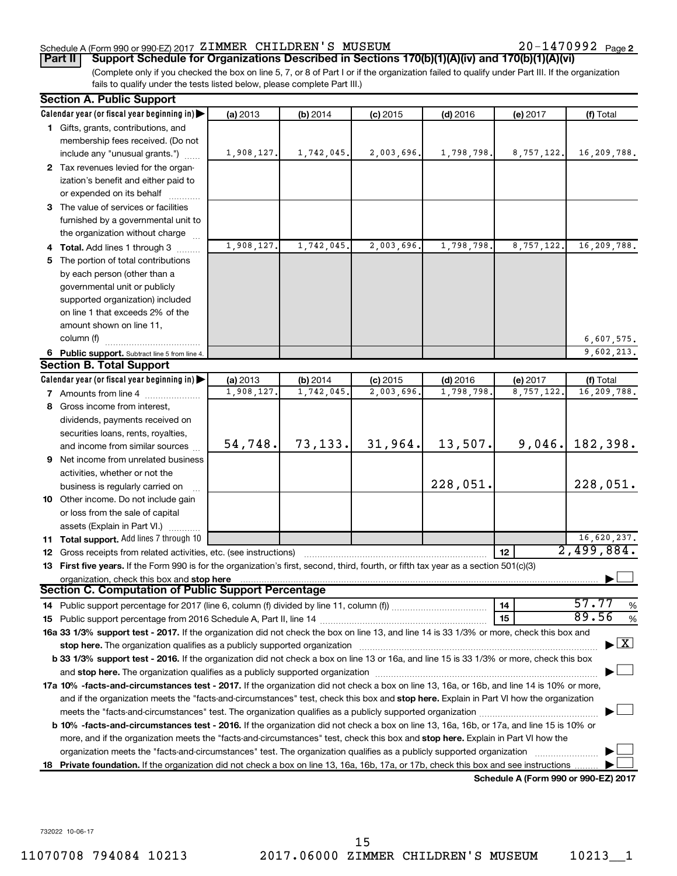## Schedule A (Form 990 or 990-EZ) 2017 Page ZIMMER CHILDREN'S MUSEUM 20-1470992

20-1470992 Page 2

(Complete only if you checked the box on line 5, 7, or 8 of Part I or if the organization failed to qualify under Part III. If the organization fails to qualify under the tests listed below, please complete Part III.) **Part II Support Schedule for Organizations Described in Sections 170(b)(1)(A)(iv) and 170(b)(1)(A)(vi)**

|    | <b>Section A. Public Support</b>                                                                                                                                                                                               |            |            |            |            |                                      |                                    |
|----|--------------------------------------------------------------------------------------------------------------------------------------------------------------------------------------------------------------------------------|------------|------------|------------|------------|--------------------------------------|------------------------------------|
|    | Calendar year (or fiscal year beginning in)                                                                                                                                                                                    | (a) 2013   | $(b)$ 2014 | $(c)$ 2015 | $(d)$ 2016 | (e) 2017                             | (f) Total                          |
|    | 1 Gifts, grants, contributions, and                                                                                                                                                                                            |            |            |            |            |                                      |                                    |
|    | membership fees received. (Do not                                                                                                                                                                                              |            |            |            |            |                                      |                                    |
|    | include any "unusual grants.")                                                                                                                                                                                                 | 1,908,127. | 1,742,045. | 2,003,696. | 1,798,798. | 8,757,122.                           | 16,209,788.                        |
|    | 2 Tax revenues levied for the organ-                                                                                                                                                                                           |            |            |            |            |                                      |                                    |
|    | ization's benefit and either paid to                                                                                                                                                                                           |            |            |            |            |                                      |                                    |
|    | or expended on its behalf                                                                                                                                                                                                      |            |            |            |            |                                      |                                    |
|    | 3 The value of services or facilities                                                                                                                                                                                          |            |            |            |            |                                      |                                    |
|    | furnished by a governmental unit to                                                                                                                                                                                            |            |            |            |            |                                      |                                    |
|    | the organization without charge                                                                                                                                                                                                |            |            |            |            |                                      |                                    |
|    | 4 Total. Add lines 1 through 3                                                                                                                                                                                                 | 1,908,127. | 1,742,045. | 2,003,696. | 1,798,798  | 8,757,122.                           | 16,209,788.                        |
| 5. | The portion of total contributions                                                                                                                                                                                             |            |            |            |            |                                      |                                    |
|    | by each person (other than a                                                                                                                                                                                                   |            |            |            |            |                                      |                                    |
|    | governmental unit or publicly                                                                                                                                                                                                  |            |            |            |            |                                      |                                    |
|    | supported organization) included                                                                                                                                                                                               |            |            |            |            |                                      |                                    |
|    | on line 1 that exceeds 2% of the                                                                                                                                                                                               |            |            |            |            |                                      |                                    |
|    | amount shown on line 11,                                                                                                                                                                                                       |            |            |            |            |                                      |                                    |
|    | column (f)                                                                                                                                                                                                                     |            |            |            |            |                                      | 6,607,575.                         |
|    | 6 Public support. Subtract line 5 from line 4.                                                                                                                                                                                 |            |            |            |            |                                      | 9,602,213.                         |
|    | <b>Section B. Total Support</b>                                                                                                                                                                                                |            |            |            |            |                                      |                                    |
|    | Calendar year (or fiscal year beginning in)                                                                                                                                                                                    | (a) 2013   | (b) 2014   | $(c)$ 2015 | $(d)$ 2016 | (e) 2017                             | (f) Total                          |
|    | 7 Amounts from line 4                                                                                                                                                                                                          | 1,908,127  | 1,742,045. | 2,003,696  | 1,798,798  | 8,757,122.                           | 16,209,788.                        |
| 8  | Gross income from interest,                                                                                                                                                                                                    |            |            |            |            |                                      |                                    |
|    | dividends, payments received on                                                                                                                                                                                                |            |            |            |            |                                      |                                    |
|    | securities loans, rents, royalties,                                                                                                                                                                                            |            |            |            |            |                                      |                                    |
|    | and income from similar sources                                                                                                                                                                                                | 54,748.    | 73,133.    | 31,964.    | 13,507.    | 9,046.                               | 182,398.                           |
| 9  | Net income from unrelated business                                                                                                                                                                                             |            |            |            |            |                                      |                                    |
|    | activities, whether or not the                                                                                                                                                                                                 |            |            |            |            |                                      |                                    |
|    | business is regularly carried on                                                                                                                                                                                               |            |            |            | 228,051.   |                                      | 228,051.                           |
|    | 10 Other income. Do not include gain                                                                                                                                                                                           |            |            |            |            |                                      |                                    |
|    | or loss from the sale of capital                                                                                                                                                                                               |            |            |            |            |                                      |                                    |
|    | assets (Explain in Part VI.)                                                                                                                                                                                                   |            |            |            |            |                                      |                                    |
|    | 11 Total support. Add lines 7 through 10                                                                                                                                                                                       |            |            |            |            |                                      | $\frac{16,620,237.}{2,499,884.}$   |
|    | <b>12</b> Gross receipts from related activities, etc. (see instructions)                                                                                                                                                      |            |            |            |            | 12                                   |                                    |
|    | 13 First five years. If the Form 990 is for the organization's first, second, third, fourth, or fifth tax year as a section 501(c)(3)                                                                                          |            |            |            |            |                                      |                                    |
|    | organization, check this box and stop here                                                                                                                                                                                     |            |            |            |            |                                      |                                    |
|    | Section C. Computation of Public Support Percentage                                                                                                                                                                            |            |            |            |            |                                      |                                    |
|    |                                                                                                                                                                                                                                |            |            |            |            | 14                                   | 57.77<br>%                         |
|    |                                                                                                                                                                                                                                |            |            |            |            | 15                                   | 89.56<br>%                         |
|    | 16a 33 1/3% support test - 2017. If the organization did not check the box on line 13, and line 14 is 33 1/3% or more, check this box and                                                                                      |            |            |            |            |                                      |                                    |
|    | stop here. The organization qualifies as a publicly supported organization manufactured content and the content of the state of the state of the state of the state of the state of the state of the state of the state of the |            |            |            |            |                                      | $\blacktriangleright$ $\mathbf{X}$ |
|    | b 33 1/3% support test - 2016. If the organization did not check a box on line 13 or 16a, and line 15 is 33 1/3% or more, check this box                                                                                       |            |            |            |            |                                      |                                    |
|    |                                                                                                                                                                                                                                |            |            |            |            |                                      |                                    |
|    | 17a 10% -facts-and-circumstances test - 2017. If the organization did not check a box on line 13, 16a, or 16b, and line 14 is 10% or more,                                                                                     |            |            |            |            |                                      |                                    |
|    | and if the organization meets the "facts-and-circumstances" test, check this box and stop here. Explain in Part VI how the organization                                                                                        |            |            |            |            |                                      |                                    |
|    | meets the "facts-and-circumstances" test. The organization qualifies as a publicly supported organization <i>manumumumum</i>                                                                                                   |            |            |            |            |                                      |                                    |
|    | b 10% -facts-and-circumstances test - 2016. If the organization did not check a box on line 13, 16a, 16b, or 17a, and line 15 is 10% or                                                                                        |            |            |            |            |                                      |                                    |
|    | more, and if the organization meets the "facts-and-circumstances" test, check this box and stop here. Explain in Part VI how the                                                                                               |            |            |            |            |                                      |                                    |
|    | organization meets the "facts-and-circumstances" test. The organization qualifies as a publicly supported organization                                                                                                         |            |            |            |            |                                      |                                    |
| 18 | Private foundation. If the organization did not check a box on line 13, 16a, 16b, 17a, or 17b, check this box and see instructions                                                                                             |            |            |            |            |                                      |                                    |
|    |                                                                                                                                                                                                                                |            |            |            |            | Schedule A (Form 990 or 990-EZ) 2017 |                                    |

732022 10-06-17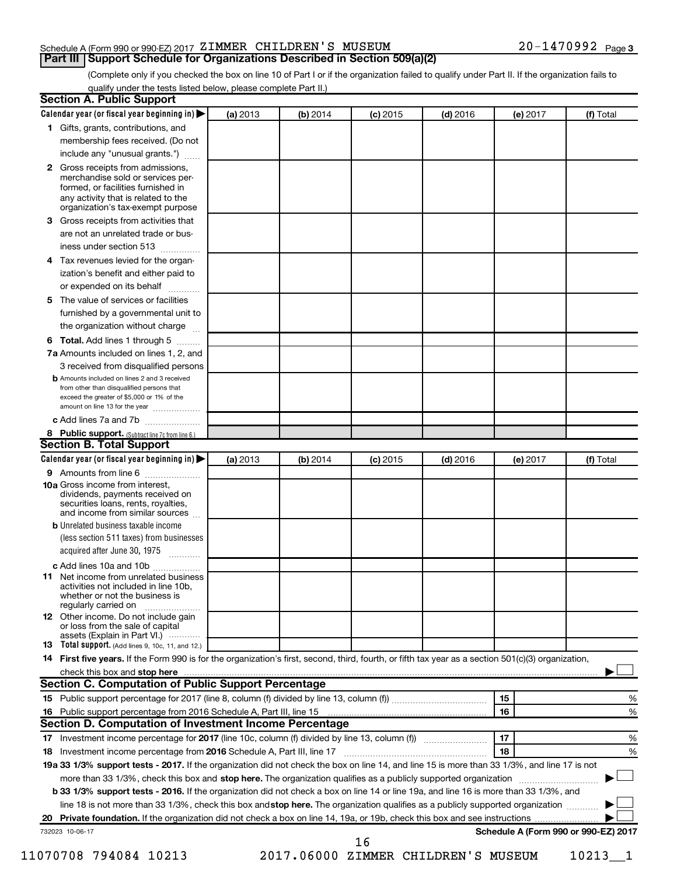## Schedule A (Form 990 or 990-EZ) 2017 Page ZIMMER CHILDREN'S MUSEUM 20-1470992 **Part III Support Schedule for Organizations Described in Section 509(a)(2)**

(Complete only if you checked the box on line 10 of Part I or if the organization failed to qualify under Part II. If the organization fails to qualify under the tests listed below, please complete Part II.)

|              | Calendar year (or fiscal year beginning in)                                                                                                         | (a) 2013 | (b) 2014 | $(c)$ 2015 | $(d)$ 2016                          |    | (e) 2017 | (f) Total                            |   |
|--------------|-----------------------------------------------------------------------------------------------------------------------------------------------------|----------|----------|------------|-------------------------------------|----|----------|--------------------------------------|---|
|              | 1 Gifts, grants, contributions, and                                                                                                                 |          |          |            |                                     |    |          |                                      |   |
|              | membership fees received. (Do not                                                                                                                   |          |          |            |                                     |    |          |                                      |   |
|              | include any "unusual grants.")                                                                                                                      |          |          |            |                                     |    |          |                                      |   |
| $\mathbf{2}$ | Gross receipts from admissions,<br>merchandise sold or services per-<br>formed, or facilities furnished in<br>any activity that is related to the   |          |          |            |                                     |    |          |                                      |   |
|              | organization's tax-exempt purpose                                                                                                                   |          |          |            |                                     |    |          |                                      |   |
| 3.           | Gross receipts from activities that                                                                                                                 |          |          |            |                                     |    |          |                                      |   |
|              | are not an unrelated trade or bus-<br>iness under section 513                                                                                       |          |          |            |                                     |    |          |                                      |   |
| 4            | Tax revenues levied for the organ-                                                                                                                  |          |          |            |                                     |    |          |                                      |   |
|              | ization's benefit and either paid to<br>or expended on its behalf<br>.                                                                              |          |          |            |                                     |    |          |                                      |   |
| 5            | The value of services or facilities                                                                                                                 |          |          |            |                                     |    |          |                                      |   |
|              | furnished by a governmental unit to<br>the organization without charge                                                                              |          |          |            |                                     |    |          |                                      |   |
|              |                                                                                                                                                     |          |          |            |                                     |    |          |                                      |   |
| 6            | Total. Add lines 1 through 5                                                                                                                        |          |          |            |                                     |    |          |                                      |   |
|              | 7a Amounts included on lines 1, 2, and                                                                                                              |          |          |            |                                     |    |          |                                      |   |
|              | 3 received from disqualified persons<br><b>b</b> Amounts included on lines 2 and 3 received                                                         |          |          |            |                                     |    |          |                                      |   |
|              | from other than disqualified persons that<br>exceed the greater of \$5,000 or 1% of the<br>amount on line 13 for the year                           |          |          |            |                                     |    |          |                                      |   |
|              | c Add lines 7a and 7b                                                                                                                               |          |          |            |                                     |    |          |                                      |   |
|              | 8 Public support. (Subtract line 7c from line 6.)                                                                                                   |          |          |            |                                     |    |          |                                      |   |
|              | <b>Section B. Total Support</b>                                                                                                                     |          |          |            |                                     |    |          |                                      |   |
|              | Calendar year (or fiscal year beginning in)                                                                                                         | (a) 2013 | (b) 2014 | $(c)$ 2015 | $(d)$ 2016                          |    | (e) 2017 | (f) Total                            |   |
|              | 9 Amounts from line 6                                                                                                                               |          |          |            |                                     |    |          |                                      |   |
|              | <b>10a</b> Gross income from interest,<br>dividends, payments received on<br>securities loans, rents, royalties,<br>and income from similar sources |          |          |            |                                     |    |          |                                      |   |
|              | <b>b</b> Unrelated business taxable income                                                                                                          |          |          |            |                                     |    |          |                                      |   |
|              | (less section 511 taxes) from businesses<br>acquired after June 30, 1975                                                                            |          |          |            |                                     |    |          |                                      |   |
|              | c Add lines 10a and 10b                                                                                                                             |          |          |            |                                     |    |          |                                      |   |
| 11           | Net income from unrelated business<br>activities not included in line 10b.<br>whether or not the business is<br>regularly carried on                |          |          |            |                                     |    |          |                                      |   |
|              | <b>12</b> Other income. Do not include gain<br>or loss from the sale of capital<br>assets (Explain in Part VI.)                                     |          |          |            |                                     |    |          |                                      |   |
|              | <b>13</b> Total support. (Add lines 9, 10c, 11, and 12.)                                                                                            |          |          |            |                                     |    |          |                                      |   |
|              | 14 First five years. If the Form 990 is for the organization's first, second, third, fourth, or fifth tax year as a section 501(c)(3) organization, |          |          |            |                                     |    |          |                                      |   |
|              |                                                                                                                                                     |          |          |            |                                     |    |          |                                      |   |
|              | Section C. Computation of Public Support Percentage                                                                                                 |          |          |            |                                     |    |          |                                      |   |
|              |                                                                                                                                                     |          |          |            |                                     | 15 |          |                                      | % |
|              |                                                                                                                                                     |          |          |            |                                     | 16 |          |                                      | % |
|              | Section D. Computation of Investment Income Percentage                                                                                              |          |          |            |                                     |    |          |                                      |   |
|              |                                                                                                                                                     |          |          |            |                                     | 17 |          |                                      | % |
|              |                                                                                                                                                     |          |          |            |                                     | 18 |          |                                      |   |
|              |                                                                                                                                                     |          |          |            |                                     |    |          |                                      | % |
|              | 19a 33 1/3% support tests - 2017. If the organization did not check the box on line 14, and line 15 is more than 33 1/3%, and line 17 is not        |          |          |            |                                     |    |          |                                      |   |
|              | more than 33 1/3%, check this box and stop here. The organization qualifies as a publicly supported organization                                    |          |          |            |                                     |    |          |                                      |   |
|              | b 33 1/3% support tests - 2016. If the organization did not check a box on line 14 or line 19a, and line 16 is more than 33 1/3%, and               |          |          |            |                                     |    |          |                                      |   |
|              | line 18 is not more than 33 1/3%, check this box and stop here. The organization qualifies as a publicly supported organization                     |          |          |            |                                     |    |          |                                      |   |
|              |                                                                                                                                                     |          |          |            |                                     |    |          |                                      |   |
|              | 732023 10-06-17                                                                                                                                     |          |          |            |                                     |    |          | Schedule A (Form 990 or 990-EZ) 2017 |   |
|              | 11070708 794084 10213                                                                                                                               |          |          | 16         | 2017.06000 ZIMMER CHILDREN'S MUSEUM |    |          | $10213 - 1$                          |   |
|              |                                                                                                                                                     |          |          |            |                                     |    |          |                                      |   |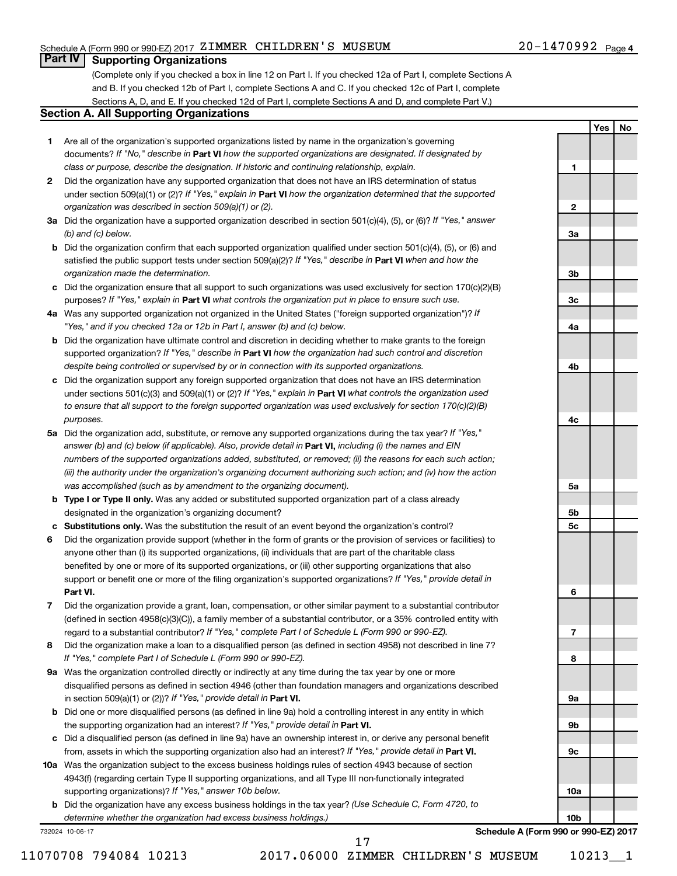## Schedule A (Form 990 or 990-EZ) 2017 Page ZIMMER CHILDREN'S MUSEUM 20-1470992

## 20-1470992 <sub>Page 4</sub>

**1**

**2**

**3a**

**3b**

**3c**

**4a**

**4b**

**Yes No**

## **Part IV Supporting Organizations**

(Complete only if you checked a box in line 12 on Part I. If you checked 12a of Part I, complete Sections A and B. If you checked 12b of Part I, complete Sections A and C. If you checked 12c of Part I, complete Sections A, D, and E. If you checked 12d of Part I, complete Sections A and D, and complete Part V.)

## **Section A. All Supporting Organizations**

- **1** Are all of the organization's supported organizations listed by name in the organization's governing documents? If "No," describe in Part VI how the supported organizations are designated. If designated by *class or purpose, describe the designation. If historic and continuing relationship, explain.*
- **2** Did the organization have any supported organization that does not have an IRS determination of status under section 509(a)(1) or (2)? If "Yes," explain in Part **VI** how the organization determined that the supported *organization was described in section 509(a)(1) or (2).*
- **3a** Did the organization have a supported organization described in section 501(c)(4), (5), or (6)? If "Yes," answer *(b) and (c) below.*
- **b** Did the organization confirm that each supported organization qualified under section 501(c)(4), (5), or (6) and satisfied the public support tests under section 509(a)(2)? If "Yes," describe in Part VI when and how the *organization made the determination.*
- **c** Did the organization ensure that all support to such organizations was used exclusively for section 170(c)(2)(B) purposes? If "Yes," explain in Part VI what controls the organization put in place to ensure such use.
- **4 a** *If* Was any supported organization not organized in the United States ("foreign supported organization")? *"Yes," and if you checked 12a or 12b in Part I, answer (b) and (c) below.*
- **b** Did the organization have ultimate control and discretion in deciding whether to make grants to the foreign supported organization? If "Yes," describe in Part VI how the organization had such control and discretion *despite being controlled or supervised by or in connection with its supported organizations.*
- **c** Did the organization support any foreign supported organization that does not have an IRS determination under sections 501(c)(3) and 509(a)(1) or (2)? If "Yes," explain in Part VI what controls the organization used *to ensure that all support to the foreign supported organization was used exclusively for section 170(c)(2)(B) purposes.*
- **5a** Did the organization add, substitute, or remove any supported organizations during the tax year? If "Yes," answer (b) and (c) below (if applicable). Also, provide detail in **Part VI,** including (i) the names and EIN *numbers of the supported organizations added, substituted, or removed; (ii) the reasons for each such action; (iii) the authority under the organization's organizing document authorizing such action; and (iv) how the action was accomplished (such as by amendment to the organizing document).*
- **b Type I or Type II only.** Was any added or substituted supported organization part of a class already designated in the organization's organizing document?
- **c Substitutions only.**  Was the substitution the result of an event beyond the organization's control?
- **6** Did the organization provide support (whether in the form of grants or the provision of services or facilities) to **Part VI.** support or benefit one or more of the filing organization's supported organizations? If "Yes," provide detail in anyone other than (i) its supported organizations, (ii) individuals that are part of the charitable class benefited by one or more of its supported organizations, or (iii) other supporting organizations that also
- **7** Did the organization provide a grant, loan, compensation, or other similar payment to a substantial contributor regard to a substantial contributor? If "Yes," complete Part I of Schedule L (Form 990 or 990-EZ). (defined in section 4958(c)(3)(C)), a family member of a substantial contributor, or a 35% controlled entity with
- **8** Did the organization make a loan to a disqualified person (as defined in section 4958) not described in line 7? *If "Yes," complete Part I of Schedule L (Form 990 or 990-EZ).*
- **9 a** Was the organization controlled directly or indirectly at any time during the tax year by one or more in section 509(a)(1) or (2))? If "Yes," provide detail in **Part VI.** disqualified persons as defined in section 4946 (other than foundation managers and organizations described
- **b** Did one or more disqualified persons (as defined in line 9a) hold a controlling interest in any entity in which the supporting organization had an interest? If "Yes," provide detail in Part VI.
- **c** Did a disqualified person (as defined in line 9a) have an ownership interest in, or derive any personal benefit from, assets in which the supporting organization also had an interest? If "Yes," provide detail in Part VI.
- **10 a** Was the organization subject to the excess business holdings rules of section 4943 because of section supporting organizations)? If "Yes," answer 10b below. 4943(f) (regarding certain Type II supporting organizations, and all Type III non-functionally integrated
	- **b** Did the organization have any excess business holdings in the tax year? (Use Schedule C, Form 4720, to *determine whether the organization had excess business holdings.)*

732024 10-06-17

11070708 794084 10213 2017.06000 ZIMMER CHILDREN'S MUSEUM 10213\_\_1

17

**4c 5a 5b 5c 6 7 8 9a 9b 9c 10a 10b Schedule A (Form 990 or 990-EZ) 2017**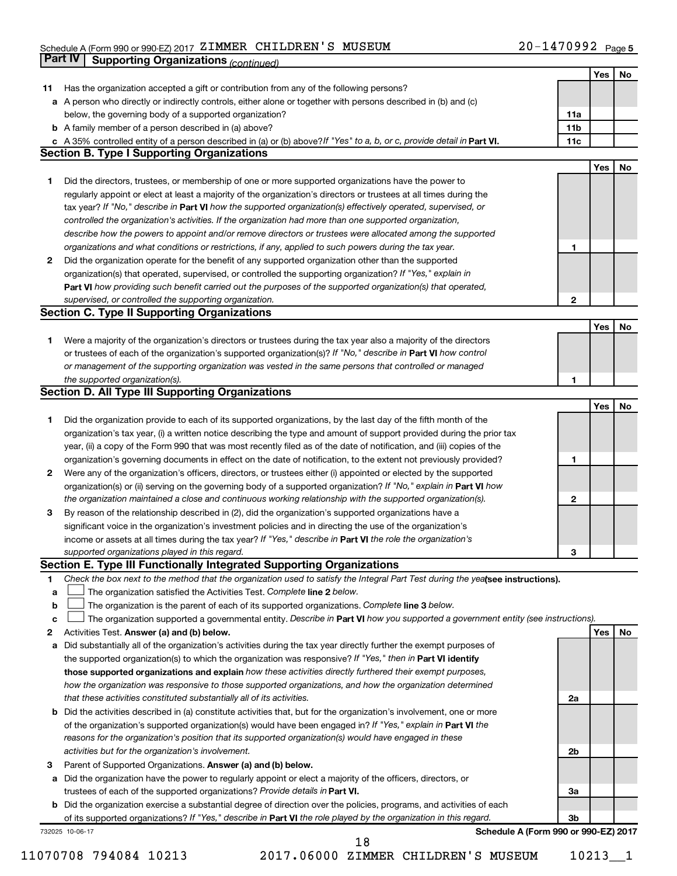#### Schedule A (Form 990 or 990-EZ) 2017 SIMMER CHILDREN S MUSEUM NURREN NAME AND AND ALLEY UPPER Page ZIMMER CHILDREN'S MUSEUM 20-1470992

|    | <b>Part IV</b>  | <b>Supporting Organizations (continued)</b>                                                                                     |                 |     |    |
|----|-----------------|---------------------------------------------------------------------------------------------------------------------------------|-----------------|-----|----|
|    |                 |                                                                                                                                 |                 | Yes | No |
| 11 |                 | Has the organization accepted a gift or contribution from any of the following persons?                                         |                 |     |    |
|    |                 | a A person who directly or indirectly controls, either alone or together with persons described in (b) and (c)                  |                 |     |    |
|    |                 | below, the governing body of a supported organization?                                                                          | 11a             |     |    |
|    |                 | <b>b</b> A family member of a person described in (a) above?                                                                    | 11 <sub>b</sub> |     |    |
|    |                 | c A 35% controlled entity of a person described in (a) or (b) above? If "Yes" to a, b, or c, provide detail in Part VI.         | 11c             |     |    |
|    |                 | <b>Section B. Type I Supporting Organizations</b>                                                                               |                 |     |    |
|    |                 |                                                                                                                                 |                 | Yes | No |
| 1. |                 | Did the directors, trustees, or membership of one or more supported organizations have the power to                             |                 |     |    |
|    |                 | regularly appoint or elect at least a majority of the organization's directors or trustees at all times during the              |                 |     |    |
|    |                 | tax year? If "No," describe in Part VI how the supported organization(s) effectively operated, supervised, or                   |                 |     |    |
|    |                 |                                                                                                                                 |                 |     |    |
|    |                 | controlled the organization's activities. If the organization had more than one supported organization,                         |                 |     |    |
|    |                 | describe how the powers to appoint and/or remove directors or trustees were allocated among the supported                       |                 |     |    |
|    |                 | organizations and what conditions or restrictions, if any, applied to such powers during the tax year.                          | 1               |     |    |
| 2  |                 | Did the organization operate for the benefit of any supported organization other than the supported                             |                 |     |    |
|    |                 | organization(s) that operated, supervised, or controlled the supporting organization? If "Yes," explain in                      |                 |     |    |
|    |                 | Part VI how providing such benefit carried out the purposes of the supported organization(s) that operated,                     |                 |     |    |
|    |                 | supervised, or controlled the supporting organization.                                                                          | $\mathbf{2}$    |     |    |
|    |                 | <b>Section C. Type II Supporting Organizations</b>                                                                              |                 |     |    |
|    |                 |                                                                                                                                 |                 | Yes | No |
| 1. |                 | Were a majority of the organization's directors or trustees during the tax year also a majority of the directors                |                 |     |    |
|    |                 | or trustees of each of the organization's supported organization(s)? If "No," describe in Part VI how control                   |                 |     |    |
|    |                 | or management of the supporting organization was vested in the same persons that controlled or managed                          |                 |     |    |
|    |                 | the supported organization(s).                                                                                                  | 1               |     |    |
|    |                 | <b>Section D. All Type III Supporting Organizations</b>                                                                         |                 |     |    |
|    |                 |                                                                                                                                 |                 | Yes | No |
| 1  |                 | Did the organization provide to each of its supported organizations, by the last day of the fifth month of the                  |                 |     |    |
|    |                 | organization's tax year, (i) a written notice describing the type and amount of support provided during the prior tax           |                 |     |    |
|    |                 | year, (ii) a copy of the Form 990 that was most recently filed as of the date of notification, and (iii) copies of the          |                 |     |    |
|    |                 | organization's governing documents in effect on the date of notification, to the extent not previously provided?                | 1               |     |    |
| 2  |                 | Were any of the organization's officers, directors, or trustees either (i) appointed or elected by the supported                |                 |     |    |
|    |                 | organization(s) or (ii) serving on the governing body of a supported organization? If "No," explain in Part VI how              |                 |     |    |
|    |                 | the organization maintained a close and continuous working relationship with the supported organization(s).                     | $\mathbf{2}$    |     |    |
| 3  |                 | By reason of the relationship described in (2), did the organization's supported organizations have a                           |                 |     |    |
|    |                 | significant voice in the organization's investment policies and in directing the use of the organization's                      |                 |     |    |
|    |                 | income or assets at all times during the tax year? If "Yes," describe in Part VI the role the organization's                    |                 |     |    |
|    |                 | supported organizations played in this regard.                                                                                  | З               |     |    |
|    |                 | Section E. Type III Functionally Integrated Supporting Organizations                                                            |                 |     |    |
| 1  |                 | Check the box next to the method that the organization used to satisfy the Integral Part Test during the yealsee instructions). |                 |     |    |
|    |                 | The organization satisfied the Activities Test. Complete line 2 below.                                                          |                 |     |    |
| a  |                 |                                                                                                                                 |                 |     |    |
| b  |                 | The organization is the parent of each of its supported organizations. Complete line 3 below.                                   |                 |     |    |
| c  |                 | The organization supported a governmental entity. Describe in Part VI how you supported a government entity (see instructions). |                 |     |    |
| 2  |                 | Activities Test. Answer (a) and (b) below.                                                                                      |                 | Yes | No |
| а  |                 | Did substantially all of the organization's activities during the tax year directly further the exempt purposes of              |                 |     |    |
|    |                 | the supported organization(s) to which the organization was responsive? If "Yes," then in Part VI identify                      |                 |     |    |
|    |                 | those supported organizations and explain how these activities directly furthered their exempt purposes,                        |                 |     |    |
|    |                 | how the organization was responsive to those supported organizations, and how the organization determined                       |                 |     |    |
|    |                 | that these activities constituted substantially all of its activities.                                                          | 2a              |     |    |
| b  |                 | Did the activities described in (a) constitute activities that, but for the organization's involvement, one or more             |                 |     |    |
|    |                 | of the organization's supported organization(s) would have been engaged in? If "Yes," explain in Part VI the                    |                 |     |    |
|    |                 | reasons for the organization's position that its supported organization(s) would have engaged in these                          |                 |     |    |
|    |                 | activities but for the organization's involvement.                                                                              | 2b              |     |    |
| з  |                 | Parent of Supported Organizations. Answer (a) and (b) below.                                                                    |                 |     |    |
| а  |                 | Did the organization have the power to regularly appoint or elect a majority of the officers, directors, or                     |                 |     |    |
|    |                 | trustees of each of the supported organizations? Provide details in Part VI.                                                    | За              |     |    |
|    |                 | <b>b</b> Did the organization exercise a substantial degree of direction over the policies, programs, and activities of each    |                 |     |    |
|    |                 | of its supported organizations? If "Yes," describe in Part VI the role played by the organization in this regard.               | 3b              |     |    |
|    | 732025 10-06-17 | Schedule A (Form 990 or 990-EZ) 2017                                                                                            |                 |     |    |
|    |                 | 18                                                                                                                              |                 |     |    |

11070708 794084 10213 2017.06000 ZIMMER CHILDREN'S MUSEUM 10213\_\_1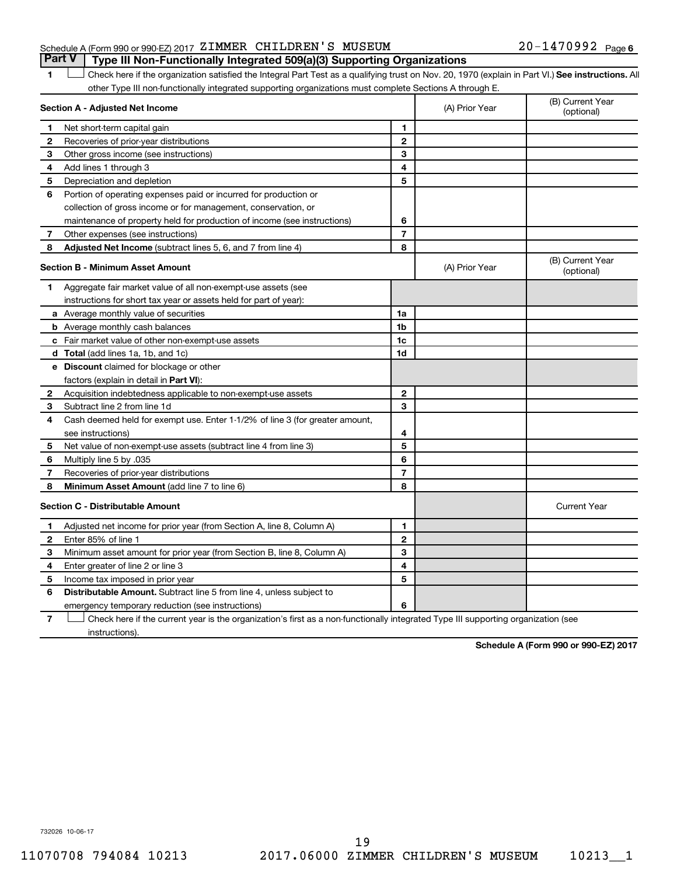## Schedule A (Form 990 or 990-EZ) 2017 Page ZIMMER CHILDREN'S MUSEUM 20-1470992 **Part V Type III Non-Functionally Integrated 509(a)(3) Supporting Organizations**

1 **Letter See instructions.** All Check here if the organization satisfied the Integral Part Test as a qualifying trust on Nov. 20, 1970 (explain in Part VI.) See instructions. All other Type III non-functionally integrated supporting organizations must complete Sections A through E.

|   | Section A - Adjusted Net Income                                                                                                   |                | (A) Prior Year | (B) Current Year<br>(optional) |
|---|-----------------------------------------------------------------------------------------------------------------------------------|----------------|----------------|--------------------------------|
| 1 | Net short-term capital gain                                                                                                       | 1              |                |                                |
| 2 | Recoveries of prior-year distributions                                                                                            | $\mathbf{2}$   |                |                                |
| 3 | Other gross income (see instructions)                                                                                             | 3              |                |                                |
| 4 | Add lines 1 through 3                                                                                                             | 4              |                |                                |
| 5 | Depreciation and depletion                                                                                                        | 5              |                |                                |
| 6 | Portion of operating expenses paid or incurred for production or                                                                  |                |                |                                |
|   | collection of gross income or for management, conservation, or                                                                    |                |                |                                |
|   | maintenance of property held for production of income (see instructions)                                                          | 6              |                |                                |
| 7 | Other expenses (see instructions)                                                                                                 | $\overline{7}$ |                |                                |
| 8 | <b>Adjusted Net Income</b> (subtract lines 5, 6, and 7 from line 4)                                                               | 8              |                |                                |
|   | <b>Section B - Minimum Asset Amount</b>                                                                                           |                | (A) Prior Year | (B) Current Year<br>(optional) |
| 1 | Aggregate fair market value of all non-exempt-use assets (see                                                                     |                |                |                                |
|   | instructions for short tax year or assets held for part of year):                                                                 |                |                |                                |
|   | a Average monthly value of securities                                                                                             | 1a             |                |                                |
|   | <b>b</b> Average monthly cash balances                                                                                            | 1 <sub>b</sub> |                |                                |
|   | c Fair market value of other non-exempt-use assets                                                                                | 1c             |                |                                |
|   | d Total (add lines 1a, 1b, and 1c)                                                                                                | 1 <sub>d</sub> |                |                                |
|   | e Discount claimed for blockage or other                                                                                          |                |                |                                |
|   | factors (explain in detail in Part VI):                                                                                           |                |                |                                |
| 2 | Acquisition indebtedness applicable to non-exempt-use assets                                                                      | 2              |                |                                |
| З | Subtract line 2 from line 1d                                                                                                      | 3              |                |                                |
| 4 | Cash deemed held for exempt use. Enter 1-1/2% of line 3 (for greater amount,                                                      |                |                |                                |
|   | see instructions)                                                                                                                 | 4              |                |                                |
| 5 | Net value of non-exempt-use assets (subtract line 4 from line 3)                                                                  | 5              |                |                                |
| 6 | 035. Multiply line 5 by                                                                                                           | 6              |                |                                |
| 7 | Recoveries of prior-year distributions                                                                                            | $\overline{7}$ |                |                                |
| 8 | Minimum Asset Amount (add line 7 to line 6)                                                                                       | 8              |                |                                |
|   | <b>Section C - Distributable Amount</b>                                                                                           |                |                | <b>Current Year</b>            |
| 1 | Adjusted net income for prior year (from Section A, line 8, Column A)                                                             | 1              |                |                                |
| 2 | Enter 85% of line 1                                                                                                               | $\mathbf{2}$   |                |                                |
| З | Minimum asset amount for prior year (from Section B, line 8, Column A)                                                            | 3              |                |                                |
| 4 | Enter greater of line 2 or line 3                                                                                                 | 4              |                |                                |
| 5 | Income tax imposed in prior year                                                                                                  | 5              |                |                                |
| 6 | <b>Distributable Amount.</b> Subtract line 5 from line 4, unless subject to                                                       |                |                |                                |
|   | emergency temporary reduction (see instructions)                                                                                  | 6              |                |                                |
| 7 | Check here if the current year is the organization's first as a non-functionally integrated Type III supporting organization (see |                |                |                                |

**7** instructions).

**Schedule A (Form 990 or 990-EZ) 2017**

732026 10-06-17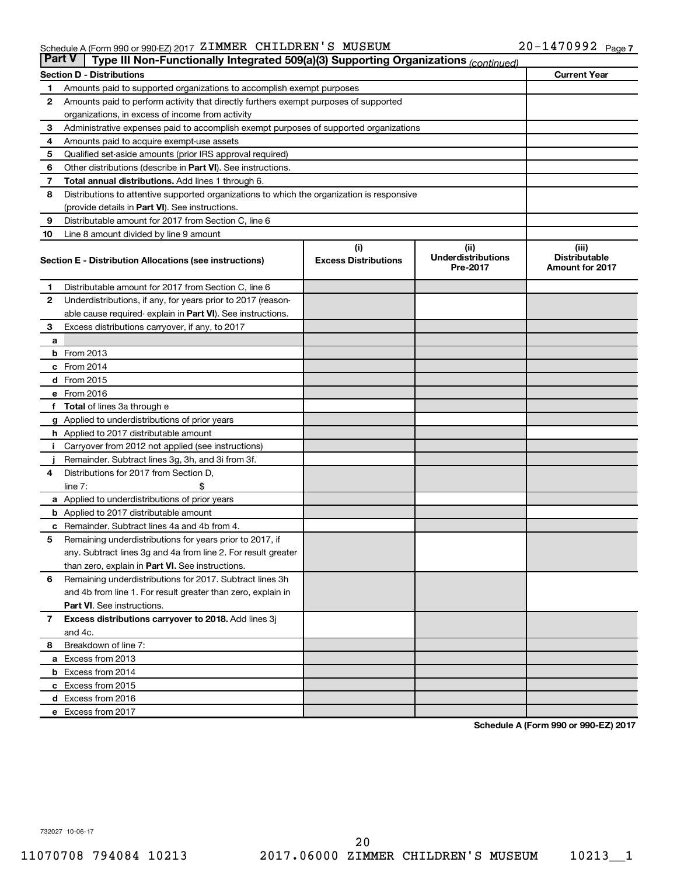## Schedule A (Form 990 or 990-EZ) 2017 Page ZIMMER CHILDREN'S MUSEUM 20-1470992

| <b>Part V</b>  | Type III Non-Functionally Integrated 509(a)(3) Supporting Organizations (continued)        |                                    |                                               |                                                         |  |  |  |  |  |
|----------------|--------------------------------------------------------------------------------------------|------------------------------------|-----------------------------------------------|---------------------------------------------------------|--|--|--|--|--|
|                | <b>Section D - Distributions</b>                                                           |                                    |                                               | <b>Current Year</b>                                     |  |  |  |  |  |
| 1              | Amounts paid to supported organizations to accomplish exempt purposes                      |                                    |                                               |                                                         |  |  |  |  |  |
| $\mathbf{2}$   | Amounts paid to perform activity that directly furthers exempt purposes of supported       |                                    |                                               |                                                         |  |  |  |  |  |
|                | organizations, in excess of income from activity                                           |                                    |                                               |                                                         |  |  |  |  |  |
| 3              | Administrative expenses paid to accomplish exempt purposes of supported organizations      |                                    |                                               |                                                         |  |  |  |  |  |
| 4              | Amounts paid to acquire exempt-use assets                                                  |                                    |                                               |                                                         |  |  |  |  |  |
| 5              | Qualified set-aside amounts (prior IRS approval required)                                  |                                    |                                               |                                                         |  |  |  |  |  |
| 6              | Other distributions (describe in <b>Part VI</b> ). See instructions.                       |                                    |                                               |                                                         |  |  |  |  |  |
| 7              | Total annual distributions. Add lines 1 through 6.                                         |                                    |                                               |                                                         |  |  |  |  |  |
| 8              | Distributions to attentive supported organizations to which the organization is responsive |                                    |                                               |                                                         |  |  |  |  |  |
|                | (provide details in Part VI). See instructions.                                            |                                    |                                               |                                                         |  |  |  |  |  |
| 9              | Distributable amount for 2017 from Section C, line 6                                       |                                    |                                               |                                                         |  |  |  |  |  |
| 10             | Line 8 amount divided by line 9 amount                                                     |                                    |                                               |                                                         |  |  |  |  |  |
|                | Section E - Distribution Allocations (see instructions)                                    | (i)<br><b>Excess Distributions</b> | (ii)<br><b>Underdistributions</b><br>Pre-2017 | (iii)<br><b>Distributable</b><br><b>Amount for 2017</b> |  |  |  |  |  |
| 1              | Distributable amount for 2017 from Section C, line 6                                       |                                    |                                               |                                                         |  |  |  |  |  |
| $\mathbf{2}$   | Underdistributions, if any, for years prior to 2017 (reason-                               |                                    |                                               |                                                         |  |  |  |  |  |
|                | able cause required- explain in Part VI). See instructions.                                |                                    |                                               |                                                         |  |  |  |  |  |
| 3              | Excess distributions carryover, if any, to 2017                                            |                                    |                                               |                                                         |  |  |  |  |  |
| a              |                                                                                            |                                    |                                               |                                                         |  |  |  |  |  |
|                | <b>b</b> From 2013                                                                         |                                    |                                               |                                                         |  |  |  |  |  |
|                | c From 2014                                                                                |                                    |                                               |                                                         |  |  |  |  |  |
|                | d From 2015                                                                                |                                    |                                               |                                                         |  |  |  |  |  |
|                | e From 2016                                                                                |                                    |                                               |                                                         |  |  |  |  |  |
|                | f Total of lines 3a through e                                                              |                                    |                                               |                                                         |  |  |  |  |  |
|                | <b>g</b> Applied to underdistributions of prior years                                      |                                    |                                               |                                                         |  |  |  |  |  |
|                | <b>h</b> Applied to 2017 distributable amount                                              |                                    |                                               |                                                         |  |  |  |  |  |
| Ť.             | Carryover from 2012 not applied (see instructions)                                         |                                    |                                               |                                                         |  |  |  |  |  |
|                | Remainder. Subtract lines 3g, 3h, and 3i from 3f.                                          |                                    |                                               |                                                         |  |  |  |  |  |
| 4              | Distributions for 2017 from Section D,                                                     |                                    |                                               |                                                         |  |  |  |  |  |
|                | line $7:$                                                                                  |                                    |                                               |                                                         |  |  |  |  |  |
|                | a Applied to underdistributions of prior years                                             |                                    |                                               |                                                         |  |  |  |  |  |
|                | <b>b</b> Applied to 2017 distributable amount                                              |                                    |                                               |                                                         |  |  |  |  |  |
| c              | Remainder. Subtract lines 4a and 4b from 4.                                                |                                    |                                               |                                                         |  |  |  |  |  |
| 5              | Remaining underdistributions for years prior to 2017, if                                   |                                    |                                               |                                                         |  |  |  |  |  |
|                | any. Subtract lines 3g and 4a from line 2. For result greater                              |                                    |                                               |                                                         |  |  |  |  |  |
|                | than zero, explain in Part VI. See instructions.                                           |                                    |                                               |                                                         |  |  |  |  |  |
| 6              | Remaining underdistributions for 2017. Subtract lines 3h                                   |                                    |                                               |                                                         |  |  |  |  |  |
|                | and 4b from line 1. For result greater than zero, explain in                               |                                    |                                               |                                                         |  |  |  |  |  |
|                | <b>Part VI.</b> See instructions.                                                          |                                    |                                               |                                                         |  |  |  |  |  |
| $\overline{7}$ | Excess distributions carryover to 2018. Add lines 3j                                       |                                    |                                               |                                                         |  |  |  |  |  |
|                | and 4c.                                                                                    |                                    |                                               |                                                         |  |  |  |  |  |
| 8              | Breakdown of line 7:                                                                       |                                    |                                               |                                                         |  |  |  |  |  |
|                | a Excess from 2013                                                                         |                                    |                                               |                                                         |  |  |  |  |  |
|                | <b>b</b> Excess from 2014                                                                  |                                    |                                               |                                                         |  |  |  |  |  |
|                | c Excess from 2015                                                                         |                                    |                                               |                                                         |  |  |  |  |  |
|                | d Excess from 2016                                                                         |                                    |                                               |                                                         |  |  |  |  |  |
|                | e Excess from 2017                                                                         |                                    |                                               |                                                         |  |  |  |  |  |

**Schedule A (Form 990 or 990-EZ) 2017**

732027 10-06-17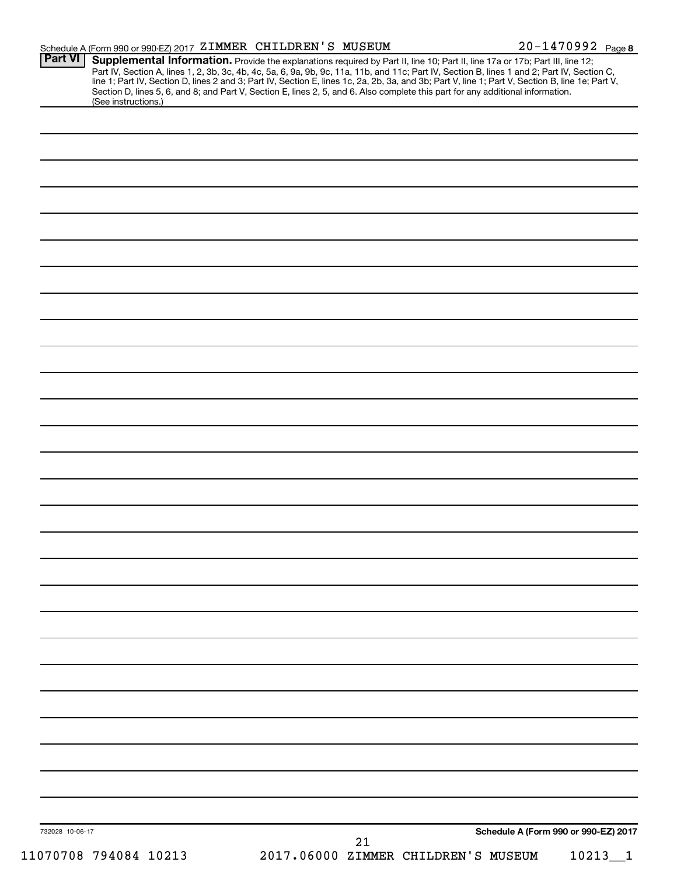|                 | Schedule A (Form 990 or 990-EZ) 2017 ZIMMER CHILDREN'S MUSEUM                                                                                                                                                                                                                                                                                                                                                                                                                                                                                                                               |                                     |    |                                      | 20-1470992 Page 8 |
|-----------------|---------------------------------------------------------------------------------------------------------------------------------------------------------------------------------------------------------------------------------------------------------------------------------------------------------------------------------------------------------------------------------------------------------------------------------------------------------------------------------------------------------------------------------------------------------------------------------------------|-------------------------------------|----|--------------------------------------|-------------------|
| <b>Part VI</b>  | Supplemental Information. Provide the explanations required by Part II, line 10; Part II, line 17a or 17b; Part III, line 12;<br>Part IV, Section A, lines 1, 2, 3b, 3c, 4b, 4c, 5a, 6, 9a, 9b, 9c, 11a, 11b, and 11c; Part IV, Section B, lines 1 and 2; Part IV, Section C,<br>line 1; Part IV, Section D, lines 2 and 3; Part IV, Section E, lines 1c, 2a, 2b, 3a, and 3b; Part V, line 1; Part V, Section B, line 1e; Part V,<br>Section D, lines 5, 6, and 8; and Part V, Section E, lines 2, 5, and 6. Also complete this part for any additional information.<br>(See instructions.) |                                     |    |                                      |                   |
|                 |                                                                                                                                                                                                                                                                                                                                                                                                                                                                                                                                                                                             |                                     |    |                                      |                   |
|                 |                                                                                                                                                                                                                                                                                                                                                                                                                                                                                                                                                                                             |                                     |    |                                      |                   |
|                 |                                                                                                                                                                                                                                                                                                                                                                                                                                                                                                                                                                                             |                                     |    |                                      |                   |
|                 |                                                                                                                                                                                                                                                                                                                                                                                                                                                                                                                                                                                             |                                     |    |                                      |                   |
|                 |                                                                                                                                                                                                                                                                                                                                                                                                                                                                                                                                                                                             |                                     |    |                                      |                   |
|                 |                                                                                                                                                                                                                                                                                                                                                                                                                                                                                                                                                                                             |                                     |    |                                      |                   |
|                 |                                                                                                                                                                                                                                                                                                                                                                                                                                                                                                                                                                                             |                                     |    |                                      |                   |
|                 |                                                                                                                                                                                                                                                                                                                                                                                                                                                                                                                                                                                             |                                     |    |                                      |                   |
|                 |                                                                                                                                                                                                                                                                                                                                                                                                                                                                                                                                                                                             |                                     |    |                                      |                   |
|                 |                                                                                                                                                                                                                                                                                                                                                                                                                                                                                                                                                                                             |                                     |    |                                      |                   |
|                 |                                                                                                                                                                                                                                                                                                                                                                                                                                                                                                                                                                                             |                                     |    |                                      |                   |
|                 |                                                                                                                                                                                                                                                                                                                                                                                                                                                                                                                                                                                             |                                     |    |                                      |                   |
|                 |                                                                                                                                                                                                                                                                                                                                                                                                                                                                                                                                                                                             |                                     |    |                                      |                   |
|                 |                                                                                                                                                                                                                                                                                                                                                                                                                                                                                                                                                                                             |                                     |    |                                      |                   |
|                 |                                                                                                                                                                                                                                                                                                                                                                                                                                                                                                                                                                                             |                                     |    |                                      |                   |
|                 |                                                                                                                                                                                                                                                                                                                                                                                                                                                                                                                                                                                             |                                     |    |                                      |                   |
|                 |                                                                                                                                                                                                                                                                                                                                                                                                                                                                                                                                                                                             |                                     |    |                                      |                   |
|                 |                                                                                                                                                                                                                                                                                                                                                                                                                                                                                                                                                                                             |                                     |    |                                      |                   |
|                 |                                                                                                                                                                                                                                                                                                                                                                                                                                                                                                                                                                                             |                                     |    |                                      |                   |
|                 |                                                                                                                                                                                                                                                                                                                                                                                                                                                                                                                                                                                             |                                     |    |                                      |                   |
|                 |                                                                                                                                                                                                                                                                                                                                                                                                                                                                                                                                                                                             |                                     |    |                                      |                   |
|                 |                                                                                                                                                                                                                                                                                                                                                                                                                                                                                                                                                                                             |                                     |    |                                      |                   |
|                 |                                                                                                                                                                                                                                                                                                                                                                                                                                                                                                                                                                                             |                                     |    |                                      |                   |
|                 |                                                                                                                                                                                                                                                                                                                                                                                                                                                                                                                                                                                             |                                     |    |                                      |                   |
|                 |                                                                                                                                                                                                                                                                                                                                                                                                                                                                                                                                                                                             |                                     |    |                                      |                   |
|                 |                                                                                                                                                                                                                                                                                                                                                                                                                                                                                                                                                                                             |                                     |    |                                      |                   |
|                 |                                                                                                                                                                                                                                                                                                                                                                                                                                                                                                                                                                                             |                                     |    |                                      |                   |
|                 |                                                                                                                                                                                                                                                                                                                                                                                                                                                                                                                                                                                             |                                     |    |                                      |                   |
|                 |                                                                                                                                                                                                                                                                                                                                                                                                                                                                                                                                                                                             |                                     |    |                                      |                   |
|                 |                                                                                                                                                                                                                                                                                                                                                                                                                                                                                                                                                                                             |                                     |    |                                      |                   |
| 732028 10-06-17 |                                                                                                                                                                                                                                                                                                                                                                                                                                                                                                                                                                                             |                                     | 21 | Schedule A (Form 990 or 990-EZ) 2017 |                   |
|                 | 11070708 794084 10213                                                                                                                                                                                                                                                                                                                                                                                                                                                                                                                                                                       | 2017.06000 ZIMMER CHILDREN'S MUSEUM |    |                                      | $10213 - 1$       |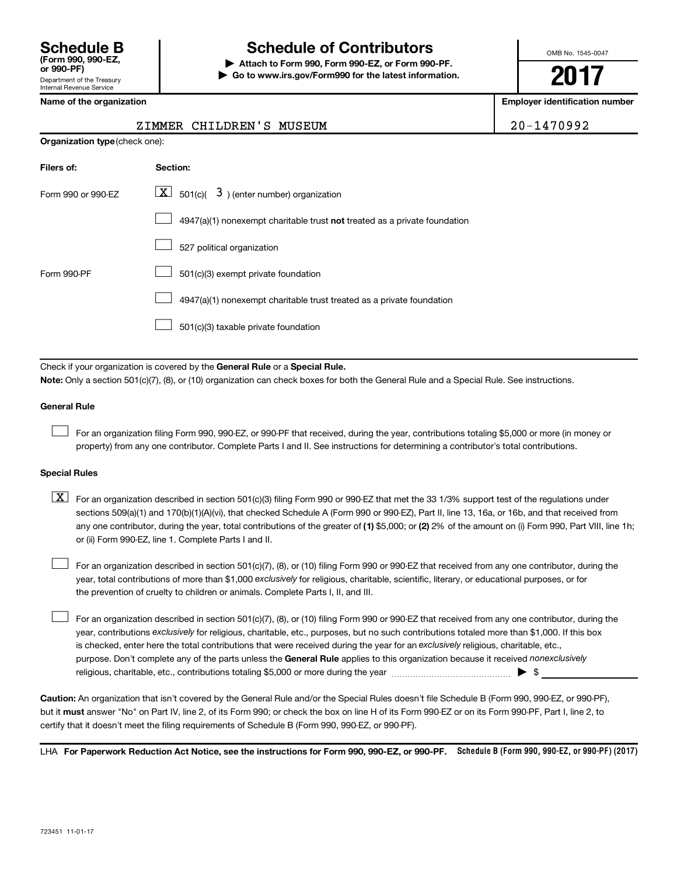## **Schedule B Schedule of Contributors**

**or 990-PF) | Attach to Form 990, Form 990-EZ, or Form 990-PF. | Go to www.irs.gov/Form990 for the latest information.** OMB No. 1545-0047

**2017**

**Employer identification number** 

| ZIMMER CHILDREN'S MUSEUM | 20-1470992 |
|--------------------------|------------|

## **Organization type** (check one): **Filers of: Section:** 4947(a)(1) nonexempt charitable trust not treated as a private foundation Form 990 or 990-EZ  $\overline{\mathbf{X}}$  501(c)(  $\overline{\mathbf{3}}$  ) (enter number) organization 527 political organization Form 990-PF  $\Box$  501(c)(3) exempt private foundation 4947(a)(1) nonexempt charitable trust treated as a private foundation 501(c)(3) taxable private foundation  $\Box$  $\Box$  $\Box$  $\Box$  $\Box$

Check if your organization is covered by the General Rule or a Special Rule.

**Note:**  Only a section 501(c)(7), (8), or (10) organization can check boxes for both the General Rule and a Special Rule. See instructions.

### **General Rule**

 $\Box$ 

For an organization filing Form 990, 990-EZ, or 990-PF that received, during the year, contributions totaling \$5,000 or more (in money or property) from any one contributor. Complete Parts I and II. See instructions for determining a contributor's total contributions.

### **Special Rules**

any one contributor, during the year, total contributions of the greater of (1) \$5,000; or (2) 2% of the amount on (i) Form 990, Part VIII, line 1h;  $\boxed{\text{X}}$  For an organization described in section 501(c)(3) filing Form 990 or 990-EZ that met the 33 1/3% support test of the regulations under sections 509(a)(1) and 170(b)(1)(A)(vi), that checked Schedule A (Form 990 or 990-EZ), Part II, line 13, 16a, or 16b, and that received from or (ii) Form 990-EZ, line 1. Complete Parts I and II.

year, total contributions of more than \$1,000 *exclusively* for religious, charitable, scientific, literary, or educational purposes, or for For an organization described in section 501(c)(7), (8), or (10) filing Form 990 or 990-EZ that received from any one contributor, during the the prevention of cruelty to children or animals. Complete Parts I, II, and III.  $\Box$ 

purpose. Don't complete any of the parts unless the General Rule applies to this organization because it received nonexclusively year, contributions exclusively for religious, charitable, etc., purposes, but no such contributions totaled more than \$1,000. If this box is checked, enter here the total contributions that were received during the year for an exclusively religious, charitable, etc., For an organization described in section 501(c)(7), (8), or (10) filing Form 990 or 990-EZ that received from any one contributor, during the religious, charitable, etc., contributions totaling \$5,000 or more during the year  $\ldots$  $\ldots$  $\ldots$  $\ldots$  $\ldots$  $\ldots$  $\Box$ 

**Caution:**  An organization that isn't covered by the General Rule and/or the Special Rules doesn't file Schedule B (Form 990, 990-EZ, or 990-PF),  **must** but it answer "No" on Part IV, line 2, of its Form 990; or check the box on line H of its Form 990-EZ or on its Form 990-PF, Part I, line 2, to certify that it doesn't meet the filing requirements of Schedule B (Form 990, 990-EZ, or 990-PF).

LHA For Paperwork Reduction Act Notice, see the instructions for Form 990, 990-EZ, or 990-PF. Schedule B (Form 990, 990-EZ, or 990-PF) (2017)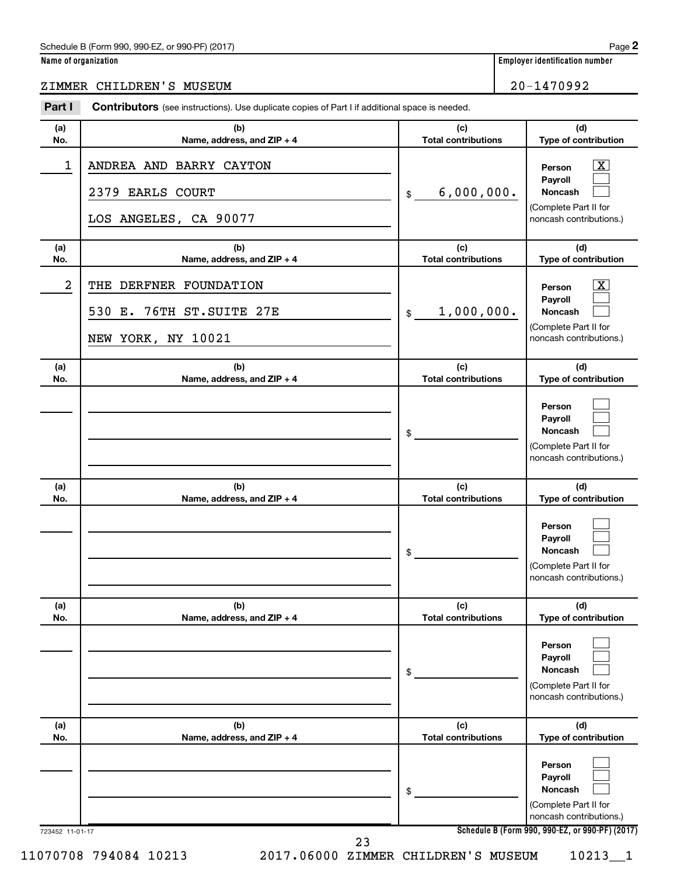### Schedule B (Form 990, 990-EZ, or 990-PF) (2017)

| Name of organization |  |  |
|----------------------|--|--|
|                      |  |  |

**Employer identification number** 

#### 723452 11-01-17 **Schedule B (Form 990, 990-EZ, or 990-PF) (2017) (a) No. (b) Name, address, and ZIP + 4 (c) Total contributions (d) Type of contribution Person Payroll Noncash (a) No. (b) Name, address, and ZIP + 4 (c) Total contributions (d) Type of contribution Person Payroll Noncash (a) No. (b) Name, address, and ZIP + 4 (c) Total contributions (d) Type of contribution Person Payroll Noncash (a) No. (b) Name, address, and ZIP + 4 (c) Total contributions (d) Type of contribution Person Payroll Noncash (a) No. (b) Name, address, and ZIP + 4 (c) Total contributions (d) Type of contribution Person Payroll Noncash (a) No. (b) Name, address, and ZIP + 4 (c) Total contributions (d) Type of contribution Person Payroll Noncash Part I** Contributors (see instructions). Use duplicate copies of Part I if additional space is needed. \$ (Complete Part II for noncash contributions.) \$ (Complete Part II for noncash contributions.) \$ (Complete Part II for noncash contributions.) \$ (Complete Part II for noncash contributions.) \$ (Complete Part II for noncash contributions.) \$ (Complete Part II for noncash contributions.)  $\lfloor x \rfloor$  $\Box$  $\Box$  $\overline{\mathbf{X}}$  $\Box$  $\Box$  $\Box$  $\Box$  $\Box$  $\Box$  $\Box$  $\Box$  $\Box$  $\Box$  $\Box$  $\Box$  $\Box$  $\Box$ ZIMMER CHILDREN'S MUSEUM 20-1470992 1 | ANDREA AND BARRY CAYTON 2379 EARLS COURT 6,000,000. LOS ANGELES, CA 90077 2 | THE DERFNER FOUNDATION 530 E. 76TH ST.SUITE 27E | \$ 1,000,000. NEW YORK, NY 10021 11070708 794084 10213 2017.06000 ZIMMER CHILDREN'S MUSEUM 10213\_\_1 23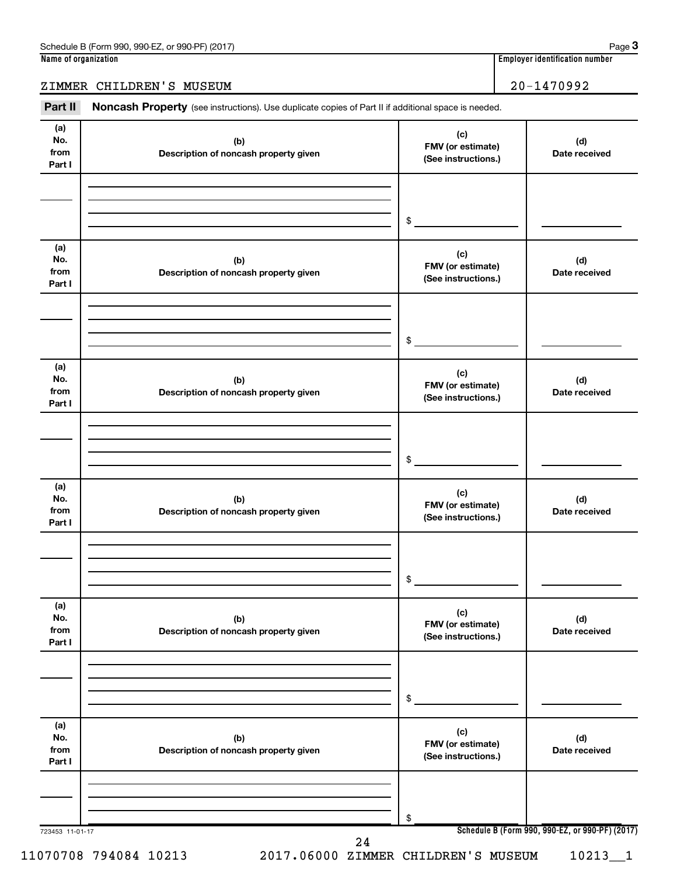## ZIMMER CHILDREN'S MUSEUM 20-1470992

Part II Noncash Property (see instructions). Use duplicate copies of Part II if additional space is needed.

| No.<br>from<br>Part I        | (b)<br>Description of noncash property given | FMV (or estimate)<br>(See instructions.)        | (d)<br>Date received |
|------------------------------|----------------------------------------------|-------------------------------------------------|----------------------|
|                              |                                              | \$                                              |                      |
| (a)<br>No.<br>from<br>Part I | (b)<br>Description of noncash property given | (c)<br>FMV (or estimate)<br>(See instructions.) | (d)<br>Date received |
|                              |                                              | \$                                              |                      |
| (a)<br>No.<br>from<br>Part I | (b)<br>Description of noncash property given | (c)<br>FMV (or estimate)<br>(See instructions.) | (d)<br>Date received |
|                              |                                              | \$                                              |                      |
| (a)<br>No.<br>from<br>Part I | (b)<br>Description of noncash property given | (c)<br>FMV (or estimate)<br>(See instructions.) | (d)<br>Date received |
|                              |                                              | \$                                              |                      |
| (a)<br>No.<br>from<br>Part I | (b)<br>Description of noncash property given | (c)<br>FMV (or estimate)<br>(See instructions.) | (d)<br>Date received |
|                              |                                              | \$                                              |                      |
| (a)<br>No.<br>from<br>Part I | (b)<br>Description of noncash property given | (c)<br>FMV (or estimate)<br>(See instructions.) | (d)<br>Date received |
|                              |                                              | \$                                              |                      |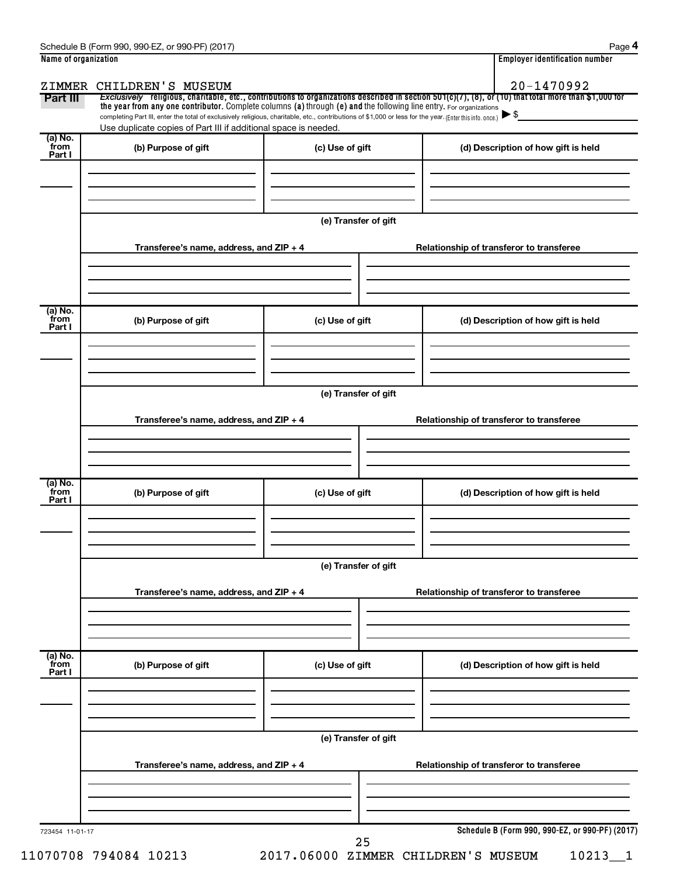|                           | Name of organization                                                                                                                                                                                                        |                      | <b>Employer identification number</b>                                                                                                                 |  |  |  |
|---------------------------|-----------------------------------------------------------------------------------------------------------------------------------------------------------------------------------------------------------------------------|----------------------|-------------------------------------------------------------------------------------------------------------------------------------------------------|--|--|--|
|                           | ZIMMER CHILDREN'S MUSEUM                                                                                                                                                                                                    |                      | 20-1470992                                                                                                                                            |  |  |  |
| Part III                  | the year from any one contributor. Complete columns (a) through (e) and the following line entry. For organizations                                                                                                         |                      | Exclusively religious, charitable, etc., contributions to organizations described in section 501(c)(7), (8), or (10) that total more than \$1,000 for |  |  |  |
|                           | completing Part III, enter the total of exclusively religious, charitable, etc., contributions of \$1,000 or less for the year. (Enter this info. once.)<br>Use duplicate copies of Part III if additional space is needed. |                      |                                                                                                                                                       |  |  |  |
| (a) No.<br>from           | (b) Purpose of gift                                                                                                                                                                                                         | (c) Use of gift      | (d) Description of how gift is held                                                                                                                   |  |  |  |
| Part I                    |                                                                                                                                                                                                                             |                      |                                                                                                                                                       |  |  |  |
|                           |                                                                                                                                                                                                                             |                      |                                                                                                                                                       |  |  |  |
|                           |                                                                                                                                                                                                                             |                      |                                                                                                                                                       |  |  |  |
|                           |                                                                                                                                                                                                                             | (e) Transfer of gift |                                                                                                                                                       |  |  |  |
|                           |                                                                                                                                                                                                                             |                      |                                                                                                                                                       |  |  |  |
|                           | Transferee's name, address, and ZIP + 4                                                                                                                                                                                     |                      | Relationship of transferor to transferee                                                                                                              |  |  |  |
|                           |                                                                                                                                                                                                                             |                      |                                                                                                                                                       |  |  |  |
|                           |                                                                                                                                                                                                                             |                      |                                                                                                                                                       |  |  |  |
| (a) No.<br>from           |                                                                                                                                                                                                                             |                      |                                                                                                                                                       |  |  |  |
| Part I                    | (b) Purpose of gift                                                                                                                                                                                                         | (c) Use of gift      | (d) Description of how gift is held                                                                                                                   |  |  |  |
|                           |                                                                                                                                                                                                                             |                      |                                                                                                                                                       |  |  |  |
|                           |                                                                                                                                                                                                                             |                      |                                                                                                                                                       |  |  |  |
|                           |                                                                                                                                                                                                                             | (e) Transfer of gift |                                                                                                                                                       |  |  |  |
|                           |                                                                                                                                                                                                                             |                      |                                                                                                                                                       |  |  |  |
|                           | Transferee's name, address, and ZIP + 4                                                                                                                                                                                     |                      | Relationship of transferor to transferee                                                                                                              |  |  |  |
|                           |                                                                                                                                                                                                                             |                      |                                                                                                                                                       |  |  |  |
|                           |                                                                                                                                                                                                                             |                      |                                                                                                                                                       |  |  |  |
| (a) No.<br>from<br>Part I | (b) Purpose of gift                                                                                                                                                                                                         | (c) Use of gift      | (d) Description of how gift is held                                                                                                                   |  |  |  |
|                           |                                                                                                                                                                                                                             |                      |                                                                                                                                                       |  |  |  |
|                           |                                                                                                                                                                                                                             |                      |                                                                                                                                                       |  |  |  |
|                           |                                                                                                                                                                                                                             | (e) Transfer of gift |                                                                                                                                                       |  |  |  |
|                           |                                                                                                                                                                                                                             |                      |                                                                                                                                                       |  |  |  |
|                           | Transferee's name, address, and ZIP + 4                                                                                                                                                                                     |                      | Relationship of transferor to transferee                                                                                                              |  |  |  |
|                           |                                                                                                                                                                                                                             |                      |                                                                                                                                                       |  |  |  |
|                           |                                                                                                                                                                                                                             |                      |                                                                                                                                                       |  |  |  |
| (a) No.<br>from           | (b) Purpose of gift                                                                                                                                                                                                         | (c) Use of gift      | (d) Description of how gift is held                                                                                                                   |  |  |  |
| Part I                    |                                                                                                                                                                                                                             |                      |                                                                                                                                                       |  |  |  |
|                           |                                                                                                                                                                                                                             |                      |                                                                                                                                                       |  |  |  |
|                           |                                                                                                                                                                                                                             |                      |                                                                                                                                                       |  |  |  |
|                           |                                                                                                                                                                                                                             | (e) Transfer of gift |                                                                                                                                                       |  |  |  |
|                           |                                                                                                                                                                                                                             |                      |                                                                                                                                                       |  |  |  |
|                           |                                                                                                                                                                                                                             |                      |                                                                                                                                                       |  |  |  |
|                           | Transferee's name, address, and ZIP + 4                                                                                                                                                                                     |                      | Relationship of transferor to transferee                                                                                                              |  |  |  |
|                           |                                                                                                                                                                                                                             |                      |                                                                                                                                                       |  |  |  |
|                           |                                                                                                                                                                                                                             |                      |                                                                                                                                                       |  |  |  |

11070708 794084 10213 2017.06000 ZIMMER CHILDREN'S MUSEUM 10213\_\_1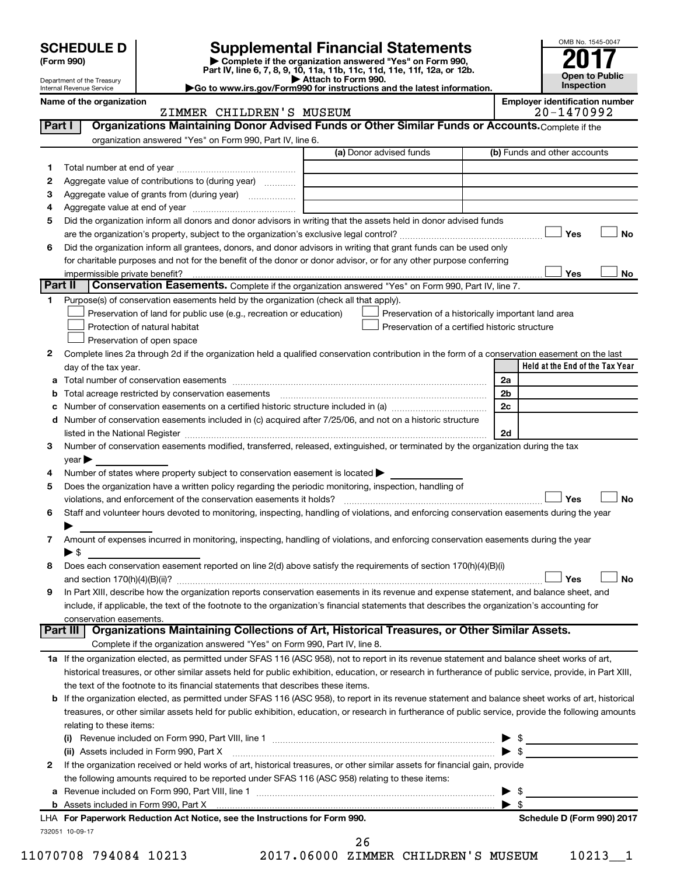SCHEDULE D<br>
Form 990) Supplemental Financial Statements<br>
Part IV, line 6, 7, 8, 9, 10, 11a, 11b, 11c, 11d, 11e, 11f, 12a, or 12b.



|        | Department of the Treasury<br>Internal Revenue Service | Part IV, line 6, 7, 6, 9, 10, 11a, 11b, 11c, 11d, 11e, 11l, 12a, 0r 12b.<br>Go to www.irs.gov/Form990 for instructions and the latest information.        | Attach to Form 990. |                                                    |  |                | <b>Open to Public</b><br>Inspection                 |           |
|--------|--------------------------------------------------------|-----------------------------------------------------------------------------------------------------------------------------------------------------------|---------------------|----------------------------------------------------|--|----------------|-----------------------------------------------------|-----------|
|        | Name of the organization                               | ZIMMER CHILDREN'S MUSEUM                                                                                                                                  |                     |                                                    |  |                | <b>Employer identification number</b><br>20-1470992 |           |
| Part I |                                                        | Organizations Maintaining Donor Advised Funds or Other Similar Funds or Accounts. Complete if the                                                         |                     |                                                    |  |                |                                                     |           |
|        |                                                        | organization answered "Yes" on Form 990, Part IV, line 6.                                                                                                 |                     |                                                    |  |                |                                                     |           |
|        |                                                        |                                                                                                                                                           |                     | (a) Donor advised funds                            |  |                | (b) Funds and other accounts                        |           |
| 1.     |                                                        |                                                                                                                                                           |                     |                                                    |  |                |                                                     |           |
| 2      |                                                        | Aggregate value of contributions to (during year)                                                                                                         |                     |                                                    |  |                |                                                     |           |
| З      |                                                        | Aggregate value of grants from (during year)                                                                                                              |                     |                                                    |  |                |                                                     |           |
| 4      |                                                        |                                                                                                                                                           |                     |                                                    |  |                |                                                     |           |
| 5      |                                                        | Did the organization inform all donors and donor advisors in writing that the assets held in donor advised funds                                          |                     |                                                    |  |                |                                                     |           |
|        |                                                        |                                                                                                                                                           |                     |                                                    |  |                | Yes                                                 | <b>No</b> |
| 6      |                                                        | Did the organization inform all grantees, donors, and donor advisors in writing that grant funds can be used only                                         |                     |                                                    |  |                |                                                     |           |
|        |                                                        | for charitable purposes and not for the benefit of the donor or donor advisor, or for any other purpose conferring                                        |                     |                                                    |  |                |                                                     |           |
|        | impermissible private benefit?                         |                                                                                                                                                           |                     |                                                    |  |                | Yes                                                 | No        |
|        | Part II                                                | Conservation Easements. Complete if the organization answered "Yes" on Form 990, Part IV, line 7.                                                         |                     |                                                    |  |                |                                                     |           |
| 1      |                                                        | Purpose(s) of conservation easements held by the organization (check all that apply).                                                                     |                     |                                                    |  |                |                                                     |           |
|        |                                                        | Preservation of land for public use (e.g., recreation or education)                                                                                       |                     | Preservation of a historically important land area |  |                |                                                     |           |
|        |                                                        | Protection of natural habitat                                                                                                                             |                     | Preservation of a certified historic structure     |  |                |                                                     |           |
|        |                                                        | Preservation of open space                                                                                                                                |                     |                                                    |  |                |                                                     |           |
| 2      |                                                        | Complete lines 2a through 2d if the organization held a qualified conservation contribution in the form of a conservation easement on the last            |                     |                                                    |  |                |                                                     |           |
|        | day of the tax year.                                   |                                                                                                                                                           |                     |                                                    |  |                | Held at the End of the Tax Year                     |           |
| а      |                                                        |                                                                                                                                                           |                     |                                                    |  | 2a             |                                                     |           |
| b      |                                                        | Total acreage restricted by conservation easements [11] [11] Total acreage restricted by conservation easements                                           |                     |                                                    |  | 2 <sub>b</sub> |                                                     |           |
| с      |                                                        |                                                                                                                                                           |                     |                                                    |  | 2c             |                                                     |           |
| d      |                                                        | Number of conservation easements included in (c) acquired after 7/25/06, and not on a historic structure                                                  |                     |                                                    |  |                |                                                     |           |
|        |                                                        |                                                                                                                                                           |                     |                                                    |  | 2d             |                                                     |           |
| 3      |                                                        | Number of conservation easements modified, transferred, released, extinguished, or terminated by the organization during the tax                          |                     |                                                    |  |                |                                                     |           |
|        | $year \blacktriangleright$                             |                                                                                                                                                           |                     |                                                    |  |                |                                                     |           |
| 4      |                                                        | Number of states where property subject to conservation easement is located >                                                                             |                     |                                                    |  |                |                                                     |           |
| 5      |                                                        | Does the organization have a written policy regarding the periodic monitoring, inspection, handling of                                                    |                     |                                                    |  |                |                                                     |           |
|        |                                                        |                                                                                                                                                           |                     |                                                    |  |                | Yes                                                 | <b>No</b> |
| 6      |                                                        | Staff and volunteer hours devoted to monitoring, inspecting, handling of violations, and enforcing conservation easements during the year                 |                     |                                                    |  |                |                                                     |           |
|        |                                                        |                                                                                                                                                           |                     |                                                    |  |                |                                                     |           |
| 7      |                                                        | Amount of expenses incurred in monitoring, inspecting, handling of violations, and enforcing conservation easements during the year                       |                     |                                                    |  |                |                                                     |           |
|        | ▶ \$                                                   |                                                                                                                                                           |                     |                                                    |  |                |                                                     |           |
|        |                                                        | Does each conservation easement reported on line 2(d) above satisfy the requirements of section 170(h)(4)(B)(i)                                           |                     |                                                    |  |                |                                                     | No        |
|        |                                                        | In Part XIII, describe how the organization reports conservation easements in its revenue and expense statement, and balance sheet, and                   |                     |                                                    |  |                | Yes                                                 |           |
| 9      |                                                        | include, if applicable, the text of the footnote to the organization's financial statements that describes the organization's accounting for              |                     |                                                    |  |                |                                                     |           |
|        | conservation easements.                                |                                                                                                                                                           |                     |                                                    |  |                |                                                     |           |
|        | Part III                                               | Organizations Maintaining Collections of Art, Historical Treasures, or Other Similar Assets.                                                              |                     |                                                    |  |                |                                                     |           |
|        |                                                        | Complete if the organization answered "Yes" on Form 990, Part IV, line 8.                                                                                 |                     |                                                    |  |                |                                                     |           |
|        |                                                        | 1a If the organization elected, as permitted under SFAS 116 (ASC 958), not to report in its revenue statement and balance sheet works of art,             |                     |                                                    |  |                |                                                     |           |
|        |                                                        | historical treasures, or other similar assets held for public exhibition, education, or research in furtherance of public service, provide, in Part XIII, |                     |                                                    |  |                |                                                     |           |
|        |                                                        | the text of the footnote to its financial statements that describes these items.                                                                          |                     |                                                    |  |                |                                                     |           |
| b      |                                                        | If the organization elected, as permitted under SFAS 116 (ASC 958), to report in its revenue statement and balance sheet works of art, historical         |                     |                                                    |  |                |                                                     |           |
|        |                                                        | treasures, or other similar assets held for public exhibition, education, or research in furtherance of public service, provide the following amounts     |                     |                                                    |  |                |                                                     |           |
|        | relating to these items:                               |                                                                                                                                                           |                     |                                                    |  |                |                                                     |           |
|        |                                                        |                                                                                                                                                           |                     |                                                    |  |                |                                                     |           |

|   | LHA For Paperwork Reduction Act Notice, see the Instructions for Form 990.                                                   |                         | Schedule D (Form 990) 2017 |
|---|------------------------------------------------------------------------------------------------------------------------------|-------------------------|----------------------------|
|   |                                                                                                                              |                         |                            |
|   | <b>a</b> Revenue included on Form 990, Part VIII, line 1                                                                     | $\blacktriangleright$ s |                            |
|   | the following amounts required to be reported under SFAS 116 (ASC 958) relating to these items:                              |                         |                            |
| 2 | If the organization received or held works of art, historical treasures, or other similar assets for financial gain, provide |                         |                            |
|   | (ii) Assets included in Form 990, Part X [11] Marting and Martin Martin Martin Martin Martin Martin Martin Mar               | ▶                       | - \$                       |
|   | (i) Revenue included on Form 990, Part VIII, line 1                                                                          | $\blacktriangleright$ s |                            |
|   | relating to these items:                                                                                                     |                         |                            |

26

732051 10-09-17

11070708 794084 10213 2017.06000 ZIMMER CHILDREN'S MUSEUM 10213\_\_1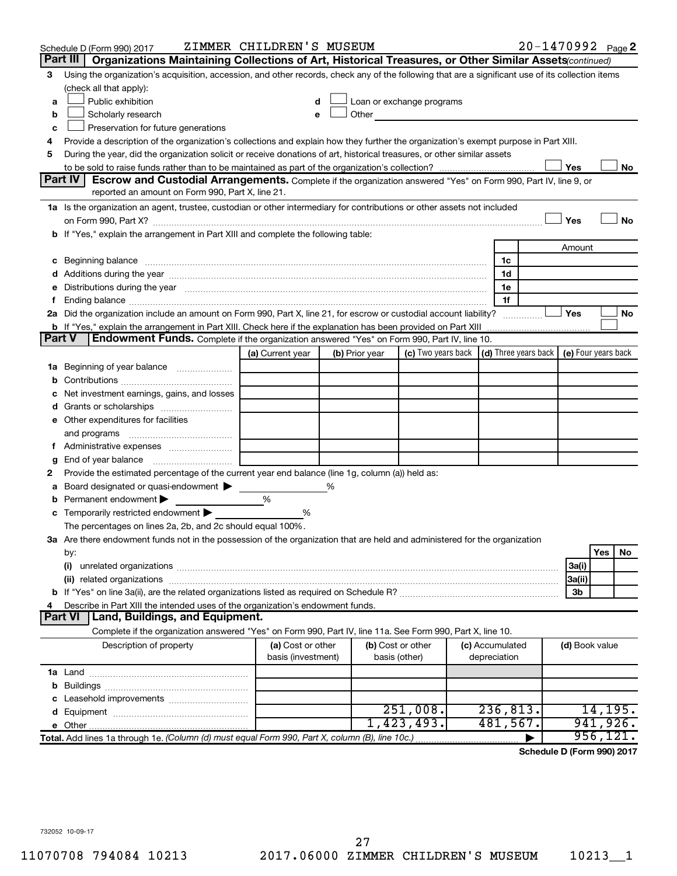|    | Schedule D (Form 990) 2017                                                                                                                                                                                                     | ZIMMER CHILDREN'S MUSEUM                |   |                |                                                                                                                                                                                                                               |                                                          | 20-1470992 Page 2 |                |           |    |
|----|--------------------------------------------------------------------------------------------------------------------------------------------------------------------------------------------------------------------------------|-----------------------------------------|---|----------------|-------------------------------------------------------------------------------------------------------------------------------------------------------------------------------------------------------------------------------|----------------------------------------------------------|-------------------|----------------|-----------|----|
|    | Part III   Organizations Maintaining Collections of Art, Historical Treasures, or Other Similar Assets (continued)                                                                                                             |                                         |   |                |                                                                                                                                                                                                                               |                                                          |                   |                |           |    |
| 3  | Using the organization's acquisition, accession, and other records, check any of the following that are a significant use of its collection items                                                                              |                                         |   |                |                                                                                                                                                                                                                               |                                                          |                   |                |           |    |
|    | (check all that apply):                                                                                                                                                                                                        |                                         |   |                |                                                                                                                                                                                                                               |                                                          |                   |                |           |    |
| a  | Public exhibition                                                                                                                                                                                                              |                                         | d |                | Loan or exchange programs                                                                                                                                                                                                     |                                                          |                   |                |           |    |
| b  | Scholarly research                                                                                                                                                                                                             |                                         |   |                | Other and the contract of the contract of the contract of the contract of the contract of the contract of the contract of the contract of the contract of the contract of the contract of the contract of the contract of the |                                                          |                   |                |           |    |
| c  | Preservation for future generations                                                                                                                                                                                            |                                         |   |                |                                                                                                                                                                                                                               |                                                          |                   |                |           |    |
| 4  | Provide a description of the organization's collections and explain how they further the organization's exempt purpose in Part XIII.                                                                                           |                                         |   |                |                                                                                                                                                                                                                               |                                                          |                   |                |           |    |
| 5  | During the year, did the organization solicit or receive donations of art, historical treasures, or other similar assets                                                                                                       |                                         |   |                |                                                                                                                                                                                                                               |                                                          |                   |                |           |    |
|    |                                                                                                                                                                                                                                |                                         |   |                |                                                                                                                                                                                                                               |                                                          |                   | Yes            |           | No |
|    | <b>Part IV</b><br>Escrow and Custodial Arrangements. Complete if the organization answered "Yes" on Form 990, Part IV, line 9, or                                                                                              |                                         |   |                |                                                                                                                                                                                                                               |                                                          |                   |                |           |    |
|    | reported an amount on Form 990, Part X, line 21.                                                                                                                                                                               |                                         |   |                |                                                                                                                                                                                                                               |                                                          |                   |                |           |    |
|    | 1a Is the organization an agent, trustee, custodian or other intermediary for contributions or other assets not included                                                                                                       |                                         |   |                |                                                                                                                                                                                                                               |                                                          |                   |                |           |    |
|    |                                                                                                                                                                                                                                |                                         |   |                |                                                                                                                                                                                                                               |                                                          |                   | Yes            |           | No |
|    | <b>b</b> If "Yes," explain the arrangement in Part XIII and complete the following table:                                                                                                                                      |                                         |   |                |                                                                                                                                                                                                                               |                                                          |                   |                |           |    |
|    |                                                                                                                                                                                                                                |                                         |   |                |                                                                                                                                                                                                                               |                                                          |                   | Amount         |           |    |
| c  | Beginning balance manufacture contracts and contracts and contracts and contracts and contracts and contracts and contracts and contracts and contracts and contracts and contracts and contracts and contracts and contracts  |                                         |   |                |                                                                                                                                                                                                                               | 1c                                                       |                   |                |           |    |
|    |                                                                                                                                                                                                                                |                                         |   |                |                                                                                                                                                                                                                               | 1d                                                       |                   |                |           |    |
|    | Distributions during the year manufactured and an account of the year manufactured and the year manufactured and the year manufactured and the year manufactured and the year manufactured and the year manufactured and the y |                                         |   |                |                                                                                                                                                                                                                               | 1e                                                       |                   |                |           |    |
|    |                                                                                                                                                                                                                                |                                         |   |                |                                                                                                                                                                                                                               | 1f                                                       |                   |                |           |    |
|    | 2a Did the organization include an amount on Form 990, Part X, line 21, for escrow or custodial account liability?                                                                                                             |                                         |   |                |                                                                                                                                                                                                                               |                                                          |                   | Yes            |           | No |
|    | Endowment Funds. Complete if the organization answered "Yes" on Form 990, Part IV, line 10.<br><b>Part V</b>                                                                                                                   |                                         |   |                |                                                                                                                                                                                                                               |                                                          |                   |                |           |    |
|    |                                                                                                                                                                                                                                | (a) Current year                        |   | (b) Prior year | (c) Two years back                                                                                                                                                                                                            | $\vert$ (d) Three years back $\vert$ (e) Four years back |                   |                |           |    |
| ٦а | Beginning of year balance                                                                                                                                                                                                      |                                         |   |                |                                                                                                                                                                                                                               |                                                          |                   |                |           |    |
|    |                                                                                                                                                                                                                                |                                         |   |                |                                                                                                                                                                                                                               |                                                          |                   |                |           |    |
|    | Net investment earnings, gains, and losses                                                                                                                                                                                     |                                         |   |                |                                                                                                                                                                                                                               |                                                          |                   |                |           |    |
|    |                                                                                                                                                                                                                                |                                         |   |                |                                                                                                                                                                                                                               |                                                          |                   |                |           |    |
|    | e Other expenditures for facilities                                                                                                                                                                                            |                                         |   |                |                                                                                                                                                                                                                               |                                                          |                   |                |           |    |
|    | and programs                                                                                                                                                                                                                   |                                         |   |                |                                                                                                                                                                                                                               |                                                          |                   |                |           |    |
|    |                                                                                                                                                                                                                                |                                         |   |                |                                                                                                                                                                                                                               |                                                          |                   |                |           |    |
|    | End of year balance                                                                                                                                                                                                            |                                         |   |                |                                                                                                                                                                                                                               |                                                          |                   |                |           |    |
| 2  | Provide the estimated percentage of the current year end balance (line 1g, column (a)) held as:                                                                                                                                |                                         |   |                |                                                                                                                                                                                                                               |                                                          |                   |                |           |    |
|    | Board designated or quasi-endowment                                                                                                                                                                                            |                                         | % |                |                                                                                                                                                                                                                               |                                                          |                   |                |           |    |
|    | Permanent endowment                                                                                                                                                                                                            | %                                       |   |                |                                                                                                                                                                                                                               |                                                          |                   |                |           |    |
| с  | Temporarily restricted endowment                                                                                                                                                                                               | %                                       |   |                |                                                                                                                                                                                                                               |                                                          |                   |                |           |    |
|    | The percentages on lines 2a, 2b, and 2c should equal 100%.                                                                                                                                                                     |                                         |   |                |                                                                                                                                                                                                                               |                                                          |                   |                |           |    |
|    | 3a Are there endowment funds not in the possession of the organization that are held and administered for the organization                                                                                                     |                                         |   |                |                                                                                                                                                                                                                               |                                                          |                   |                |           |    |
|    | by:                                                                                                                                                                                                                            |                                         |   |                |                                                                                                                                                                                                                               |                                                          |                   |                | Yes       | No |
|    | (i)                                                                                                                                                                                                                            |                                         |   |                |                                                                                                                                                                                                                               |                                                          |                   | 3a(i)          |           |    |
|    | (ii) related organizations                                                                                                                                                                                                     |                                         |   |                |                                                                                                                                                                                                                               |                                                          |                   | 3a(ii)         |           |    |
|    |                                                                                                                                                                                                                                |                                         |   |                |                                                                                                                                                                                                                               |                                                          |                   | 3b             |           |    |
|    | Describe in Part XIII the intended uses of the organization's endowment funds.                                                                                                                                                 |                                         |   |                |                                                                                                                                                                                                                               |                                                          |                   |                |           |    |
|    | Land, Buildings, and Equipment.<br><b>Part VI</b>                                                                                                                                                                              |                                         |   |                |                                                                                                                                                                                                                               |                                                          |                   |                |           |    |
|    | Complete if the organization answered "Yes" on Form 990, Part IV, line 11a. See Form 990, Part X, line 10.                                                                                                                     |                                         |   |                |                                                                                                                                                                                                                               |                                                          |                   |                |           |    |
|    | Description of property                                                                                                                                                                                                        | (a) Cost or other<br>basis (investment) |   |                | (b) Cost or other<br>basis (other)                                                                                                                                                                                            | (c) Accumulated<br>depreciation                          |                   | (d) Book value |           |    |
|    |                                                                                                                                                                                                                                |                                         |   |                |                                                                                                                                                                                                                               |                                                          |                   |                |           |    |
| b  |                                                                                                                                                                                                                                |                                         |   |                |                                                                                                                                                                                                                               |                                                          |                   |                |           |    |
|    |                                                                                                                                                                                                                                |                                         |   |                |                                                                                                                                                                                                                               |                                                          |                   |                |           |    |
|    |                                                                                                                                                                                                                                |                                         |   |                | 251,008.                                                                                                                                                                                                                      | 236,813.                                                 |                   |                | 14, 195.  |    |
|    |                                                                                                                                                                                                                                |                                         |   |                | 1,423,493.                                                                                                                                                                                                                    | 481,567.                                                 |                   |                | 941,926.  |    |
|    | Total. Add lines 1a through 1e. (Column (d) must equal Form 990, Part X, column (B), line 10c.)                                                                                                                                |                                         |   |                |                                                                                                                                                                                                                               |                                                          |                   |                | 956, 121. |    |

**Schedule D (Form 990) 2017**

732052 10-09-17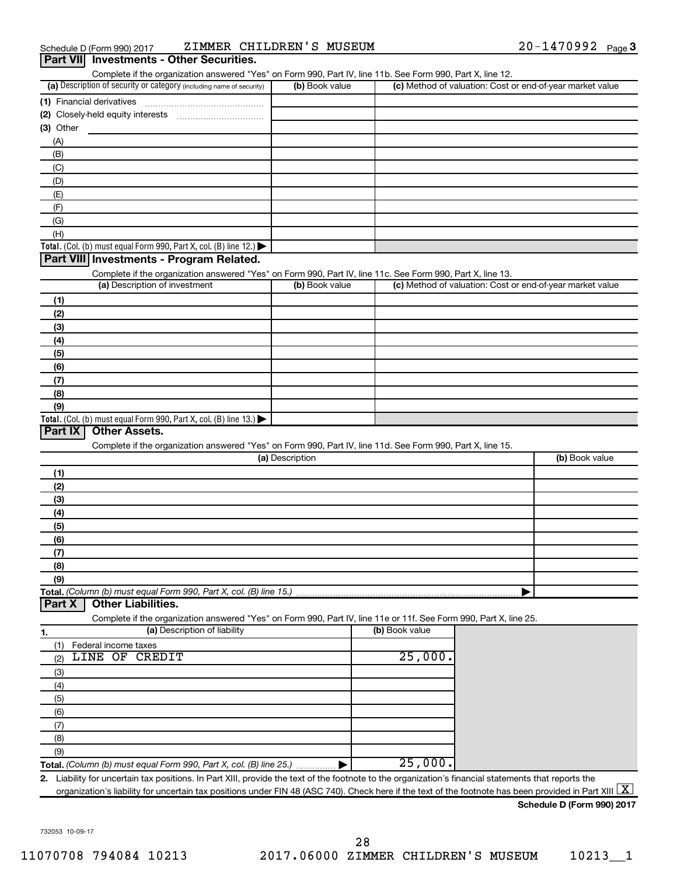| Schedule D (Form 990) 2017 |                                                 | ZIMMER CHILDREN'S MUSEUM | $20 - 1470992$ Page 3 |  |
|----------------------------|-------------------------------------------------|--------------------------|-----------------------|--|
|                            | <b>Part VII</b> Investments - Other Securities. |                          |                       |  |

| (a) Description of security or category (including name of security)<br>(b) Book value<br>(c) Method of valuation: Cost or end-of-year market value<br>(1) Financial derivatives<br>$(3)$ Other<br>(A)<br>(B)<br>(C)<br>(D)<br>(E)<br>(F)<br>(G)<br>(H)<br>Total. (Col. (b) must equal Form 990, Part X, col. (B) line 12.)<br>Part VIII Investments - Program Related.<br>Complete if the organization answered "Yes" on Form 990, Part IV, line 11c. See Form 990, Part X, line 13.<br>(a) Description of investment<br>(b) Book value<br>(c) Method of valuation: Cost or end-of-year market value<br>(1)<br>(2)<br>(3)<br>(4)<br>(5)<br>(6)<br>(7)<br>(8)<br>(9)<br>Total. (Col. (b) must equal Form 990, Part X, col. (B) line 13.) $\blacktriangleright$<br>Part IX<br><b>Other Assets.</b><br>Complete if the organization answered "Yes" on Form 990, Part IV, line 11d. See Form 990, Part X, line 15.<br>(a) Description<br>(b) Book value<br>(1)<br>(2)<br>(3)<br>(4)<br>(5)<br>(6)<br>(7)<br>(8)<br>(9)<br>Total. (Column (b) must equal Form 990, Part X, col. (B) line 15.)<br><b>Other Liabilities.</b><br>Part X<br>Complete if the organization answered "Yes" on Form 990, Part IV, line 11e or 11f. See Form 990, Part X, line 25.<br>(a) Description of liability<br>(b) Book value<br>1.<br>Federal income taxes<br>(1)<br>LINE OF CREDIT<br>25,000.<br>(2)<br>(3)<br>(4)<br>(5)<br>(6)<br>(7)<br>(8)<br>(9)<br>25,000.<br>Total. (Column (b) must equal Form 990, Part X, col. (B) line 25.)<br>2. Liability for uncertain tax positions. In Part XIII, provide the text of the footnote to the organization's financial statements that reports the | Complete if the organization answered "Yes" on Form 990, Part IV, line 11b. See Form 990, Part X, line 12. |  |  |
|----------------------------------------------------------------------------------------------------------------------------------------------------------------------------------------------------------------------------------------------------------------------------------------------------------------------------------------------------------------------------------------------------------------------------------------------------------------------------------------------------------------------------------------------------------------------------------------------------------------------------------------------------------------------------------------------------------------------------------------------------------------------------------------------------------------------------------------------------------------------------------------------------------------------------------------------------------------------------------------------------------------------------------------------------------------------------------------------------------------------------------------------------------------------------------------------------------------------------------------------------------------------------------------------------------------------------------------------------------------------------------------------------------------------------------------------------------------------------------------------------------------------------------------------------------------------------------------------------------------------------------------------------------------------------|------------------------------------------------------------------------------------------------------------|--|--|
|                                                                                                                                                                                                                                                                                                                                                                                                                                                                                                                                                                                                                                                                                                                                                                                                                                                                                                                                                                                                                                                                                                                                                                                                                                                                                                                                                                                                                                                                                                                                                                                                                                                                            |                                                                                                            |  |  |
|                                                                                                                                                                                                                                                                                                                                                                                                                                                                                                                                                                                                                                                                                                                                                                                                                                                                                                                                                                                                                                                                                                                                                                                                                                                                                                                                                                                                                                                                                                                                                                                                                                                                            |                                                                                                            |  |  |
|                                                                                                                                                                                                                                                                                                                                                                                                                                                                                                                                                                                                                                                                                                                                                                                                                                                                                                                                                                                                                                                                                                                                                                                                                                                                                                                                                                                                                                                                                                                                                                                                                                                                            |                                                                                                            |  |  |
|                                                                                                                                                                                                                                                                                                                                                                                                                                                                                                                                                                                                                                                                                                                                                                                                                                                                                                                                                                                                                                                                                                                                                                                                                                                                                                                                                                                                                                                                                                                                                                                                                                                                            |                                                                                                            |  |  |
|                                                                                                                                                                                                                                                                                                                                                                                                                                                                                                                                                                                                                                                                                                                                                                                                                                                                                                                                                                                                                                                                                                                                                                                                                                                                                                                                                                                                                                                                                                                                                                                                                                                                            |                                                                                                            |  |  |
|                                                                                                                                                                                                                                                                                                                                                                                                                                                                                                                                                                                                                                                                                                                                                                                                                                                                                                                                                                                                                                                                                                                                                                                                                                                                                                                                                                                                                                                                                                                                                                                                                                                                            |                                                                                                            |  |  |
|                                                                                                                                                                                                                                                                                                                                                                                                                                                                                                                                                                                                                                                                                                                                                                                                                                                                                                                                                                                                                                                                                                                                                                                                                                                                                                                                                                                                                                                                                                                                                                                                                                                                            |                                                                                                            |  |  |
|                                                                                                                                                                                                                                                                                                                                                                                                                                                                                                                                                                                                                                                                                                                                                                                                                                                                                                                                                                                                                                                                                                                                                                                                                                                                                                                                                                                                                                                                                                                                                                                                                                                                            |                                                                                                            |  |  |
|                                                                                                                                                                                                                                                                                                                                                                                                                                                                                                                                                                                                                                                                                                                                                                                                                                                                                                                                                                                                                                                                                                                                                                                                                                                                                                                                                                                                                                                                                                                                                                                                                                                                            |                                                                                                            |  |  |
|                                                                                                                                                                                                                                                                                                                                                                                                                                                                                                                                                                                                                                                                                                                                                                                                                                                                                                                                                                                                                                                                                                                                                                                                                                                                                                                                                                                                                                                                                                                                                                                                                                                                            |                                                                                                            |  |  |
|                                                                                                                                                                                                                                                                                                                                                                                                                                                                                                                                                                                                                                                                                                                                                                                                                                                                                                                                                                                                                                                                                                                                                                                                                                                                                                                                                                                                                                                                                                                                                                                                                                                                            |                                                                                                            |  |  |
|                                                                                                                                                                                                                                                                                                                                                                                                                                                                                                                                                                                                                                                                                                                                                                                                                                                                                                                                                                                                                                                                                                                                                                                                                                                                                                                                                                                                                                                                                                                                                                                                                                                                            |                                                                                                            |  |  |
|                                                                                                                                                                                                                                                                                                                                                                                                                                                                                                                                                                                                                                                                                                                                                                                                                                                                                                                                                                                                                                                                                                                                                                                                                                                                                                                                                                                                                                                                                                                                                                                                                                                                            |                                                                                                            |  |  |
|                                                                                                                                                                                                                                                                                                                                                                                                                                                                                                                                                                                                                                                                                                                                                                                                                                                                                                                                                                                                                                                                                                                                                                                                                                                                                                                                                                                                                                                                                                                                                                                                                                                                            |                                                                                                            |  |  |
|                                                                                                                                                                                                                                                                                                                                                                                                                                                                                                                                                                                                                                                                                                                                                                                                                                                                                                                                                                                                                                                                                                                                                                                                                                                                                                                                                                                                                                                                                                                                                                                                                                                                            |                                                                                                            |  |  |
|                                                                                                                                                                                                                                                                                                                                                                                                                                                                                                                                                                                                                                                                                                                                                                                                                                                                                                                                                                                                                                                                                                                                                                                                                                                                                                                                                                                                                                                                                                                                                                                                                                                                            |                                                                                                            |  |  |
|                                                                                                                                                                                                                                                                                                                                                                                                                                                                                                                                                                                                                                                                                                                                                                                                                                                                                                                                                                                                                                                                                                                                                                                                                                                                                                                                                                                                                                                                                                                                                                                                                                                                            |                                                                                                            |  |  |
|                                                                                                                                                                                                                                                                                                                                                                                                                                                                                                                                                                                                                                                                                                                                                                                                                                                                                                                                                                                                                                                                                                                                                                                                                                                                                                                                                                                                                                                                                                                                                                                                                                                                            |                                                                                                            |  |  |
|                                                                                                                                                                                                                                                                                                                                                                                                                                                                                                                                                                                                                                                                                                                                                                                                                                                                                                                                                                                                                                                                                                                                                                                                                                                                                                                                                                                                                                                                                                                                                                                                                                                                            |                                                                                                            |  |  |
|                                                                                                                                                                                                                                                                                                                                                                                                                                                                                                                                                                                                                                                                                                                                                                                                                                                                                                                                                                                                                                                                                                                                                                                                                                                                                                                                                                                                                                                                                                                                                                                                                                                                            |                                                                                                            |  |  |
|                                                                                                                                                                                                                                                                                                                                                                                                                                                                                                                                                                                                                                                                                                                                                                                                                                                                                                                                                                                                                                                                                                                                                                                                                                                                                                                                                                                                                                                                                                                                                                                                                                                                            |                                                                                                            |  |  |
|                                                                                                                                                                                                                                                                                                                                                                                                                                                                                                                                                                                                                                                                                                                                                                                                                                                                                                                                                                                                                                                                                                                                                                                                                                                                                                                                                                                                                                                                                                                                                                                                                                                                            |                                                                                                            |  |  |
|                                                                                                                                                                                                                                                                                                                                                                                                                                                                                                                                                                                                                                                                                                                                                                                                                                                                                                                                                                                                                                                                                                                                                                                                                                                                                                                                                                                                                                                                                                                                                                                                                                                                            |                                                                                                            |  |  |
|                                                                                                                                                                                                                                                                                                                                                                                                                                                                                                                                                                                                                                                                                                                                                                                                                                                                                                                                                                                                                                                                                                                                                                                                                                                                                                                                                                                                                                                                                                                                                                                                                                                                            |                                                                                                            |  |  |
|                                                                                                                                                                                                                                                                                                                                                                                                                                                                                                                                                                                                                                                                                                                                                                                                                                                                                                                                                                                                                                                                                                                                                                                                                                                                                                                                                                                                                                                                                                                                                                                                                                                                            |                                                                                                            |  |  |
|                                                                                                                                                                                                                                                                                                                                                                                                                                                                                                                                                                                                                                                                                                                                                                                                                                                                                                                                                                                                                                                                                                                                                                                                                                                                                                                                                                                                                                                                                                                                                                                                                                                                            |                                                                                                            |  |  |
|                                                                                                                                                                                                                                                                                                                                                                                                                                                                                                                                                                                                                                                                                                                                                                                                                                                                                                                                                                                                                                                                                                                                                                                                                                                                                                                                                                                                                                                                                                                                                                                                                                                                            |                                                                                                            |  |  |
|                                                                                                                                                                                                                                                                                                                                                                                                                                                                                                                                                                                                                                                                                                                                                                                                                                                                                                                                                                                                                                                                                                                                                                                                                                                                                                                                                                                                                                                                                                                                                                                                                                                                            |                                                                                                            |  |  |
|                                                                                                                                                                                                                                                                                                                                                                                                                                                                                                                                                                                                                                                                                                                                                                                                                                                                                                                                                                                                                                                                                                                                                                                                                                                                                                                                                                                                                                                                                                                                                                                                                                                                            |                                                                                                            |  |  |
|                                                                                                                                                                                                                                                                                                                                                                                                                                                                                                                                                                                                                                                                                                                                                                                                                                                                                                                                                                                                                                                                                                                                                                                                                                                                                                                                                                                                                                                                                                                                                                                                                                                                            |                                                                                                            |  |  |
|                                                                                                                                                                                                                                                                                                                                                                                                                                                                                                                                                                                                                                                                                                                                                                                                                                                                                                                                                                                                                                                                                                                                                                                                                                                                                                                                                                                                                                                                                                                                                                                                                                                                            |                                                                                                            |  |  |
|                                                                                                                                                                                                                                                                                                                                                                                                                                                                                                                                                                                                                                                                                                                                                                                                                                                                                                                                                                                                                                                                                                                                                                                                                                                                                                                                                                                                                                                                                                                                                                                                                                                                            |                                                                                                            |  |  |
|                                                                                                                                                                                                                                                                                                                                                                                                                                                                                                                                                                                                                                                                                                                                                                                                                                                                                                                                                                                                                                                                                                                                                                                                                                                                                                                                                                                                                                                                                                                                                                                                                                                                            |                                                                                                            |  |  |
|                                                                                                                                                                                                                                                                                                                                                                                                                                                                                                                                                                                                                                                                                                                                                                                                                                                                                                                                                                                                                                                                                                                                                                                                                                                                                                                                                                                                                                                                                                                                                                                                                                                                            |                                                                                                            |  |  |
|                                                                                                                                                                                                                                                                                                                                                                                                                                                                                                                                                                                                                                                                                                                                                                                                                                                                                                                                                                                                                                                                                                                                                                                                                                                                                                                                                                                                                                                                                                                                                                                                                                                                            |                                                                                                            |  |  |
|                                                                                                                                                                                                                                                                                                                                                                                                                                                                                                                                                                                                                                                                                                                                                                                                                                                                                                                                                                                                                                                                                                                                                                                                                                                                                                                                                                                                                                                                                                                                                                                                                                                                            |                                                                                                            |  |  |
|                                                                                                                                                                                                                                                                                                                                                                                                                                                                                                                                                                                                                                                                                                                                                                                                                                                                                                                                                                                                                                                                                                                                                                                                                                                                                                                                                                                                                                                                                                                                                                                                                                                                            |                                                                                                            |  |  |
|                                                                                                                                                                                                                                                                                                                                                                                                                                                                                                                                                                                                                                                                                                                                                                                                                                                                                                                                                                                                                                                                                                                                                                                                                                                                                                                                                                                                                                                                                                                                                                                                                                                                            |                                                                                                            |  |  |
|                                                                                                                                                                                                                                                                                                                                                                                                                                                                                                                                                                                                                                                                                                                                                                                                                                                                                                                                                                                                                                                                                                                                                                                                                                                                                                                                                                                                                                                                                                                                                                                                                                                                            |                                                                                                            |  |  |
|                                                                                                                                                                                                                                                                                                                                                                                                                                                                                                                                                                                                                                                                                                                                                                                                                                                                                                                                                                                                                                                                                                                                                                                                                                                                                                                                                                                                                                                                                                                                                                                                                                                                            |                                                                                                            |  |  |
|                                                                                                                                                                                                                                                                                                                                                                                                                                                                                                                                                                                                                                                                                                                                                                                                                                                                                                                                                                                                                                                                                                                                                                                                                                                                                                                                                                                                                                                                                                                                                                                                                                                                            |                                                                                                            |  |  |
|                                                                                                                                                                                                                                                                                                                                                                                                                                                                                                                                                                                                                                                                                                                                                                                                                                                                                                                                                                                                                                                                                                                                                                                                                                                                                                                                                                                                                                                                                                                                                                                                                                                                            |                                                                                                            |  |  |
|                                                                                                                                                                                                                                                                                                                                                                                                                                                                                                                                                                                                                                                                                                                                                                                                                                                                                                                                                                                                                                                                                                                                                                                                                                                                                                                                                                                                                                                                                                                                                                                                                                                                            |                                                                                                            |  |  |
|                                                                                                                                                                                                                                                                                                                                                                                                                                                                                                                                                                                                                                                                                                                                                                                                                                                                                                                                                                                                                                                                                                                                                                                                                                                                                                                                                                                                                                                                                                                                                                                                                                                                            |                                                                                                            |  |  |
|                                                                                                                                                                                                                                                                                                                                                                                                                                                                                                                                                                                                                                                                                                                                                                                                                                                                                                                                                                                                                                                                                                                                                                                                                                                                                                                                                                                                                                                                                                                                                                                                                                                                            |                                                                                                            |  |  |
|                                                                                                                                                                                                                                                                                                                                                                                                                                                                                                                                                                                                                                                                                                                                                                                                                                                                                                                                                                                                                                                                                                                                                                                                                                                                                                                                                                                                                                                                                                                                                                                                                                                                            |                                                                                                            |  |  |
|                                                                                                                                                                                                                                                                                                                                                                                                                                                                                                                                                                                                                                                                                                                                                                                                                                                                                                                                                                                                                                                                                                                                                                                                                                                                                                                                                                                                                                                                                                                                                                                                                                                                            |                                                                                                            |  |  |
|                                                                                                                                                                                                                                                                                                                                                                                                                                                                                                                                                                                                                                                                                                                                                                                                                                                                                                                                                                                                                                                                                                                                                                                                                                                                                                                                                                                                                                                                                                                                                                                                                                                                            |                                                                                                            |  |  |
|                                                                                                                                                                                                                                                                                                                                                                                                                                                                                                                                                                                                                                                                                                                                                                                                                                                                                                                                                                                                                                                                                                                                                                                                                                                                                                                                                                                                                                                                                                                                                                                                                                                                            |                                                                                                            |  |  |
|                                                                                                                                                                                                                                                                                                                                                                                                                                                                                                                                                                                                                                                                                                                                                                                                                                                                                                                                                                                                                                                                                                                                                                                                                                                                                                                                                                                                                                                                                                                                                                                                                                                                            |                                                                                                            |  |  |
|                                                                                                                                                                                                                                                                                                                                                                                                                                                                                                                                                                                                                                                                                                                                                                                                                                                                                                                                                                                                                                                                                                                                                                                                                                                                                                                                                                                                                                                                                                                                                                                                                                                                            |                                                                                                            |  |  |
|                                                                                                                                                                                                                                                                                                                                                                                                                                                                                                                                                                                                                                                                                                                                                                                                                                                                                                                                                                                                                                                                                                                                                                                                                                                                                                                                                                                                                                                                                                                                                                                                                                                                            |                                                                                                            |  |  |
|                                                                                                                                                                                                                                                                                                                                                                                                                                                                                                                                                                                                                                                                                                                                                                                                                                                                                                                                                                                                                                                                                                                                                                                                                                                                                                                                                                                                                                                                                                                                                                                                                                                                            |                                                                                                            |  |  |
|                                                                                                                                                                                                                                                                                                                                                                                                                                                                                                                                                                                                                                                                                                                                                                                                                                                                                                                                                                                                                                                                                                                                                                                                                                                                                                                                                                                                                                                                                                                                                                                                                                                                            |                                                                                                            |  |  |

**Schedule D (Form 990) 2017**

732053 10-09-17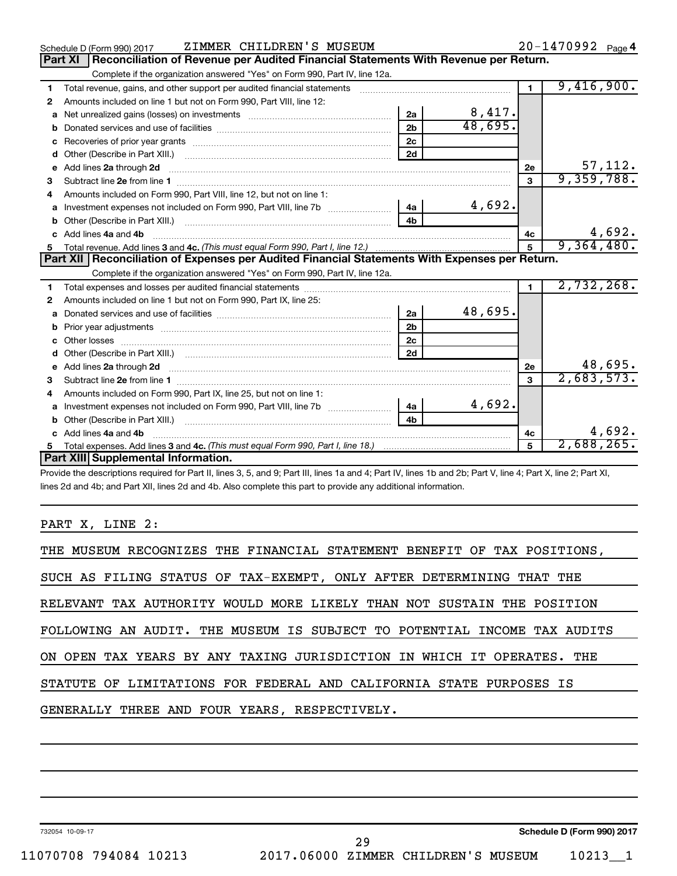|              | ZIMMER CHILDREN'S MUSEUM<br>Schedule D (Form 990) 2017                                                                                                                                                                              |                |                        |                | 20-1470992 Page 4 |
|--------------|-------------------------------------------------------------------------------------------------------------------------------------------------------------------------------------------------------------------------------------|----------------|------------------------|----------------|-------------------|
|              | Reconciliation of Revenue per Audited Financial Statements With Revenue per Return.<br><b>Part XI</b>                                                                                                                               |                |                        |                |                   |
|              | Complete if the organization answered "Yes" on Form 990, Part IV, line 12a.                                                                                                                                                         |                |                        |                |                   |
| 1            | Total revenue, gains, and other support per audited financial statements                                                                                                                                                            |                |                        | $\blacksquare$ | 9,416,900.        |
| 2            | Amounts included on line 1 but not on Form 990, Part VIII, line 12:                                                                                                                                                                 |                |                        |                |                   |
| a            | Net unrealized gains (losses) on investments [111] [12] matter was uncontracted by the unrealized gains (losses) on investments                                                                                                     | 2a             | $\frac{8,417}{48,695}$ |                |                   |
|              |                                                                                                                                                                                                                                     | 2 <sub>b</sub> |                        |                |                   |
| c            |                                                                                                                                                                                                                                     | 2c             |                        |                |                   |
| d            |                                                                                                                                                                                                                                     | 2d             |                        |                |                   |
|              | e Add lines 2a through 2d <b>contract and all an additional and all an</b> and all and an additional and an additional and an additional and an additional and an additional and an additional and an additional and an additional  |                |                        | 2e             | 57,112.           |
| 3            |                                                                                                                                                                                                                                     |                |                        | 3              | 9,359,788.        |
| 4            | Amounts included on Form 990, Part VIII, line 12, but not on line 1:                                                                                                                                                                |                |                        |                |                   |
|              | a Investment expenses not included on Form 990, Part VIII, line 7b                                                                                                                                                                  | 4a             | 4,692.                 |                |                   |
|              |                                                                                                                                                                                                                                     | 4 <sub>h</sub> |                        |                |                   |
| $\mathbf{c}$ | Add lines 4a and 4b                                                                                                                                                                                                                 |                |                        | 4c             | 4,692.            |
|              |                                                                                                                                                                                                                                     |                |                        | $\overline{5}$ | 9,364,480.        |
|              |                                                                                                                                                                                                                                     |                |                        |                |                   |
|              | Part XII   Reconciliation of Expenses per Audited Financial Statements With Expenses per Return.                                                                                                                                    |                |                        |                |                   |
|              | Complete if the organization answered "Yes" on Form 990, Part IV, line 12a.                                                                                                                                                         |                |                        |                |                   |
| 1            |                                                                                                                                                                                                                                     |                |                        | $\mathbf{1}$   | 2,732,268.        |
| 2            | Amounts included on line 1 but not on Form 990, Part IX, line 25:                                                                                                                                                                   |                |                        |                |                   |
| a            |                                                                                                                                                                                                                                     | 2a             | 48,695.                |                |                   |
| b            |                                                                                                                                                                                                                                     | 2 <sub>b</sub> |                        |                |                   |
| c            |                                                                                                                                                                                                                                     | 2 <sub>c</sub> |                        |                |                   |
|              |                                                                                                                                                                                                                                     | 2d             |                        |                |                   |
|              | e Add lines 2a through 2d <b>contract and a contract and a contract a</b> contract a contract and a contract a contract a contract a contract a contract a contract a contract a contract a contract a contract a contract a contra |                |                        | <b>2e</b>      | 48,695.           |
| 3            |                                                                                                                                                                                                                                     |                |                        | 3              | 2,683,573.        |
| 4            | Amounts included on Form 990, Part IX, line 25, but not on line 1:                                                                                                                                                                  |                |                        |                |                   |
| a            | Investment expenses not included on Form 990, Part VIII, line 7b [11, 11, 11, 11, 11]                                                                                                                                               | l 4a           | 4,692.                 |                |                   |
|              |                                                                                                                                                                                                                                     | 4b             |                        |                |                   |
|              | c Add lines 4a and 4b                                                                                                                                                                                                               |                |                        | 4c             | 4,692.            |
|              | Part XIII Supplemental Information.                                                                                                                                                                                                 |                |                        | 5              | 2,688,265.        |

Provide the descriptions required for Part II, lines 3, 5, and 9; Part III, lines 1a and 4; Part IV, lines 1b and 2b; Part V, line 4; Part X, line 2; Part XI, lines 2d and 4b; and Part XII, lines 2d and 4b. Also complete this part to provide any additional information.

## PART X, LINE 2:

| THE MUSEUM RECOGNIZES THE FINANCIAL STATEMENT BENEFIT OF TAX POSITIONS,  |
|--------------------------------------------------------------------------|
| SUCH AS FILING STATUS OF TAX-EXEMPT, ONLY AFTER DETERMINING THAT THE     |
| RELEVANT TAX AUTHORITY WOULD MORE LIKELY THAN NOT SUSTAIN THE POSITION   |
| FOLLOWING AN AUDIT. THE MUSEUM IS SUBJECT TO POTENTIAL INCOME TAX AUDITS |
| ON OPEN TAX YEARS BY ANY TAXING JURISDICTION IN WHICH IT OPERATES. THE   |
| STATUTE OF LIMITATIONS FOR FEDERAL AND CALIFORNIA STATE PURPOSES IS      |
| GENERALLY THREE AND FOUR YEARS, RESPECTIVELY.                            |
|                                                                          |

732054 10-09-17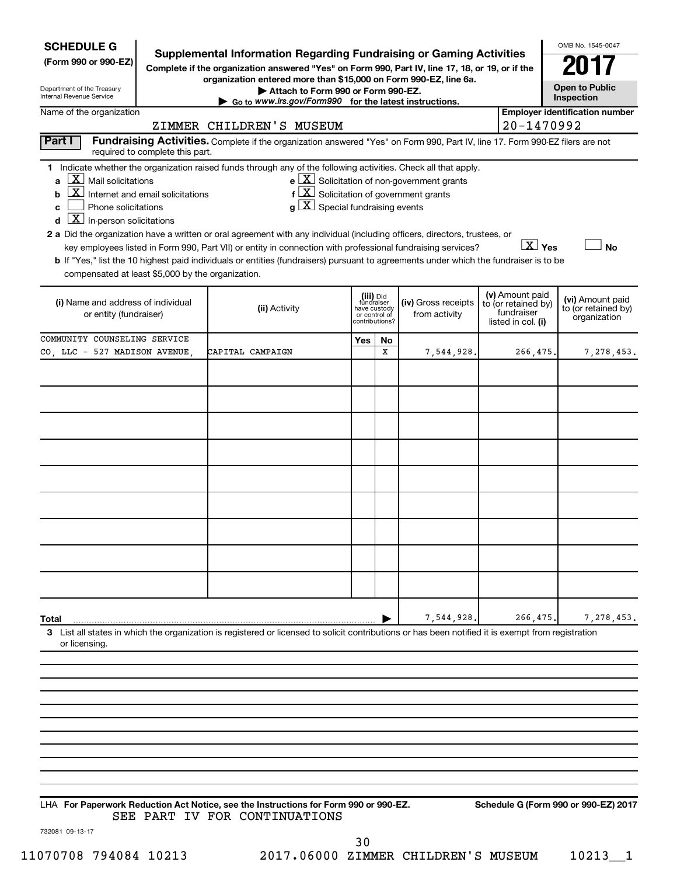| <b>SCHEDULE G</b><br>(Form 990 or 990-EZ)                                                                                                                                                                                         | Supplemental Information Regarding Fundraising or Gaming Activities                                                                                                                                                                                                                                                                                                                                                                                                                                                                                                                                            |                                             |                             |                                                                         |                                                                            | OMB No. 1545-0047                                       |
|-----------------------------------------------------------------------------------------------------------------------------------------------------------------------------------------------------------------------------------|----------------------------------------------------------------------------------------------------------------------------------------------------------------------------------------------------------------------------------------------------------------------------------------------------------------------------------------------------------------------------------------------------------------------------------------------------------------------------------------------------------------------------------------------------------------------------------------------------------------|---------------------------------------------|-----------------------------|-------------------------------------------------------------------------|----------------------------------------------------------------------------|---------------------------------------------------------|
| Department of the Treasury<br>Internal Revenue Service                                                                                                                                                                            | Complete if the organization answered "Yes" on Form 990, Part IV, line 17, 18, or 19, or if the<br>organization entered more than \$15,000 on Form 990-EZ, line 6a.<br>Attach to Form 990 or Form 990-EZ.                                                                                                                                                                                                                                                                                                                                                                                                      |                                             |                             |                                                                         |                                                                            | <b>Open to Public</b><br>Inspection                     |
| Name of the organization                                                                                                                                                                                                          | $\triangleright$ Go to www.irs.gov/Form990 for the latest instructions.                                                                                                                                                                                                                                                                                                                                                                                                                                                                                                                                        |                                             |                             |                                                                         |                                                                            | <b>Employer identification number</b>                   |
|                                                                                                                                                                                                                                   | ZIMMER CHILDREN'S MUSEUM                                                                                                                                                                                                                                                                                                                                                                                                                                                                                                                                                                                       |                                             |                             |                                                                         | 20-1470992                                                                 |                                                         |
| Part I<br>required to complete this part.                                                                                                                                                                                         | Fundraising Activities. Complete if the organization answered "Yes" on Form 990, Part IV, line 17. Form 990-EZ filers are not                                                                                                                                                                                                                                                                                                                                                                                                                                                                                  |                                             |                             |                                                                         |                                                                            |                                                         |
| $\lfloor \underline{X} \rfloor$ Mail solicitations<br>Internet and email solicitations<br>b<br>Phone solicitations<br>c<br>$\boxed{\textbf{X}}$ In-person solicitations<br>d<br>compensated at least \$5,000 by the organization. | 1 Indicate whether the organization raised funds through any of the following activities. Check all that apply.<br>$f\left[\frac{X}{X}\right]$ Solicitation of government grants<br>$g\mid X$ Special fundraising events<br>2 a Did the organization have a written or oral agreement with any individual (including officers, directors, trustees, or<br>key employees listed in Form 990, Part VII) or entity in connection with professional fundraising services?<br>b If "Yes," list the 10 highest paid individuals or entities (fundraisers) pursuant to agreements under which the fundraiser is to be |                                             |                             | $\mathbf{e}$ $\boxed{\mathbf{X}}$ Solicitation of non-government grants | $X$ Yes                                                                    | <b>No</b>                                               |
| (i) Name and address of individual<br>or entity (fundraiser)                                                                                                                                                                      | (ii) Activity                                                                                                                                                                                                                                                                                                                                                                                                                                                                                                                                                                                                  | fundraiser<br>have custody<br>or control of | (iii) Did<br>contributions? | (iv) Gross receipts<br>from activity                                    | (v) Amount paid<br>to (or retained by)<br>fundraiser<br>listed in col. (i) | (vi) Amount paid<br>to (or retained by)<br>organization |
| COMMUNITY COUNSELING SERVICE                                                                                                                                                                                                      |                                                                                                                                                                                                                                                                                                                                                                                                                                                                                                                                                                                                                | Yes                                         | No.                         |                                                                         |                                                                            |                                                         |
| CO, LLC - 527 MADISON AVENUE,                                                                                                                                                                                                     | CAPITAL CAMPAIGN                                                                                                                                                                                                                                                                                                                                                                                                                                                                                                                                                                                               |                                             | x                           | 7,544,928.                                                              | 266,475.                                                                   | 7,278,453.                                              |
|                                                                                                                                                                                                                                   |                                                                                                                                                                                                                                                                                                                                                                                                                                                                                                                                                                                                                |                                             |                             |                                                                         |                                                                            |                                                         |
|                                                                                                                                                                                                                                   |                                                                                                                                                                                                                                                                                                                                                                                                                                                                                                                                                                                                                |                                             |                             |                                                                         |                                                                            |                                                         |
|                                                                                                                                                                                                                                   |                                                                                                                                                                                                                                                                                                                                                                                                                                                                                                                                                                                                                |                                             |                             |                                                                         |                                                                            |                                                         |
|                                                                                                                                                                                                                                   |                                                                                                                                                                                                                                                                                                                                                                                                                                                                                                                                                                                                                |                                             |                             |                                                                         |                                                                            |                                                         |
|                                                                                                                                                                                                                                   |                                                                                                                                                                                                                                                                                                                                                                                                                                                                                                                                                                                                                |                                             |                             |                                                                         |                                                                            |                                                         |
|                                                                                                                                                                                                                                   |                                                                                                                                                                                                                                                                                                                                                                                                                                                                                                                                                                                                                |                                             |                             |                                                                         |                                                                            |                                                         |
|                                                                                                                                                                                                                                   |                                                                                                                                                                                                                                                                                                                                                                                                                                                                                                                                                                                                                |                                             |                             |                                                                         |                                                                            |                                                         |
|                                                                                                                                                                                                                                   |                                                                                                                                                                                                                                                                                                                                                                                                                                                                                                                                                                                                                |                                             |                             |                                                                         |                                                                            |                                                         |
|                                                                                                                                                                                                                                   |                                                                                                                                                                                                                                                                                                                                                                                                                                                                                                                                                                                                                |                                             |                             |                                                                         |                                                                            |                                                         |
|                                                                                                                                                                                                                                   |                                                                                                                                                                                                                                                                                                                                                                                                                                                                                                                                                                                                                |                                             |                             |                                                                         |                                                                            |                                                         |
|                                                                                                                                                                                                                                   |                                                                                                                                                                                                                                                                                                                                                                                                                                                                                                                                                                                                                |                                             |                             |                                                                         |                                                                            |                                                         |
|                                                                                                                                                                                                                                   |                                                                                                                                                                                                                                                                                                                                                                                                                                                                                                                                                                                                                |                                             |                             |                                                                         |                                                                            |                                                         |
|                                                                                                                                                                                                                                   |                                                                                                                                                                                                                                                                                                                                                                                                                                                                                                                                                                                                                |                                             |                             |                                                                         |                                                                            |                                                         |
|                                                                                                                                                                                                                                   |                                                                                                                                                                                                                                                                                                                                                                                                                                                                                                                                                                                                                |                                             |                             |                                                                         |                                                                            |                                                         |
| Total                                                                                                                                                                                                                             |                                                                                                                                                                                                                                                                                                                                                                                                                                                                                                                                                                                                                |                                             |                             | 7,544,928.                                                              | 266,475.                                                                   | 7,278,453.                                              |
| or licensing.                                                                                                                                                                                                                     | 3 List all states in which the organization is registered or licensed to solicit contributions or has been notified it is exempt from registration                                                                                                                                                                                                                                                                                                                                                                                                                                                             |                                             |                             |                                                                         |                                                                            |                                                         |
|                                                                                                                                                                                                                                   |                                                                                                                                                                                                                                                                                                                                                                                                                                                                                                                                                                                                                |                                             |                             |                                                                         |                                                                            |                                                         |
|                                                                                                                                                                                                                                   |                                                                                                                                                                                                                                                                                                                                                                                                                                                                                                                                                                                                                |                                             |                             |                                                                         |                                                                            |                                                         |
|                                                                                                                                                                                                                                   |                                                                                                                                                                                                                                                                                                                                                                                                                                                                                                                                                                                                                |                                             |                             |                                                                         |                                                                            |                                                         |
|                                                                                                                                                                                                                                   |                                                                                                                                                                                                                                                                                                                                                                                                                                                                                                                                                                                                                |                                             |                             |                                                                         |                                                                            |                                                         |
|                                                                                                                                                                                                                                   |                                                                                                                                                                                                                                                                                                                                                                                                                                                                                                                                                                                                                |                                             |                             |                                                                         |                                                                            |                                                         |
|                                                                                                                                                                                                                                   |                                                                                                                                                                                                                                                                                                                                                                                                                                                                                                                                                                                                                |                                             |                             |                                                                         |                                                                            |                                                         |

**For Paperwork Reduction Act Notice, see the Instructions for Form 990 or 990-EZ. Schedule G (Form 990 or 990-EZ) 2017** LHA SEE PART IV FOR CONTINUATIONS

732081 09-13-17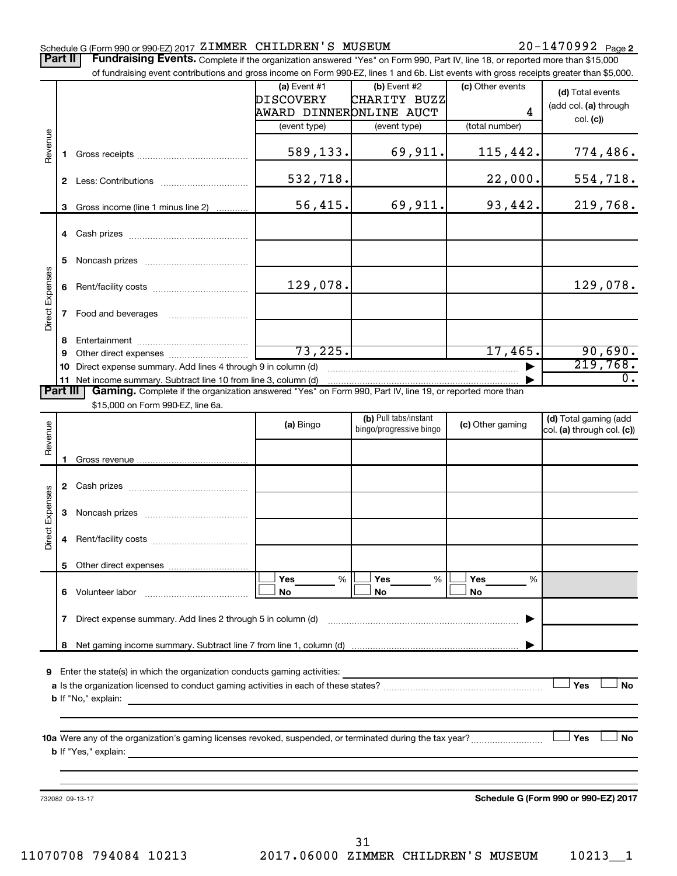### 20-1470992 Page 2 Schedule G (Form 990 or 990-EZ) 2017 Page ZIMMER CHILDREN'S MUSEUM 20-1470992 Part II | Fundraising Events. Complete if the organization answered "Yes" on Form 990, Part IV, line 18, or reported more than \$15,000 of fundraising event contributions and gross income on Form 990-EZ, lines 1 and 6b. List events with gross receipts greater than \$5,000. **(a)** Event #1  $\vert$  **(b)** Event #2 (c) Other events **(d)**  Total events DISCOVERY CHARITY BUZZ (add col. (a) through AWARD DINNER ONLINE AUCT 4 col. **(c)**) (event type) (event type) (total number) Revenue 589,133. 69,911. 115,442. 774,486. **1** Gross receipts ~~~~~~~~~~~~~~ 532,718. 22,000. 554,718. **2** Less: Contributions ~~~~~~~~~~~ 56,415. 69,911. 93,442. 219,768. **3** Gross income (line 1 minus line 2) . . . . . . . . . . . . **4** Cash prizes ~~~~~~~~~~~~~~~ **5** Noncash prizes ~~~~~~~~~~~~~ Direct Expenses Direct Expenses 129,078. 129,078. **6** Rent/facility costs ~~~~~~~~~~~~ **7** Food and beverages **with the Strateger 7 8** Entertainment ~~~~~~~~~~~~~~ 73,225. 17,465. 90,690. **9** Other direct expenses  $\ldots$  **............................**  $\overline{21}$ 9,768. **10** Direct expense summary. Add lines 4 through 9 in column (d) ~~~~~~~~~~~ 0. **11** Net income summary. Subtract line 10 from line 3, column (d) | Part III | Gaming. Complete if the organization answered "Yes" on Form 990, Part IV, line 19, or reported more than \$15,000 on Form 990-EZ, line 6a. (b) Pull tabs/instant (d) Total gaming (add Revenue **(a)** Bingo **a b**ingo/progressive bingo **(c)** Other gaming bingo/progressive bingo col. (a) through col. (c)) Gross revenue **1 2** Cash prizes ~~~~~~~~~~~~~~~ Expenses Direct Expenses **3** Noncash prizes ~~~~~~~~~~~~~ Direct **4** Rent/facility costs ~~~~~~~~~~~~ **5** Other direct expenses  $|\Box$  Yes  $\qquad \%$   $|\Box$  Yes  $\qquad \%$   $|\Box$ **Yes Yes Yes** % % %  $|\Box$  No  $|\Box$  No  $|\Box$ **6** Volunteer labor ~~~~~~~~~~~~~ **No No No 7** Direct expense summary. Add lines 2 through 5 in column (d) ~~~~~~~~~~~~~~~~~~~~~~~~ | Net gaming income summary. Subtract line 7 from line 1, column (d) **8** | **9** Enter the state(s) in which the organization conducts gaming activities:  $|$  Yes **Yes No a** Is the organization licensed to conduct gaming activities in each of these states? ~~~~~~~~~~~~~~~~~~~~ **b** If "No," explain: **10 a** Were any of the organization's gaming licenses revoked, suspended, or terminated during the tax year? ~~~~~~~~~ † † **Yes No b** If "Yes," explain: **Schedule G (Form 990 or 990-EZ) 2017** 732082 09-13-17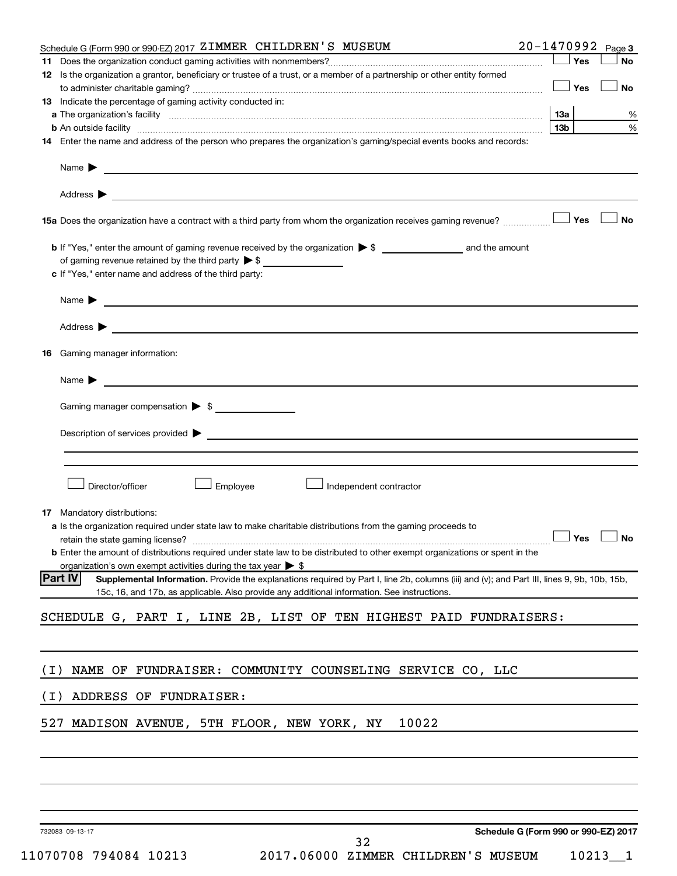| Schedule G (Form 990 or 990-EZ) 2017 ZIMMER CHILDREN'S MUSEUM                                                                                                                                                                                                         | 20-1470992 Page 3                    |
|-----------------------------------------------------------------------------------------------------------------------------------------------------------------------------------------------------------------------------------------------------------------------|--------------------------------------|
|                                                                                                                                                                                                                                                                       | Yes<br>No                            |
| 12 Is the organization a grantor, beneficiary or trustee of a trust, or a member of a partnership or other entity formed                                                                                                                                              | — SYes<br>No                         |
| 13 Indicate the percentage of gaming activity conducted in:                                                                                                                                                                                                           |                                      |
|                                                                                                                                                                                                                                                                       | 1За<br>%                             |
| <b>b</b> An outside facility with an account of the control of the control of the control of the control of the control of the control of the control of the control of the control of the control of the control of the control of                                   | $\%$<br>13b                          |
| 14 Enter the name and address of the person who prepares the organization's gaming/special events books and records:                                                                                                                                                  |                                      |
| Name <b>Decision of the Community of the Community of the Community of the Community of the Community of the Community of the Community of the Community of the Community of the Community of the Community of the Community of </b>                                  |                                      |
| Address $\blacktriangleright$<br><u>state and the state of the state of the state of the state of the state of the state of the state of the state of the state of the state of the state of the state of the state of the state of the state of the state of the</u> |                                      |
|                                                                                                                                                                                                                                                                       | <b>No</b>                            |
|                                                                                                                                                                                                                                                                       |                                      |
| of gaming revenue retained by the third party $\triangleright$ \$<br>c If "Yes," enter name and address of the third party:                                                                                                                                           |                                      |
|                                                                                                                                                                                                                                                                       |                                      |
| Name <b>Decision of the Community of the Community of the Community of the Community of the Community of the Community of the Community of the Community of the Community of the Community of the Community of the Community of </b>                                  |                                      |
| Address $\blacktriangleright$<br><u> 2000 - Jan Barnett, fransk politik (d. 1888)</u>                                                                                                                                                                                 |                                      |
| Gaming manager information:<br>16.                                                                                                                                                                                                                                    |                                      |
| Name $\blacktriangleright$                                                                                                                                                                                                                                            |                                      |
| Gaming manager compensation > \$                                                                                                                                                                                                                                      |                                      |
|                                                                                                                                                                                                                                                                       |                                      |
| Description of services provided > example and the contract of the contract of the contract of the contract of                                                                                                                                                        |                                      |
|                                                                                                                                                                                                                                                                       |                                      |
| Director/officer<br>Employee<br>Independent contractor                                                                                                                                                                                                                |                                      |
| 17 Mandatory distributions:                                                                                                                                                                                                                                           |                                      |
| <b>a</b> Is the organization required under state law to make charitable distributions from the gaming proceeds to                                                                                                                                                    |                                      |
| retain the state gaming license? $\Box$ No                                                                                                                                                                                                                            |                                      |
| <b>b</b> Enter the amount of distributions required under state law to be distributed to other exempt organizations or spent in the                                                                                                                                   |                                      |
| organization's own exempt activities during the tax year $\triangleright$ \$<br><b>Part IV</b><br>Supplemental Information. Provide the explanations required by Part I, line 2b, columns (iii) and (v); and Part III, lines 9, 9b, 10b, 15b,                         |                                      |
| 15c, 16, and 17b, as applicable. Also provide any additional information. See instructions.                                                                                                                                                                           |                                      |
| SCHEDULE G, PART I, LINE 2B, LIST OF TEN HIGHEST PAID FUNDRAISERS:                                                                                                                                                                                                    |                                      |
|                                                                                                                                                                                                                                                                       |                                      |
| NAME OF FUNDRAISER: COMMUNITY COUNSELING SERVICE CO, LLC<br>( I )                                                                                                                                                                                                     |                                      |
|                                                                                                                                                                                                                                                                       |                                      |
| ADDRESS OF FUNDRAISER:<br>( I )                                                                                                                                                                                                                                       |                                      |
| 527 MADISON AVENUE, 5TH FLOOR, NEW YORK, NY                                                                                                                                                                                                                           | 10022                                |
|                                                                                                                                                                                                                                                                       |                                      |
|                                                                                                                                                                                                                                                                       |                                      |
|                                                                                                                                                                                                                                                                       |                                      |
| 732083 09-13-17                                                                                                                                                                                                                                                       | Schedule G (Form 990 or 990-EZ) 2017 |
| 32                                                                                                                                                                                                                                                                    |                                      |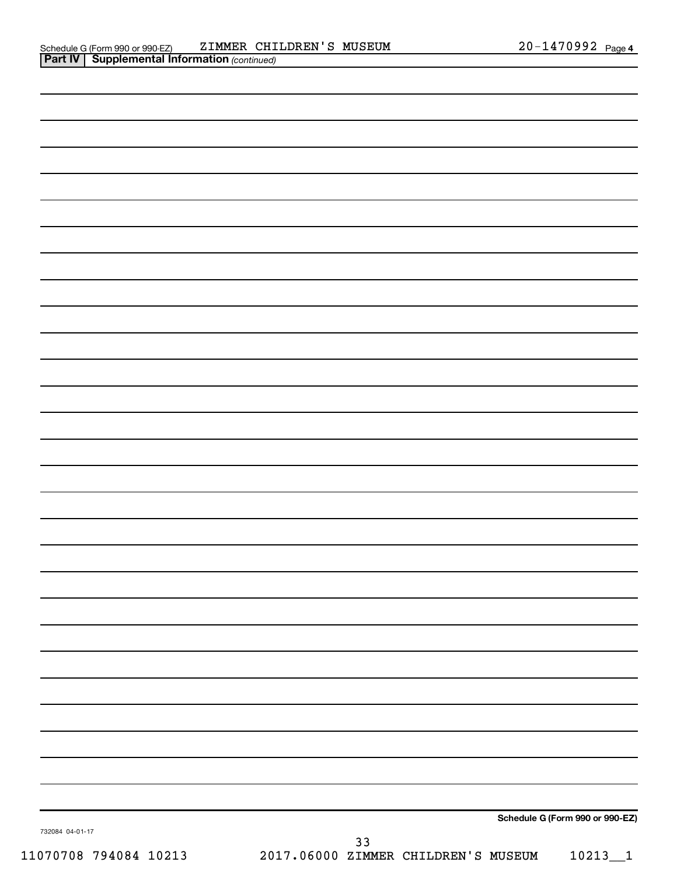| 732084 04-01-17 | 33 |                                 |
|-----------------|----|---------------------------------|
|                 |    | Schedule G (Form 990 or 990-EZ) |
|                 |    |                                 |
|                 |    |                                 |
|                 |    |                                 |
|                 |    |                                 |
|                 |    |                                 |
|                 |    |                                 |
|                 |    |                                 |
|                 |    |                                 |
|                 |    |                                 |
|                 |    |                                 |
|                 |    |                                 |
|                 |    |                                 |
|                 |    |                                 |
|                 |    |                                 |
|                 |    |                                 |
|                 |    |                                 |
|                 |    |                                 |
|                 |    |                                 |
|                 |    |                                 |
|                 |    |                                 |
|                 |    |                                 |
|                 |    |                                 |
|                 |    |                                 |
|                 |    |                                 |
|                 |    |                                 |
|                 |    |                                 |
|                 |    |                                 |

11070708 794084 10213 2017.06000 ZIMMER CHILDREN'S MUSEUM 10213\_\_1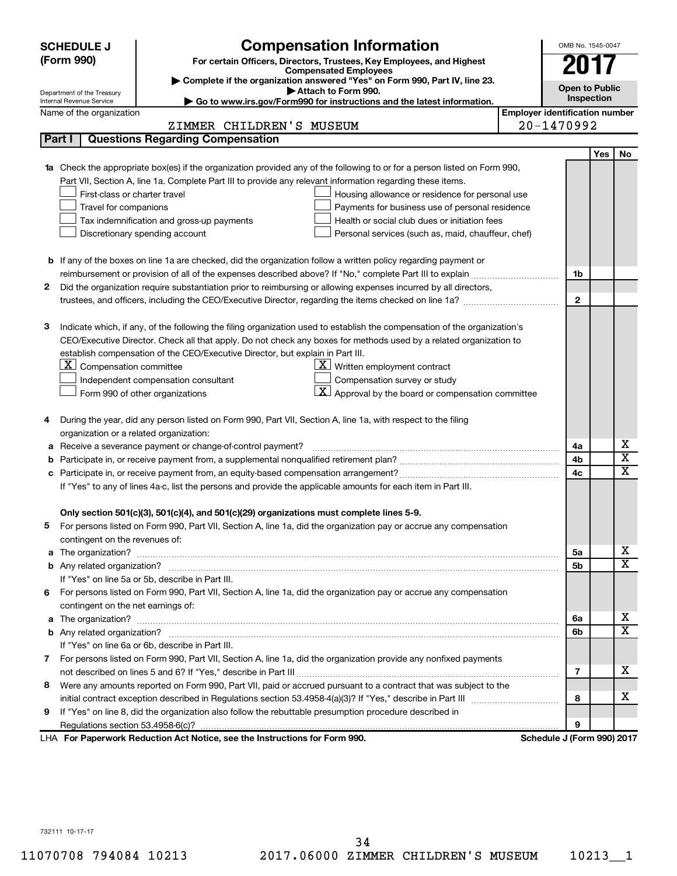|    | <b>SCHEDULE J</b>                                                                                                               | <b>Compensation Information</b>                                                                                                                                                                               |                                       | OMB No. 1545-0047          |                       |                                        |  |
|----|---------------------------------------------------------------------------------------------------------------------------------|---------------------------------------------------------------------------------------------------------------------------------------------------------------------------------------------------------------|---------------------------------------|----------------------------|-----------------------|----------------------------------------|--|
|    | (Form 990)                                                                                                                      | For certain Officers, Directors, Trustees, Key Employees, and Highest                                                                                                                                         |                                       | 207                        |                       |                                        |  |
|    |                                                                                                                                 | <b>Compensated Employees</b>                                                                                                                                                                                  |                                       |                            |                       |                                        |  |
|    | Complete if the organization answered "Yes" on Form 990, Part IV, line 23.<br>Attach to Form 990.<br>Department of the Treasury |                                                                                                                                                                                                               |                                       |                            | <b>Open to Public</b> |                                        |  |
|    | Go to www.irs.gov/Form990 for instructions and the latest information.<br>Internal Revenue Service                              |                                                                                                                                                                                                               |                                       |                            |                       | <b>Inspection</b>                      |  |
|    | Name of the organization                                                                                                        |                                                                                                                                                                                                               | <b>Employer identification number</b> |                            |                       |                                        |  |
|    |                                                                                                                                 | ZIMMER CHILDREN'S MUSEUM                                                                                                                                                                                      |                                       | 20-1470992                 |                       |                                        |  |
|    | Part I                                                                                                                          | <b>Questions Regarding Compensation</b>                                                                                                                                                                       |                                       |                            |                       |                                        |  |
|    |                                                                                                                                 |                                                                                                                                                                                                               |                                       |                            | Yes                   | No                                     |  |
|    |                                                                                                                                 | Check the appropriate box(es) if the organization provided any of the following to or for a person listed on Form 990,                                                                                        |                                       |                            |                       |                                        |  |
|    |                                                                                                                                 | Part VII, Section A, line 1a. Complete Part III to provide any relevant information regarding these items.                                                                                                    |                                       |                            |                       |                                        |  |
|    | First-class or charter travel                                                                                                   | Housing allowance or residence for personal use                                                                                                                                                               |                                       |                            |                       |                                        |  |
|    | Travel for companions                                                                                                           | Payments for business use of personal residence<br>Health or social club dues or initiation fees<br>Tax indemnification and gross-up payments                                                                 |                                       |                            |                       |                                        |  |
|    |                                                                                                                                 | Discretionary spending account<br>Personal services (such as, maid, chauffeur, chef)                                                                                                                          |                                       |                            |                       |                                        |  |
|    |                                                                                                                                 |                                                                                                                                                                                                               |                                       |                            |                       |                                        |  |
|    |                                                                                                                                 | <b>b</b> If any of the boxes on line 1a are checked, did the organization follow a written policy regarding payment or                                                                                        |                                       |                            |                       |                                        |  |
|    |                                                                                                                                 |                                                                                                                                                                                                               |                                       | 1b                         |                       |                                        |  |
| 2  |                                                                                                                                 | Did the organization require substantiation prior to reimbursing or allowing expenses incurred by all directors,                                                                                              |                                       |                            |                       |                                        |  |
|    |                                                                                                                                 |                                                                                                                                                                                                               |                                       | $\mathbf{2}$               |                       |                                        |  |
|    |                                                                                                                                 |                                                                                                                                                                                                               |                                       |                            |                       |                                        |  |
| 3  |                                                                                                                                 | Indicate which, if any, of the following the filing organization used to establish the compensation of the organization's                                                                                     |                                       |                            |                       |                                        |  |
|    |                                                                                                                                 | CEO/Executive Director. Check all that apply. Do not check any boxes for methods used by a related organization to                                                                                            |                                       |                            |                       |                                        |  |
|    |                                                                                                                                 | establish compensation of the CEO/Executive Director, but explain in Part III.                                                                                                                                |                                       |                            |                       |                                        |  |
|    | $X$ Compensation committee                                                                                                      | $\underline{\mathbf{X}}$ Written employment contract                                                                                                                                                          |                                       |                            |                       |                                        |  |
|    |                                                                                                                                 | Compensation survey or study<br>Independent compensation consultant                                                                                                                                           |                                       |                            |                       |                                        |  |
|    |                                                                                                                                 | $ \mathbf{X} $ Approval by the board or compensation committee<br>Form 990 of other organizations                                                                                                             |                                       |                            |                       |                                        |  |
|    |                                                                                                                                 |                                                                                                                                                                                                               |                                       |                            |                       |                                        |  |
| 4  |                                                                                                                                 | During the year, did any person listed on Form 990, Part VII, Section A, line 1a, with respect to the filing                                                                                                  |                                       |                            |                       |                                        |  |
|    | organization or a related organization:                                                                                         |                                                                                                                                                                                                               |                                       |                            |                       |                                        |  |
|    |                                                                                                                                 | Receive a severance payment or change-of-control payment?                                                                                                                                                     |                                       | 4a                         |                       | х                                      |  |
|    |                                                                                                                                 |                                                                                                                                                                                                               |                                       | 4b                         |                       | $\overline{\textbf{x}}$<br>$\mathbf x$ |  |
|    |                                                                                                                                 |                                                                                                                                                                                                               |                                       | 4c                         |                       |                                        |  |
|    |                                                                                                                                 | If "Yes" to any of lines 4a-c, list the persons and provide the applicable amounts for each item in Part III.                                                                                                 |                                       |                            |                       |                                        |  |
|    |                                                                                                                                 |                                                                                                                                                                                                               |                                       |                            |                       |                                        |  |
|    |                                                                                                                                 | Only section 501(c)(3), 501(c)(4), and 501(c)(29) organizations must complete lines 5-9.<br>For persons listed on Form 990, Part VII, Section A, line 1a, did the organization pay or accrue any compensation |                                       |                            |                       |                                        |  |
|    | contingent on the revenues of:                                                                                                  |                                                                                                                                                                                                               |                                       |                            |                       |                                        |  |
| a  |                                                                                                                                 | The organization? <b>William Commission Commission Commission</b> Commission Commission Commission Commission                                                                                                 |                                       | 5а                         |                       | x                                      |  |
|    |                                                                                                                                 |                                                                                                                                                                                                               |                                       | 5b                         |                       | $\overline{\texttt{x}}$                |  |
|    |                                                                                                                                 | If "Yes" on line 5a or 5b, describe in Part III.                                                                                                                                                              |                                       |                            |                       |                                        |  |
| 6. |                                                                                                                                 | For persons listed on Form 990, Part VII, Section A, line 1a, did the organization pay or accrue any compensation                                                                                             |                                       |                            |                       |                                        |  |
|    | contingent on the net earnings of:                                                                                              |                                                                                                                                                                                                               |                                       |                            |                       |                                        |  |
| a  |                                                                                                                                 |                                                                                                                                                                                                               |                                       | 6a                         |                       | x                                      |  |
|    |                                                                                                                                 |                                                                                                                                                                                                               |                                       | 6b                         |                       | $\overline{\textbf{x}}$                |  |
|    |                                                                                                                                 | If "Yes" on line 6a or 6b, describe in Part III.                                                                                                                                                              |                                       |                            |                       |                                        |  |
|    |                                                                                                                                 | 7 For persons listed on Form 990, Part VII, Section A, line 1a, did the organization provide any nonfixed payments                                                                                            |                                       |                            |                       |                                        |  |
|    |                                                                                                                                 |                                                                                                                                                                                                               |                                       | 7                          |                       | x                                      |  |
| 8  |                                                                                                                                 | Were any amounts reported on Form 990, Part VII, paid or accrued pursuant to a contract that was subject to the                                                                                               |                                       |                            |                       |                                        |  |
|    |                                                                                                                                 |                                                                                                                                                                                                               |                                       | 8                          |                       | x                                      |  |
| 9  |                                                                                                                                 | If "Yes" on line 8, did the organization also follow the rebuttable presumption procedure described in                                                                                                        |                                       |                            |                       |                                        |  |
|    |                                                                                                                                 |                                                                                                                                                                                                               |                                       | 9                          |                       |                                        |  |
|    |                                                                                                                                 | LHA For Paperwork Reduction Act Notice, see the Instructions for Form 990.                                                                                                                                    |                                       | Schedule J (Form 990) 2017 |                       |                                        |  |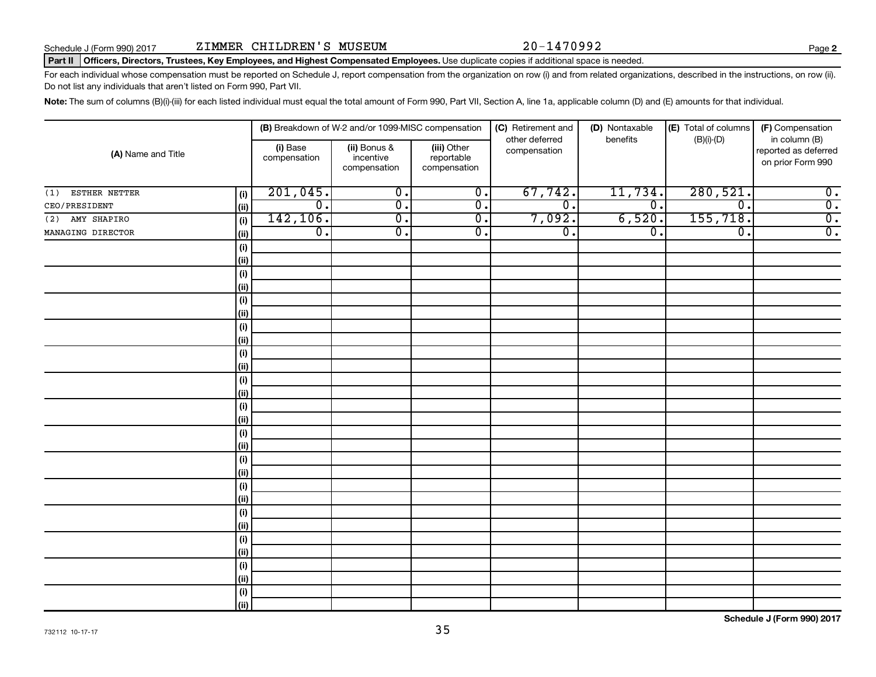**2**

## Part II | Officers, Directors, Trustees, Key Employees, and Highest Compensated Employees. Use duplicate copies if additional space is needed.

For each individual whose compensation must be reported on Schedule J, report compensation from the organization on row (i) and from related organizations, described in the instructions, on row (ii). Do not list any individuals that aren't listed on Form 990, Part VII.

Note: The sum of columns (B)(i)-(iii) for each listed individual must equal the total amount of Form 990, Part VII, Section A, line 1a, applicable column (D) and (E) amounts for that individual.

|                      |             | (B) Breakdown of W-2 and/or 1099-MISC compensation |                                           |                                           | (C) Retirement and<br>(D) Nontaxable<br>other deferred<br>benefits |                  | (E) Total of columns<br>(F) Compensation<br>$(B)(i)-(D)$<br>in column (B) |                                           |  |
|----------------------|-------------|----------------------------------------------------|-------------------------------------------|-------------------------------------------|--------------------------------------------------------------------|------------------|---------------------------------------------------------------------------|-------------------------------------------|--|
| (A) Name and Title   |             | (i) Base<br>compensation                           | (ii) Bonus &<br>incentive<br>compensation | (iii) Other<br>reportable<br>compensation | compensation                                                       |                  |                                                                           | reported as deferred<br>on prior Form 990 |  |
| ESTHER NETTER<br>(1) | (i)         | 201,045.                                           | $\overline{\mathfrak{o}}$ .               | $\overline{0}$ .                          | 67,742.                                                            | 11,734.          | 280,521.                                                                  | $\overline{0}$ .                          |  |
| CEO/PRESIDENT        | (ii)        | $\overline{0}$ .                                   | $\overline{0}$ .                          | $\overline{0}$ .                          | $\overline{\mathfrak{o}}$ .                                        | $\overline{0}$ . | $\overline{0}$ .                                                          | $\overline{0}$ .                          |  |
| AMY SHAPIRO<br>(2)   | (i)         | 142, 106.                                          | $\overline{\mathfrak{o}}$ .               | $\overline{0}$ .                          | 7,092.                                                             | 6,520.           | 155, 718.                                                                 | $\overline{0}$ .                          |  |
| MANAGING DIRECTOR    | (ii)        | $\overline{0}$ .                                   | $\overline{\mathfrak{o}}$ .               | $\overline{0}$ .                          | $\overline{0}$ .                                                   | $\overline{0}$ . | $\overline{0}$ .                                                          | $\overline{0}$ .                          |  |
|                      | (i)         |                                                    |                                           |                                           |                                                                    |                  |                                                                           |                                           |  |
|                      | (ii)        |                                                    |                                           |                                           |                                                                    |                  |                                                                           |                                           |  |
|                      | (i)         |                                                    |                                           |                                           |                                                                    |                  |                                                                           |                                           |  |
|                      | (ii)        |                                                    |                                           |                                           |                                                                    |                  |                                                                           |                                           |  |
|                      | (i)         |                                                    |                                           |                                           |                                                                    |                  |                                                                           |                                           |  |
|                      | (ii)        |                                                    |                                           |                                           |                                                                    |                  |                                                                           |                                           |  |
|                      | (i)         |                                                    |                                           |                                           |                                                                    |                  |                                                                           |                                           |  |
|                      | (ii)        |                                                    |                                           |                                           |                                                                    |                  |                                                                           |                                           |  |
|                      | (i)         |                                                    |                                           |                                           |                                                                    |                  |                                                                           |                                           |  |
|                      | (ii)        |                                                    |                                           |                                           |                                                                    |                  |                                                                           |                                           |  |
|                      | (i)         |                                                    |                                           |                                           |                                                                    |                  |                                                                           |                                           |  |
|                      | (ii)        |                                                    |                                           |                                           |                                                                    |                  |                                                                           |                                           |  |
|                      | (i)<br>(ii) |                                                    |                                           |                                           |                                                                    |                  |                                                                           |                                           |  |
|                      | (i)         |                                                    |                                           |                                           |                                                                    |                  |                                                                           |                                           |  |
|                      | (ii)        |                                                    |                                           |                                           |                                                                    |                  |                                                                           |                                           |  |
|                      | (i)         |                                                    |                                           |                                           |                                                                    |                  |                                                                           |                                           |  |
|                      | (ii)        |                                                    |                                           |                                           |                                                                    |                  |                                                                           |                                           |  |
|                      | (i)         |                                                    |                                           |                                           |                                                                    |                  |                                                                           |                                           |  |
|                      | (ii)        |                                                    |                                           |                                           |                                                                    |                  |                                                                           |                                           |  |
|                      | (i)         |                                                    |                                           |                                           |                                                                    |                  |                                                                           |                                           |  |
|                      | (ii)        |                                                    |                                           |                                           |                                                                    |                  |                                                                           |                                           |  |
|                      | (i)         |                                                    |                                           |                                           |                                                                    |                  |                                                                           |                                           |  |
|                      | (ii)        |                                                    |                                           |                                           |                                                                    |                  |                                                                           |                                           |  |
|                      | (i)         |                                                    |                                           |                                           |                                                                    |                  |                                                                           |                                           |  |
|                      | (ii)        |                                                    |                                           |                                           |                                                                    |                  |                                                                           |                                           |  |
|                      | (i)         |                                                    |                                           |                                           |                                                                    |                  |                                                                           |                                           |  |
|                      | (ii)        |                                                    |                                           |                                           |                                                                    |                  |                                                                           |                                           |  |

**Schedule J (Form 990) 2017**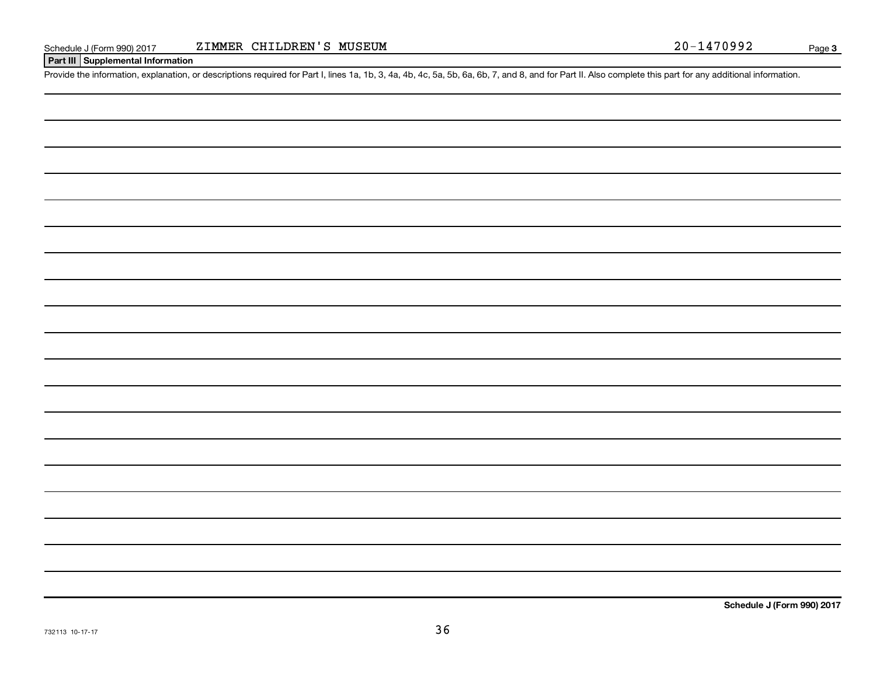## **Part III Supplemental Information**

Provide the information, explanation, or descriptions required for Part I, lines 1a, 1b, 3, 4a, 4b, 4c, 5a, 5b, 6a, 6b, 7, and 8, and for Part II. Also complete this part for any additional information.

**Schedule J (Form 990) 2017**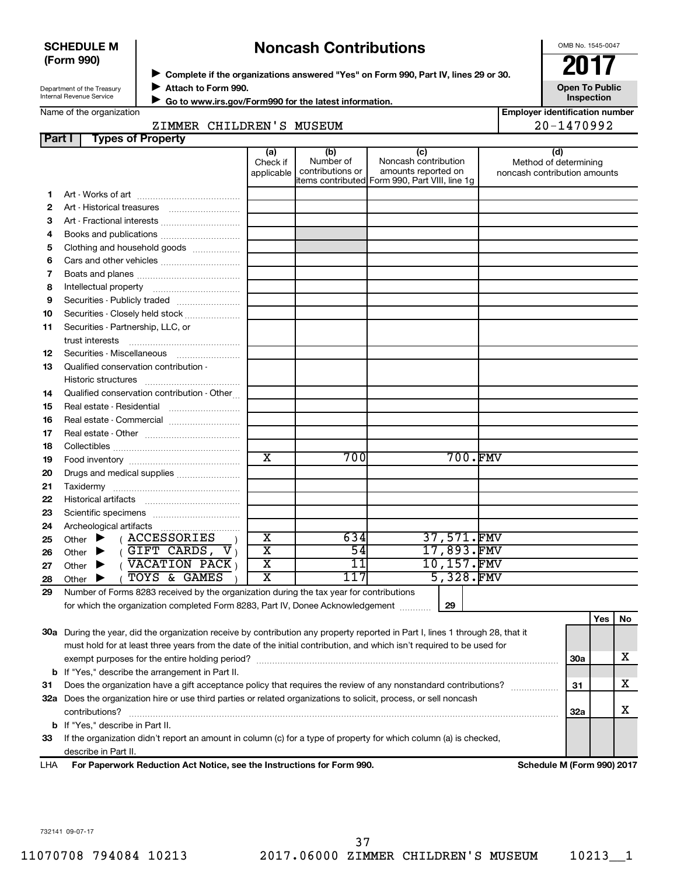| <b>SCHEDULE M</b> |  |
|-------------------|--|
| (Form 990)        |  |

## **Noncash Contributions**

OMB No. 1545-0047

**Employer identification number**

| Department of the Treasury      |  |
|---------------------------------|--|
| <b>Internal Revenue Service</b> |  |

◆ Complete if the organizations answered "Yes" on Form 990, Part IV, lines 29 or 30.<br>▶ Complete if the organizations answered "Yes" on Form 990, Part IV, lines 29 or 30. **Attach to Form 990.** J

**Open To Public Inspection**

|  | Name of the organization |
|--|--------------------------|
|--|--------------------------|

 **Go to www.irs.gov/Form990 for the latest information.** J

| anzauvn |              |  |
|---------|--------------|--|
|         | ZIMMER CHILI |  |

DREN'S MUSEUM 20-1470992

| Part I   | <b>Types of Property</b>                                                                                                       |                                                    |                                      |                                                    |                          |                                                              |            |     |    |
|----------|--------------------------------------------------------------------------------------------------------------------------------|----------------------------------------------------|--------------------------------------|----------------------------------------------------|--------------------------|--------------------------------------------------------------|------------|-----|----|
|          |                                                                                                                                | (a)<br>Check if<br>applicable                      | (b)<br>Number of<br>contributions or | (c)<br>Noncash contribution<br>amounts reported on |                          | (d)<br>Method of determining<br>noncash contribution amounts |            |     |    |
|          |                                                                                                                                |                                                    |                                      | litems contributed Form 990, Part VIII, line 1g    |                          |                                                              |            |     |    |
| 1        |                                                                                                                                |                                                    |                                      |                                                    |                          |                                                              |            |     |    |
| 2        | Art - Historical treasures                                                                                                     |                                                    |                                      |                                                    |                          |                                                              |            |     |    |
| З        | Art - Fractional interests                                                                                                     |                                                    |                                      |                                                    |                          |                                                              |            |     |    |
| 4        | Books and publications                                                                                                         |                                                    |                                      |                                                    |                          |                                                              |            |     |    |
| 5        | Clothing and household goods                                                                                                   |                                                    |                                      |                                                    |                          |                                                              |            |     |    |
| 6        |                                                                                                                                |                                                    |                                      |                                                    |                          |                                                              |            |     |    |
| 7        |                                                                                                                                |                                                    |                                      |                                                    |                          |                                                              |            |     |    |
| 8        |                                                                                                                                |                                                    |                                      |                                                    |                          |                                                              |            |     |    |
| 9        | Securities - Publicly traded                                                                                                   |                                                    |                                      |                                                    |                          |                                                              |            |     |    |
| 10       | Securities - Closely held stock                                                                                                |                                                    |                                      |                                                    |                          |                                                              |            |     |    |
| 11       | Securities - Partnership, LLC, or                                                                                              |                                                    |                                      |                                                    |                          |                                                              |            |     |    |
|          | trust interests                                                                                                                |                                                    |                                      |                                                    |                          |                                                              |            |     |    |
| 12       | Securities - Miscellaneous                                                                                                     |                                                    |                                      |                                                    |                          |                                                              |            |     |    |
| 13       | Qualified conservation contribution -                                                                                          |                                                    |                                      |                                                    |                          |                                                              |            |     |    |
|          |                                                                                                                                |                                                    |                                      |                                                    |                          |                                                              |            |     |    |
| 14       | Qualified conservation contribution - Other                                                                                    |                                                    |                                      |                                                    |                          |                                                              |            |     |    |
| 15       | Real estate - Residential                                                                                                      |                                                    |                                      |                                                    |                          |                                                              |            |     |    |
| 16       | Real estate - Commercial                                                                                                       |                                                    |                                      |                                                    |                          |                                                              |            |     |    |
| 17       |                                                                                                                                |                                                    |                                      |                                                    |                          |                                                              |            |     |    |
| 18       |                                                                                                                                |                                                    |                                      |                                                    |                          |                                                              |            |     |    |
| 19       |                                                                                                                                | $\overline{\text{x}}$                              | 70 Ol                                |                                                    | 700.FMV                  |                                                              |            |     |    |
| 20       | Drugs and medical supplies                                                                                                     |                                                    |                                      |                                                    |                          |                                                              |            |     |    |
| 21       |                                                                                                                                |                                                    |                                      |                                                    |                          |                                                              |            |     |    |
| 22       | Historical artifacts                                                                                                           |                                                    |                                      |                                                    |                          |                                                              |            |     |    |
| 23       |                                                                                                                                |                                                    |                                      |                                                    |                          |                                                              |            |     |    |
| 24       | Archeological artifacts                                                                                                        |                                                    |                                      |                                                    |                          |                                                              |            |     |    |
| 25       | (ACCESSORIES<br>Other $\blacktriangleright$                                                                                    | $\overline{\textbf{x}}$<br>$\overline{\textbf{x}}$ | 634<br>$\overline{54}$               |                                                    | 37,571.FMV<br>17,893.FMV |                                                              |            |     |    |
| 26       | $(GIFT$ CARDS, $V_1$<br>Other<br>▸<br>(VACATION PACK)                                                                          | $\overline{\text{x}}$                              | $\overline{11}$                      |                                                    | 10,157.FMV               |                                                              |            |     |    |
| 27       | Other $\blacktriangleright$<br><b>TOYS &amp; GAMES</b>                                                                         | X                                                  | 117                                  |                                                    | 5,328.FMV                |                                                              |            |     |    |
| 28<br>29 | Other $\blacktriangleright$<br>Number of Forms 8283 received by the organization during the tax year for contributions         |                                                    |                                      |                                                    |                          |                                                              |            |     |    |
|          | for which the organization completed Form 8283, Part IV, Donee Acknowledgement                                                 |                                                    |                                      |                                                    | 29                       |                                                              |            |     |    |
|          |                                                                                                                                |                                                    |                                      |                                                    |                          |                                                              |            | Yes | No |
|          | 30a During the year, did the organization receive by contribution any property reported in Part I, lines 1 through 28, that it |                                                    |                                      |                                                    |                          |                                                              |            |     |    |
|          | must hold for at least three years from the date of the initial contribution, and which isn't required to be used for          |                                                    |                                      |                                                    |                          |                                                              |            |     |    |
|          |                                                                                                                                |                                                    |                                      |                                                    |                          |                                                              | <b>30a</b> |     | х  |
|          | <b>b</b> If "Yes," describe the arrangement in Part II.                                                                        |                                                    |                                      |                                                    |                          |                                                              |            |     |    |
| 31       | Does the organization have a gift acceptance policy that requires the review of any nonstandard contributions?                 |                                                    |                                      |                                                    |                          |                                                              | 31         |     | х  |
|          | 32a Does the organization hire or use third parties or related organizations to solicit, process, or sell noncash              |                                                    |                                      |                                                    |                          |                                                              |            |     |    |
|          | contributions?                                                                                                                 |                                                    |                                      |                                                    |                          |                                                              | 32a        |     | х  |
|          | <b>b</b> If "Yes," describe in Part II.                                                                                        |                                                    |                                      |                                                    |                          |                                                              |            |     |    |

**33** If the organization didn't report an amount in column (c) for a type of property for which column (a) is checked, describe in Part II.

**For Paperwork Reduction Act Notice, see the Instructions for Form 990. Schedule M (Form 990) 2017** LHA

732141 09-07-17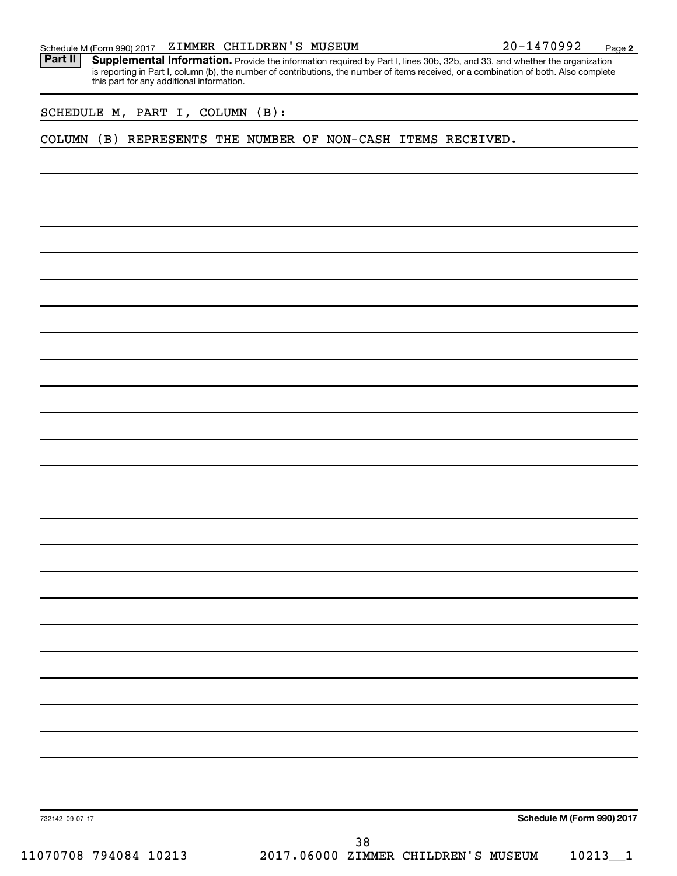Part II | Supplemental Information. Provide the information required by Part I, lines 30b, 32b, and 33, and whether the organization is reporting in Part I, column (b), the number of contributions, the number of items received, or a combination of both. Also complete this part for any additional information.

SCHEDULE M, PART I, COLUMN (B):

COLUMN (B) REPRESENTS THE NUMBER OF NON-CASH ITEMS RECEIVED.

**Schedule M (Form 990) 2017**

732142 09-07-17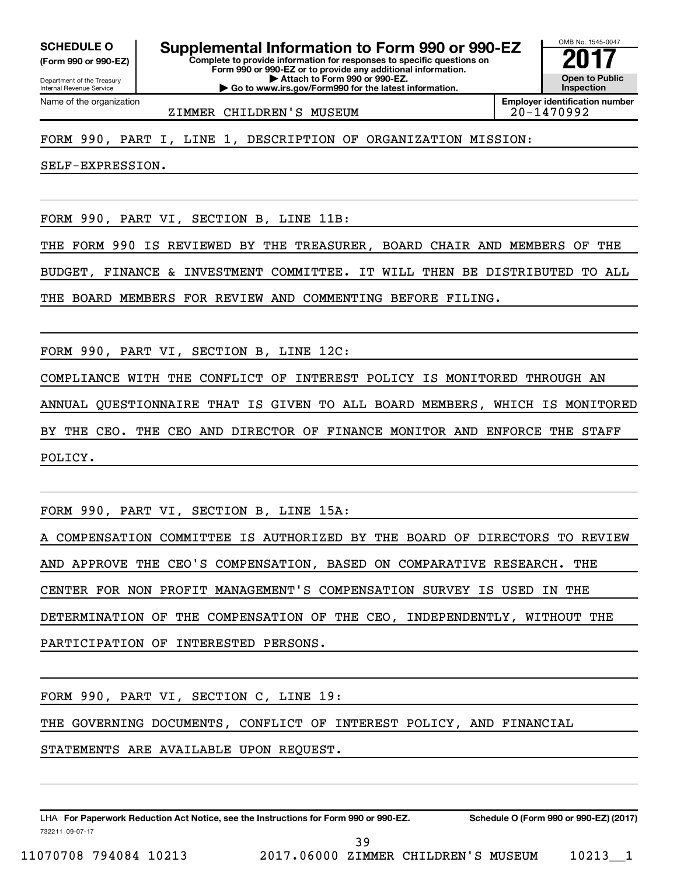**(Form 990 or 990-EZ)**

Department of the Treasury Internal Revenue Service Name of the organization

**Complete to provide information for responses to specific questions on Form 990 or 990-EZ or to provide any additional information. | Attach to Form 990 or 990-EZ. SCHEDULE O Supplemental Information to Form 990 or 990-EZ** <br>(Form 990 or 990-EZ) Complete to provide information for responses to specific questions on

**| Go to www.irs.gov/Form990 for the latest information.**

**Open to Public Inspection Employer identification number**

OMB No. 1545-0047

ZIMMER CHILDREN'S MUSEUM 20-1470992

FORM 990, PART I, LINE 1, DESCRIPTION OF ORGANIZATION MISSION:

SELF-EXPRESSION.

FORM 990, PART VI, SECTION B, LINE 11B:

THE FORM 990 IS REVIEWED BY THE TREASURER, BOARD CHAIR AND MEMBERS OF THE

BUDGET, FINANCE & INVESTMENT COMMITTEE. IT WILL THEN BE DISTRIBUTED TO ALL

THE BOARD MEMBERS FOR REVIEW AND COMMENTING BEFORE FILING.

FORM 990, PART VI, SECTION B, LINE 12C:

COMPLIANCE WITH THE CONFLICT OF INTEREST POLICY IS MONITORED THROUGH AN ANNUAL QUESTIONNAIRE THAT IS GIVEN TO ALL BOARD MEMBERS, WHICH IS MONITORED BY THE CEO. THE CEO AND DIRECTOR OF FINANCE MONITOR AND ENFORCE THE STAFF POLICY.

FORM 990, PART VI, SECTION B, LINE 15A:

A COMPENSATION COMMITTEE IS AUTHORIZED BY THE BOARD OF DIRECTORS TO REVIEW AND APPROVE THE CEO'S COMPENSATION, BASED ON COMPARATIVE RESEARCH. THE CENTER FOR NON PROFIT MANAGEMENT'S COMPENSATION SURVEY IS USED IN THE DETERMINATION OF THE COMPENSATION OF THE CEO, INDEPENDENTLY, WITHOUT THE PARTICIPATION OF INTERESTED PERSONS.

FORM 990, PART VI, SECTION C, LINE 19:

THE GOVERNING DOCUMENTS, CONFLICT OF INTEREST POLICY, AND FINANCIAL

STATEMENTS ARE AVAILABLE UPON REQUEST.

732211 09-07-17 LHA For Paperwork Reduction Act Notice, see the Instructions for Form 990 or 990-EZ. Schedule O (Form 990 or 990-EZ) (2017)

11070708 794084 10213 2017.06000 ZIMMER CHILDREN'S MUSEUM 10213\_\_1

39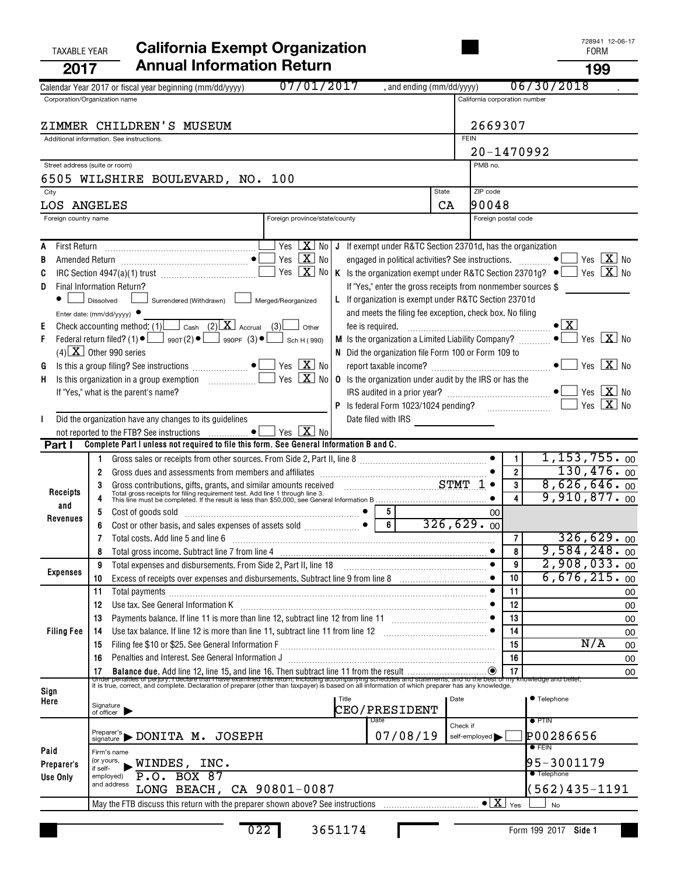| <b>TAXABLE YEAR</b>                 | <b>California Exempt Organization</b>                                                                                                                                                                                                                |                               | 728941 12-06-17<br><b>FORM</b>           |
|-------------------------------------|------------------------------------------------------------------------------------------------------------------------------------------------------------------------------------------------------------------------------------------------------|-------------------------------|------------------------------------------|
| 2017                                | <b>Annual Information Return</b>                                                                                                                                                                                                                     |                               | 199                                      |
|                                     | 07/01/2017<br>, and ending (mm/dd/yyyy)<br>Calendar Year 2017 or fiscal year beginning (mm/dd/yyyy)                                                                                                                                                  |                               | 06/30/2018                               |
|                                     | Corporation/Organization name                                                                                                                                                                                                                        | California corporation number |                                          |
|                                     | ZIMMER CHILDREN'S MUSEUM                                                                                                                                                                                                                             | 2669307                       |                                          |
|                                     | Additional information. See instructions.                                                                                                                                                                                                            | <b>FEIN</b>                   |                                          |
|                                     |                                                                                                                                                                                                                                                      | 20-1470992                    |                                          |
| Street address (suite or room)      |                                                                                                                                                                                                                                                      | PMB no.                       |                                          |
|                                     | 6505 WILSHIRE BOULEVARD, NO. 100                                                                                                                                                                                                                     |                               |                                          |
| City                                | <b>State</b>                                                                                                                                                                                                                                         | ZIP code                      |                                          |
| LOS ANGELES<br>Foreign country name | CA<br>Foreign province/state/county                                                                                                                                                                                                                  | 190048<br>Foreign postal code |                                          |
|                                     |                                                                                                                                                                                                                                                      |                               |                                          |
| First Return                        | Yes $X$ No J If exempt under R&TC Section 23701d, has the organization                                                                                                                                                                               |                               |                                          |
| В                                   | Yes $\boxed{\mathbf{X}}$ No<br>engaged in political activities? See instructions.                                                                                                                                                                    |                               | Yes $\boxed{\mathbf{X}}$ No<br>$\bullet$ |
| C                                   | Yes $X$ No<br>K Is the organization exempt under R&TC Section 23701g? $\bullet$                                                                                                                                                                      |                               | Yes $\boxed{\mathbf{X}}$ No              |
| D.                                  | If "Yes," enter the gross receipts from nonmember sources \$<br>Final Information Return?<br>L If organization is exempt under R&TC Section 23701d                                                                                                   |                               |                                          |
|                                     | Surrendered (Withdrawn)<br>$\Box$ Dissolved<br>Merged/Reorganized<br>and meets the filing fee exception, check box. No filing<br>Enter date: (mm/dd/yyyy) $\bullet$                                                                                  |                               |                                          |
| Е                                   | Check accounting method: (1) $\Box$ Cash (2) $X$ Accrual (3)<br>Other                                                                                                                                                                                |                               | $\bullet$ $\vert$ X                      |
| F.                                  | M Is the organization a Limited Liability Company?                                                                                                                                                                                                   |                               | Yes $X$ No<br>$\bullet$ $\Box$           |
|                                     | $(4)$ X Other 990 series<br>N Did the organization file Form 100 or Form 109 to                                                                                                                                                                      |                               |                                          |
| G                                   | Yes $X$ No<br>Yes $X_{0}$<br><b>0</b> Is the organization under audit by the IRS or has the                                                                                                                                                          |                               | Yes $X$ No<br>$\bullet$                  |
| Н.                                  | If "Yes," what is the parent's name?                                                                                                                                                                                                                 |                               | Yes $\boxed{\mathbf{X}}$ No              |
|                                     |                                                                                                                                                                                                                                                      |                               | Yes $X$ No                               |
|                                     | Did the organization have any changes to its guidelines                                                                                                                                                                                              |                               |                                          |
|                                     | Yes $X$ No                                                                                                                                                                                                                                           |                               |                                          |
| Part I                              | Complete Part I unless not required to file this form. See General Information B and C.                                                                                                                                                              |                               | $1, 153, 755.$ 00<br>$\mathbf{1}$        |
|                                     | 1.<br>Gross dues and assessments from members and affiliates [111] contains the same state and assessments from members and affiliates [11] contains the same state and assessments from members and affiliates [11] contains and af<br>$\mathbf{2}$ |                               | 130,476.00<br>$\overline{2}$             |
|                                     | 3                                                                                                                                                                                                                                                    |                               | 8,626,646.00<br>3                        |
| Receipts<br>and                     | Gross contributions, gifts, grants, and similar amounts received CHART TOM CONSECTION CONSERVANT TO That gross receipts for filing requirement test. Add line 1 through line 3.<br>This line must be completed. If the result is                     |                               | $9,910,877.$ 00                          |
| Revenues                            | 5<br>Cost of goods sold<br>5                                                                                                                                                                                                                         | 00                            |                                          |
|                                     | 6<br>Cost or other basis, and sales expenses of assets sold<br>6                                                                                                                                                                                     | 326,629.00                    | 326,629.00                               |
|                                     | Total costs. Add line 5 and line 6<br>7<br>8                                                                                                                                                                                                         |                               | 7<br>9,584,248.00<br>8                   |
|                                     | Total expenses and disbursements. From Side 2, Part II, line 18<br>9                                                                                                                                                                                 |                               | $2,908,033.$ 00<br>9                     |
| <b>Expenses</b>                     | Excess of receipts over expenses and disbursements. Subtract line 9 from line 8 [11, 11, 11, 11, 11, 11, 11, 1<br>10                                                                                                                                 | 10                            | 6,676,215.00                             |
|                                     | 11<br>Total payments                                                                                                                                                                                                                                 | 11                            | 00                                       |
|                                     | Use tax. See General Information K<br>12<br>Payments balance. If line 11 is more than line 12, subtract line 12 from line 11                                                                                                                         | 12<br>13                      | 00                                       |
| <b>Filing Fee</b>                   | 13<br>14                                                                                                                                                                                                                                             | 14                            | 00<br>00                                 |
|                                     | 15                                                                                                                                                                                                                                                   | 15                            | N/A<br>00                                |
|                                     | Penalties and Interest. See General Information J<br>16                                                                                                                                                                                              | 16                            | 00                                       |
|                                     |                                                                                                                                                                                                                                                      |                               | 00                                       |
| Sign                                |                                                                                                                                                                                                                                                      |                               |                                          |
| Here                                | Title<br>Signature<br>of officer<br><b>CEO/PRESIDENT</b>                                                                                                                                                                                             | Date                          | ● Telephone                              |
|                                     | Date                                                                                                                                                                                                                                                 | Check if                      | $\bullet$ PTIN                           |
|                                     | $P_{\text{signature}}$ $\triangleright$ DONITA M. JOSEPH<br>07/08/19                                                                                                                                                                                 | self-employed                 | P00286656                                |
| Paid                                | Firm's name                                                                                                                                                                                                                                          |                               | $\bullet$ FEIN                           |
| Preparer's                          | (or yours,<br>$\square$ WINDES, INC.<br>if self-                                                                                                                                                                                                     |                               | 95-3001179<br><b>• Telephone</b>         |
| Use Only                            | <b>BOX 87</b><br>P.0.<br>employed)<br>and address<br>LONG BEACH, CA 90801-0087                                                                                                                                                                       |                               | 562)435-1191                             |
|                                     |                                                                                                                                                                                                                                                      | $\bullet$ $\boxed{\text{X}}$  | Yes<br><b>No</b>                         |
|                                     |                                                                                                                                                                                                                                                      |                               |                                          |

L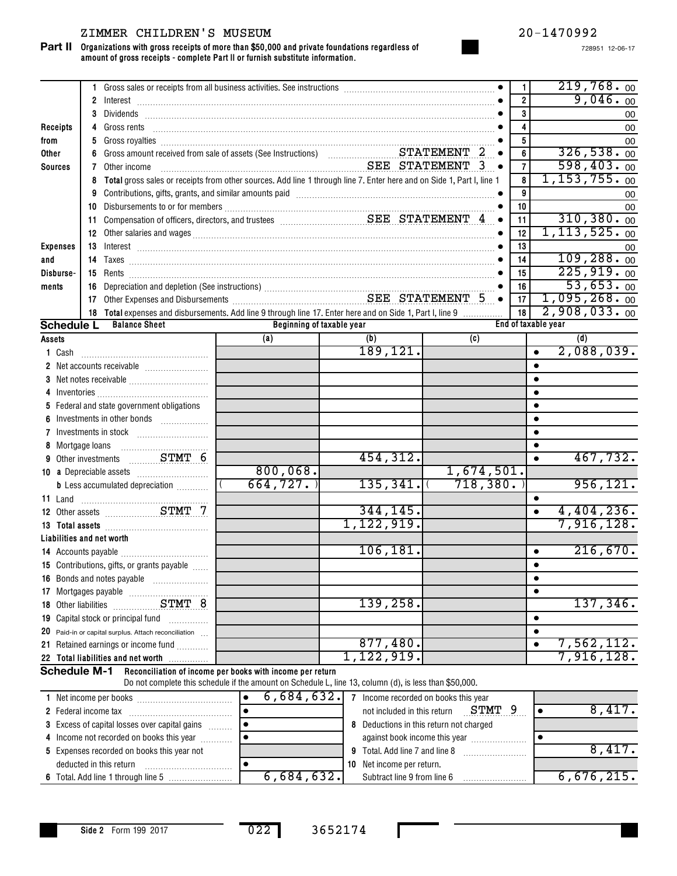## ZIMMER CHILDREN'S MUSEUM 20-1470992

#### **Organizations with gross receipts of more than \$50,000 and private foundations regardless of amount of gross receipts - complete Part II or furnish substitute information. Part II**

728951 12-06-17

|                 |                      |                                                                                                                                                                                                                                          |                                                                                                        |                                      |                                       | 1              | 219,768.00                            |
|-----------------|----------------------|------------------------------------------------------------------------------------------------------------------------------------------------------------------------------------------------------------------------------------------|--------------------------------------------------------------------------------------------------------|--------------------------------------|---------------------------------------|----------------|---------------------------------------|
|                 |                      |                                                                                                                                                                                                                                          |                                                                                                        |                                      |                                       | $\overline{2}$ | 9,046.00                              |
|                 |                      |                                                                                                                                                                                                                                          |                                                                                                        |                                      |                                       | 3              | 00                                    |
| Receipts        |                      | 4 Gross rents <b>contracts contracts contracts contracts contracts contracts contracts contracts contracts contracts contracts contracts contracts contracts contracts contracts contracts con</b>                                       |                                                                                                        |                                      |                                       | 4              | 00                                    |
| from            |                      |                                                                                                                                                                                                                                          |                                                                                                        |                                      |                                       | 5              | 00                                    |
| Other           |                      |                                                                                                                                                                                                                                          |                                                                                                        |                                      | STATEMENT 2<br>$\bullet$              | 6              | 326,538.00                            |
| <b>Sources</b>  |                      | 7 Other income                                                                                                                                                                                                                           | SEE STATEMENT 3                                                                                        |                                      | $\bullet$                             | $\overline{7}$ | 598,403.00                            |
|                 | 8                    | Total gross sales or receipts from other sources. Add line 1 through line 7. Enter here and on Side 1, Part I, line 1                                                                                                                    |                                                                                                        |                                      |                                       | 8              | 1, 153, 755.00                        |
|                 |                      | 9 Contributions, gifts, grants, and similar amounts paid [11] [11] Contributions, aif the set of states and similar amounts paid [11] [11] Contributions, gifts, grants, and similar amounts paid [11] $\cdot$ [11] $\cdot$ [11] $\cdot$ |                                                                                                        |                                      |                                       | 9              | 00                                    |
|                 |                      |                                                                                                                                                                                                                                          |                                                                                                        |                                      |                                       | 10             | 00                                    |
|                 |                      |                                                                                                                                                                                                                                          |                                                                                                        |                                      |                                       | 11             | 310, 380.00                           |
|                 |                      | 12 Other salaries and wages <b>continuum contract and manufactures</b> and wages                                                                                                                                                         |                                                                                                        |                                      |                                       | 12             | 1, 113, 525.00                        |
| <b>Expenses</b> |                      |                                                                                                                                                                                                                                          |                                                                                                        |                                      |                                       | 13             | 00                                    |
| and             |                      |                                                                                                                                                                                                                                          |                                                                                                        |                                      |                                       | 14             | 109, 288.00                           |
| Disburse-       |                      |                                                                                                                                                                                                                                          |                                                                                                        |                                      |                                       | 15             | 225,919.00                            |
| ments           |                      |                                                                                                                                                                                                                                          |                                                                                                        |                                      |                                       | 16             | 53,653.00                             |
|                 |                      | 16 Depreciation and depletion (See instructions)<br>17 Other Expenses and Disbursements<br>2015 - SEE STATEMENT 5                                                                                                                        |                                                                                                        |                                      |                                       | 17             | 1,095,268.00                          |
|                 |                      | 18 Total expenses and disbursements. Add line 9 through line 17. Enter here and on Side 1, Part I, line 9                                                                                                                                |                                                                                                        |                                      |                                       | 18             | $2,908,033.$ 00                       |
|                 | <b>Schedule L</b>    | <b>Balance Sheet</b>                                                                                                                                                                                                                     | Beginning of taxable year                                                                              |                                      |                                       |                | End of taxable year                   |
| Assets          |                      |                                                                                                                                                                                                                                          | (a)                                                                                                    | (b)                                  | (c)                                   |                | (d)                                   |
|                 |                      |                                                                                                                                                                                                                                          |                                                                                                        | 189,121.                             |                                       |                | 2,088,039.<br>$\bullet$               |
|                 |                      |                                                                                                                                                                                                                                          |                                                                                                        |                                      |                                       |                |                                       |
|                 |                      |                                                                                                                                                                                                                                          |                                                                                                        |                                      |                                       |                |                                       |
|                 |                      |                                                                                                                                                                                                                                          |                                                                                                        |                                      |                                       |                |                                       |
|                 |                      | 5 Federal and state government obligations                                                                                                                                                                                               |                                                                                                        |                                      |                                       |                |                                       |
|                 |                      | Investments in other bonds                                                                                                                                                                                                               |                                                                                                        |                                      |                                       |                |                                       |
| 7               |                      | Investments in stock                                                                                                                                                                                                                     |                                                                                                        |                                      |                                       |                |                                       |
|                 | 8 Mortgage loans     |                                                                                                                                                                                                                                          |                                                                                                        |                                      |                                       |                |                                       |
| 9               |                      |                                                                                                                                                                                                                                          |                                                                                                        | 454, 312.                            |                                       |                | 467,732.                              |
|                 |                      |                                                                                                                                                                                                                                          | 800,068.                                                                                               |                                      | 1,674,501.                            |                |                                       |
|                 |                      | <b>b</b> Less accumulated depreciation                                                                                                                                                                                                   | 664, 727.                                                                                              | 135, 341.                            | 718,380.                              |                | 956, 121.                             |
|                 |                      |                                                                                                                                                                                                                                          |                                                                                                        |                                      |                                       |                | $\bullet$                             |
|                 |                      |                                                                                                                                                                                                                                          |                                                                                                        | 344,145.                             |                                       |                | 4,404,236.<br>$\bullet$               |
|                 |                      |                                                                                                                                                                                                                                          |                                                                                                        | 1,122,919.                           |                                       |                | 7,916,128.                            |
|                 |                      |                                                                                                                                                                                                                                          |                                                                                                        |                                      |                                       |                |                                       |
|                 |                      | Liabilities and net worth                                                                                                                                                                                                                |                                                                                                        | 106, 181.                            |                                       |                | 216,670.<br>$\bullet$                 |
|                 |                      | 15 Contributions, gifts, or grants payable                                                                                                                                                                                               |                                                                                                        |                                      |                                       |                | $\bullet$                             |
|                 |                      |                                                                                                                                                                                                                                          |                                                                                                        |                                      |                                       |                |                                       |
|                 |                      | 16 Bonds and notes payable                                                                                                                                                                                                               |                                                                                                        |                                      |                                       |                | $\bullet$                             |
|                 |                      | 18 Other liabilities STMT 8                                                                                                                                                                                                              |                                                                                                        | 139,258.                             |                                       |                | 137, 346.                             |
|                 |                      |                                                                                                                                                                                                                                          |                                                                                                        |                                      |                                       |                |                                       |
|                 |                      | 19 Capital stock or principal fund<br>.                                                                                                                                                                                                  |                                                                                                        |                                      |                                       |                | $\bullet$                             |
|                 |                      | 20 Paid-in or capital surplus. Attach reconciliation                                                                                                                                                                                     |                                                                                                        | 877,480.                             |                                       |                | $\bullet$                             |
|                 |                      | 21 Retained earnings or income fund                                                                                                                                                                                                      |                                                                                                        | 1,122,919.                           |                                       |                | 7,562,112.<br>7,916,128.<br>$\bullet$ |
|                 |                      | 22 Total liabilities and net worth                                                                                                                                                                                                       |                                                                                                        |                                      |                                       |                |                                       |
|                 |                      | Schedule M-1 Reconciliation of income per books with income per return                                                                                                                                                                   | Do not complete this schedule if the amount on Schedule L, line 13, column (d), is less than \$50,000. |                                      |                                       |                |                                       |
|                 |                      |                                                                                                                                                                                                                                          | 6,684,632.<br>$\bullet$                                                                                | 7 Income recorded on books this year |                                       |                |                                       |
|                 | 2 Federal income tax |                                                                                                                                                                                                                                          |                                                                                                        | not included in this return          | STMT                                  | <u>9</u>       | 8,417.                                |
|                 |                      | 3 Excess of capital losses over capital gains                                                                                                                                                                                            |                                                                                                        | 8                                    | Deductions in this return not charged |                |                                       |
|                 |                      | 4 Income not recorded on books this year                                                                                                                                                                                                 | $\bullet$                                                                                              | against book income this year        |                                       |                | ٠                                     |

**5** Expenses recorded on books this year not **6** Total. Add line 1 through line 5 deducted in this return ~~~~~~~~~~~

**Side 2** Form 199 2017

•

022 3652174

**9** Total. Add line 7 and line 8 **10** Net income per return.

Subtract line 9 from line 6 6,684,632. 6,676,215.

~~~~~~~~

8,417.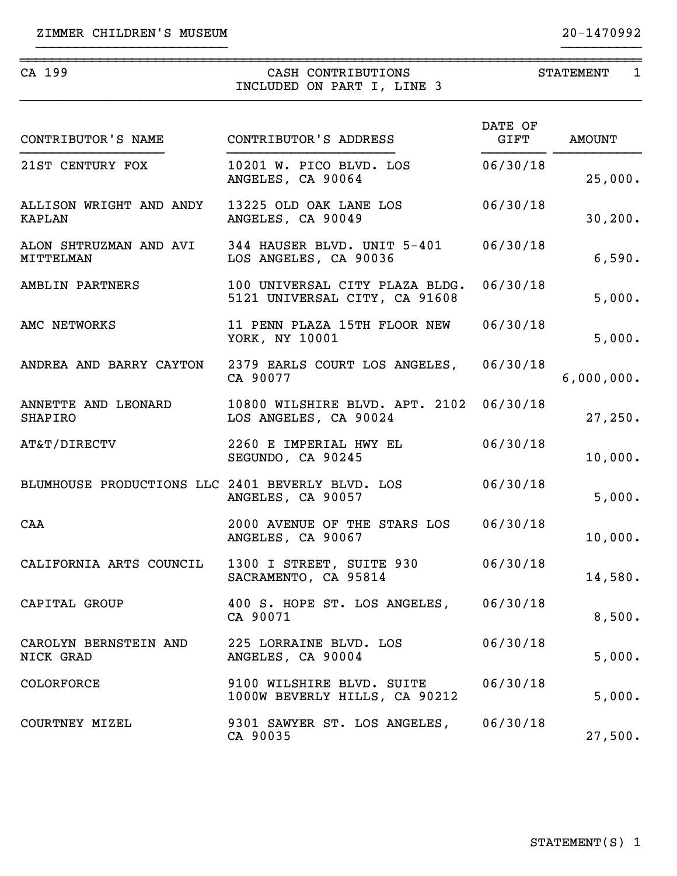~~~~~~~~~~~~~~~~~~~~~~~~~~~~~~~~~~~~~~~~~~~~~~~~~~~~~~~~~~~~~~~~~~~~~~~~~~~~~~

| CA 199                                           | CASH CONTRIBUTIONS<br>INCLUDED ON PART I, LINE 3                         | $\mathbf{1}$<br><b>STATEMENT</b> |               |  |
|--------------------------------------------------|--------------------------------------------------------------------------|----------------------------------|---------------|--|
| CONTRIBUTOR'S NAME                               | CONTRIBUTOR'S ADDRESS                                                    | DATE OF<br>GIFT                  | <b>AMOUNT</b> |  |
| 21ST CENTURY FOX                                 | 10201 W. PICO BLVD. LOS<br>ANGELES, CA 90064                             | 06/30/18                         | 25,000.       |  |
| ALLISON WRIGHT AND ANDY<br><b>KAPLAN</b>         | 13225 OLD OAK LANE LOS<br>ANGELES, CA 90049                              | 06/30/18                         | 30, 200.      |  |
| ALON SHTRUZMAN AND AVI<br>MITTELMAN              | 344 HAUSER BLVD. UNIT 5-401<br>LOS ANGELES, CA 90036                     | 06/30/18                         | 6,590.        |  |
| AMBLIN PARTNERS                                  | 100 UNIVERSAL CITY PLAZA BLDG.<br>5121 UNIVERSAL CITY, CA 91608          | 06/30/18                         | 5,000.        |  |
| AMC NETWORKS                                     | 11 PENN PLAZA 15TH FLOOR NEW<br>YORK, NY 10001                           | 06/30/18                         | 5,000.        |  |
| ANDREA AND BARRY CAYTON                          | 2379 EARLS COURT LOS ANGELES, 06/30/18<br>CA 90077                       |                                  | 6,000,000.    |  |
| ANNETTE AND LEONARD<br>SHAPIRO                   | 10800 WILSHIRE BLVD. APT. 2102 06/30/18<br>LOS ANGELES, CA 90024         |                                  | 27,250.       |  |
| AT&T/DIRECTV                                     | 2260 E IMPERIAL HWY EL<br>SEGUNDO, CA 90245                              | 06/30/18                         | 10,000.       |  |
| BLUMHOUSE PRODUCTIONS LLC 2401 BEVERLY BLVD. LOS | ANGELES, CA 90057                                                        | 06/30/18                         | 5,000.        |  |
| CAA                                              | 2000 AVENUE OF THE STARS LOS<br>ANGELES, CA 90067                        | 06/30/18                         | 10,000.       |  |
|                                                  | CALIFORNIA ARTS COUNCIL 1300 I STREET, SUITE 930<br>SACRAMENTO, CA 95814 | 06/30/18                         | 14,580.       |  |
| CAPITAL GROUP                                    | 400 S. HOPE ST. LOS ANGELES, 06/30/18<br>CA 90071                        |                                  | 8,500.        |  |
| CAROLYN BERNSTEIN AND<br>NICK GRAD               | 225 LORRAINE BLVD. LOS<br>ANGELES, CA 90004                              | 06/30/18                         | 5,000.        |  |
| <b>COLORFORCE</b>                                | 9100 WILSHIRE BLVD. SUITE<br>1000W BEVERLY HILLS, CA 90212               | 06/30/18                         | 5,000.        |  |
| COURTNEY MIZEL                                   | 9301 SAWYER ST. LOS ANGELES, 06/30/18<br>CA 90035                        |                                  | 27,500.       |  |

}}}}}}}}}}}}}}}}}}}}}}}} }}}}}}}}}}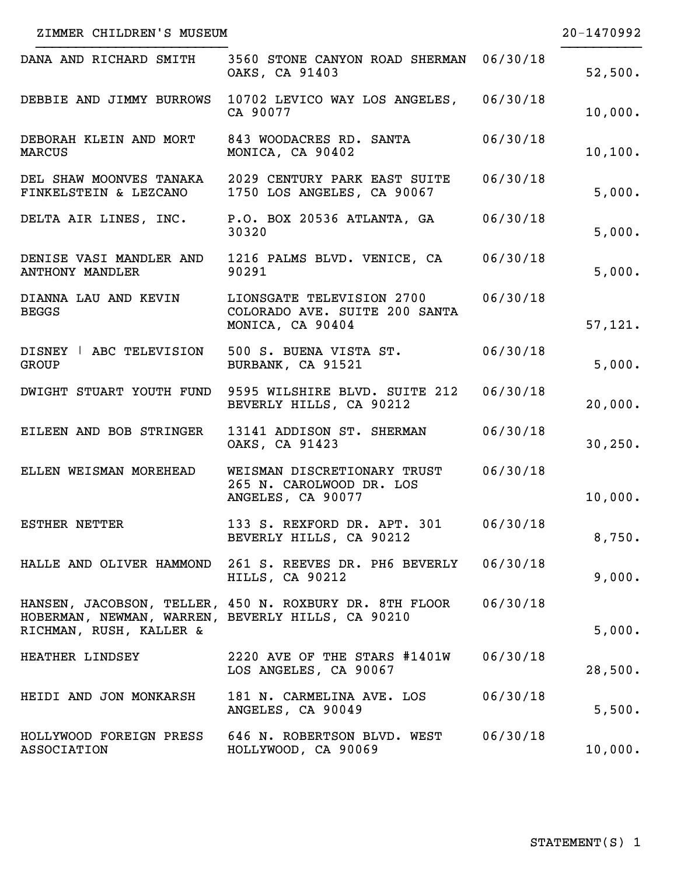| ZIMMER CHILDREN'S MUSEUM                                                     |                                                                                    |          | 20-1470992 |
|------------------------------------------------------------------------------|------------------------------------------------------------------------------------|----------|------------|
| DANA AND RICHARD SMITH                                                       | 3560 STONE CANYON ROAD SHERMAN 06/30/18<br>OAKS, CA 91403                          |          | 52,500.    |
| DEBBIE AND JIMMY BURROWS                                                     | 10702 LEVICO WAY LOS ANGELES,<br>CA 90077                                          | 06/30/18 | 10,000.    |
| DEBORAH KLEIN AND MORT<br><b>MARCUS</b>                                      | 843 WOODACRES RD. SANTA<br>MONICA, CA 90402                                        | 06/30/18 | 10, 100.   |
| FINKELSTEIN & LEZCANO                                                        | DEL SHAW MOONVES TANAKA 2029 CENTURY PARK EAST SUITE<br>1750 LOS ANGELES, CA 90067 | 06/30/18 | 5,000.     |
|                                                                              | DELTA AIR LINES, INC. P.O. BOX 20536 ATLANTA, GA<br>30320                          | 06/30/18 | 5,000.     |
| <b>ANTHONY MANDLER</b>                                                       | DENISE VASI MANDLER AND 1216 PALMS BLVD. VENICE, CA<br>90291                       | 06/30/18 | 5,000.     |
| DIANNA LAU AND KEVIN<br><b>BEGGS</b>                                         | LIONSGATE TELEVISION 2700<br>COLORADO AVE. SUITE 200 SANTA<br>MONICA, CA 90404     | 06/30/18 | 57,121.    |
| DISNEY   ABC TELEVISION<br><b>GROUP</b>                                      | 500 S. BUENA VISTA ST.<br>BURBANK, CA 91521                                        | 06/30/18 | 5,000.     |
|                                                                              | DWIGHT STUART YOUTH FUND 9595 WILSHIRE BLVD. SUITE 212<br>BEVERLY HILLS, CA 90212  | 06/30/18 | 20,000.    |
| EILEEN AND BOB STRINGER                                                      | 13141 ADDISON ST. SHERMAN<br>OAKS, CA 91423                                        | 06/30/18 | 30, 250.   |
| ELLEN WEISMAN MOREHEAD                                                       | WEISMAN DISCRETIONARY TRUST<br>265 N. CAROLWOOD DR. LOS<br>ANGELES, CA 90077       | 06/30/18 | 10,000.    |
| <b>ESTHER NETTER</b>                                                         | 133 S. REXFORD DR. APT. 301<br>BEVERLY HILLS, CA 90212                             | 06/30/18 | 8,750.     |
|                                                                              | HALLE AND OLIVER HAMMOND 261 S. REEVES DR. PH6 BEVERLY<br>HILLS, CA 90212          | 06/30/18 | 9,000.     |
| HOBERMAN, NEWMAN, WARREN, BEVERLY HILLS, CA 90210<br>RICHMAN, RUSH, KALLER & | HANSEN, JACOBSON, TELLER, 450 N. ROXBURY DR. 8TH FLOOR                             | 06/30/18 | 5,000.     |
| HEATHER LINDSEY                                                              | 2220 AVE OF THE STARS #1401W<br>LOS ANGELES, CA 90067                              | 06/30/18 | 28,500.    |
| HEIDI AND JON MONKARSH                                                       | 181 N. CARMELINA AVE. LOS<br>ANGELES, CA 90049                                     | 06/30/18 | 5,500.     |
| HOLLYWOOD FOREIGN PRESS<br><b>ASSOCIATION</b>                                | 646 N. ROBERTSON BLVD. WEST<br>HOLLYWOOD, CA 90069                                 | 06/30/18 | 10,000.    |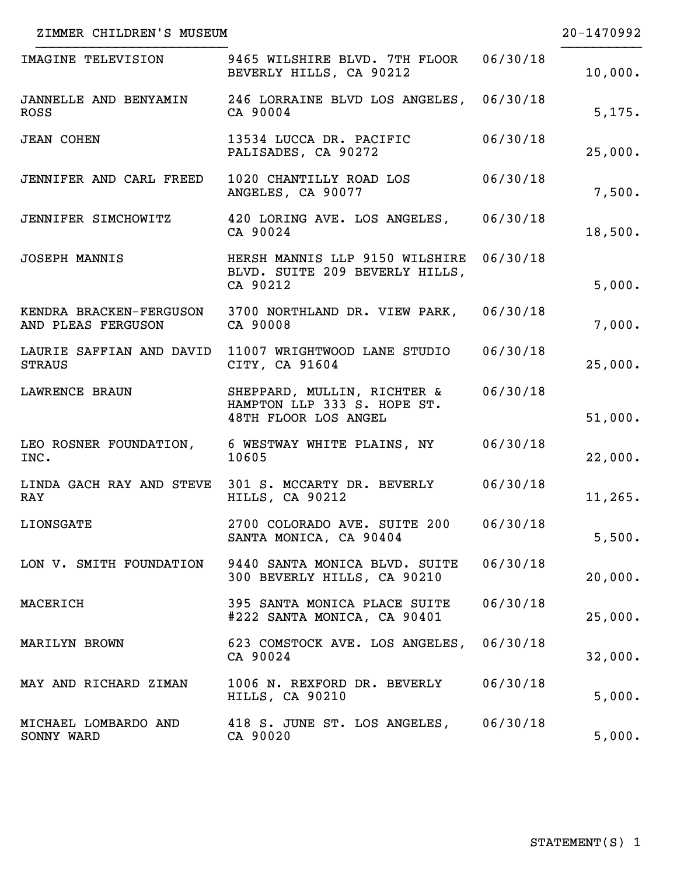| ZIMMER CHILDREN'S MUSEUM                    |                                                                                    |          | $20 - 1470992$ |
|---------------------------------------------|------------------------------------------------------------------------------------|----------|----------------|
| IMAGINE TELEVISION                          | 9465 WILSHIRE BLVD. 7TH FLOOR<br>BEVERLY HILLS, CA 90212                           | 06/30/18 | 10,000.        |
| <b>JANNELLE AND BENYAMIN</b><br><b>ROSS</b> | 246 LORRAINE BLVD LOS ANGELES, 06/30/18<br>CA 90004                                |          | 5,175.         |
| <b>JEAN COHEN</b>                           | 13534 LUCCA DR. PACIFIC<br>PALISADES, CA 90272                                     | 06/30/18 | 25,000.        |
| JENNIFER AND CARL FREED                     | 1020 CHANTILLY ROAD LOS<br>ANGELES, CA 90077                                       | 06/30/18 | 7,500.         |
| JENNIFER SIMCHOWITZ                         | 420 LORING AVE. LOS ANGELES, 06/30/18<br>CA 90024                                  |          | 18,500.        |
| <b>JOSEPH MANNIS</b>                        | HERSH MANNIS LLP 9150 WILSHIRE<br>BLVD. SUITE 209 BEVERLY HILLS,<br>CA 90212       | 06/30/18 | 5,000.         |
| AND PLEAS FERGUSON                          | KENDRA BRACKEN-FERGUSON 3700 NORTHLAND DR. VIEW PARK, 06/30/18<br>CA 90008         |          | 7,000.         |
| LAURIE SAFFIAN AND DAVID<br><b>STRAUS</b>   | 11007 WRIGHTWOOD LANE STUDIO<br>CITY, CA 91604                                     | 06/30/18 | 25,000.        |
| LAWRENCE BRAUN                              | SHEPPARD, MULLIN, RICHTER &<br>HAMPTON LLP 333 S. HOPE ST.<br>48TH FLOOR LOS ANGEL | 06/30/18 | 51,000.        |
| INC.                                        | LEO ROSNER FOUNDATION, 6 WESTWAY WHITE PLAINS, NY<br>10605                         | 06/30/18 | 22,000.        |
| <b>RAY</b>                                  | LINDA GACH RAY AND STEVE 301 S. MCCARTY DR. BEVERLY 06/30/18<br>HILLS, CA 90212    |          | 11, 265.       |
| <b>LIONSGATE</b>                            | 2700 COLORADO AVE. SUITE 200 06/30/18<br>SANTA MONICA, CA 90404                    |          | 5,500.         |
| LON V. SMITH FOUNDATION                     | 9440 SANTA MONICA BLVD. SUITE<br>300 BEVERLY HILLS, CA 90210                       | 06/30/18 | 20,000.        |
| MACERICH                                    | 395 SANTA MONICA PLACE SUITE<br>#222 SANTA MONICA, CA 90401                        | 06/30/18 | 25,000.        |
| MARILYN BROWN                               | 623 COMSTOCK AVE. LOS ANGELES,<br>CA 90024                                         | 06/30/18 | 32,000.        |
| MAY AND RICHARD ZIMAN                       | 1006 N. REXFORD DR. BEVERLY<br>HILLS, CA 90210                                     | 06/30/18 | 5,000.         |
| MICHAEL LOMBARDO AND<br>SONNY WARD          | 418 S. JUNE ST. LOS ANGELES,<br>CA 90020                                           | 06/30/18 | 5,000.         |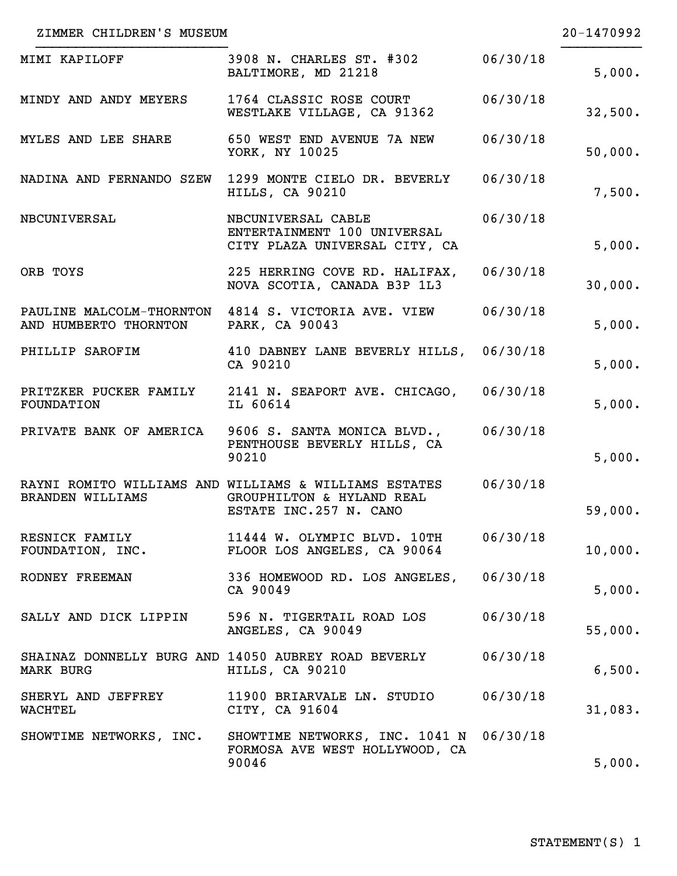| ZIMMER CHILDREN'S MUSEUM      |                                                                                                              |          | 20-1470992 |
|-------------------------------|--------------------------------------------------------------------------------------------------------------|----------|------------|
| MIMI KAPILOFF                 | 3908 N. CHARLES ST. #302<br>BALTIMORE, MD 21218                                                              | 06/30/18 | 5,000.     |
| MINDY AND ANDY MEYERS         | 1764 CLASSIC ROSE COURT<br>WESTLAKE VILLAGE, CA 91362                                                        | 06/30/18 | 32,500.    |
| MYLES AND LEE SHARE           | 650 WEST END AVENUE 7A NEW<br>YORK, NY 10025                                                                 | 06/30/18 | 50,000.    |
|                               | NADINA AND FERNANDO SZEW 1299 MONTE CIELO DR. BEVERLY<br>HILLS, CA 90210                                     | 06/30/18 | 7,500.     |
| NBCUNIVERSAL                  | NBCUNIVERSAL CABLE<br>ENTERTAINMENT 100 UNIVERSAL<br>CITY PLAZA UNIVERSAL CITY, CA                           | 06/30/18 | 5,000.     |
| ORB TOYS                      | 225 HERRING COVE RD. HALIFAX,<br>NOVA SCOTIA, CANADA B3P 1L3                                                 | 06/30/18 | 30,000.    |
| AND HUMBERTO THORNTON         | PAULINE MALCOLM-THORNTON 4814 S. VICTORIA AVE. VIEW<br>PARK, CA 90043                                        | 06/30/18 | 5,000.     |
| PHILLIP SAROFIM               | 410 DABNEY LANE BEVERLY HILLS, 06/30/18<br>CA 90210                                                          |          | 5,000.     |
| <b>FOUNDATION</b>             | PRITZKER PUCKER FAMILY 2141 N. SEAPORT AVE. CHICAGO, 06/30/18<br>IL 60614                                    |          | 5,000.     |
|                               | PRIVATE BANK OF AMERICA 9606 S. SANTA MONICA BLVD.,<br>PENTHOUSE BEVERLY HILLS, CA<br>90210                  | 06/30/18 | 5,000.     |
| <b>BRANDEN WILLIAMS</b>       | RAYNI ROMITO WILLIAMS AND WILLIAMS & WILLIAMS ESTATES<br>GROUPHILTON & HYLAND REAL<br>ESTATE INC.257 N. CANO | 06/30/18 | 59,000.    |
| RESNICK FAMILY                | 11444 W. OLYMPIC BLVD. 10TH<br>FOUNDATION, INC. FLOOR LOS ANGELES, CA 90064                                  | 06/30/18 | 10,000.    |
| RODNEY FREEMAN                | 336 HOMEWOOD RD. LOS ANGELES, 06/30/18<br>CA 90049                                                           |          | 5,000.     |
|                               | SALLY AND DICK LIPPIN 596 N. TIGERTAIL ROAD LOS<br>ANGELES, CA 90049                                         | 06/30/18 | 55,000.    |
| MARK BURG                     | SHAINAZ DONNELLY BURG AND 14050 AUBREY ROAD BEVERLY<br>HILLS, CA 90210                                       | 06/30/18 | 6,500.     |
| SHERYL AND JEFFREY<br>WACHTEL | 11900 BRIARVALE LN. STUDIO<br>CITY, CA 91604                                                                 | 06/30/18 | 31,083.    |
| SHOWTIME NETWORKS, INC.       | SHOWTIME NETWORKS, INC. 1041 N 06/30/18<br>FORMOSA AVE WEST HOLLYWOOD, CA<br>90046                           |          | 5,000.     |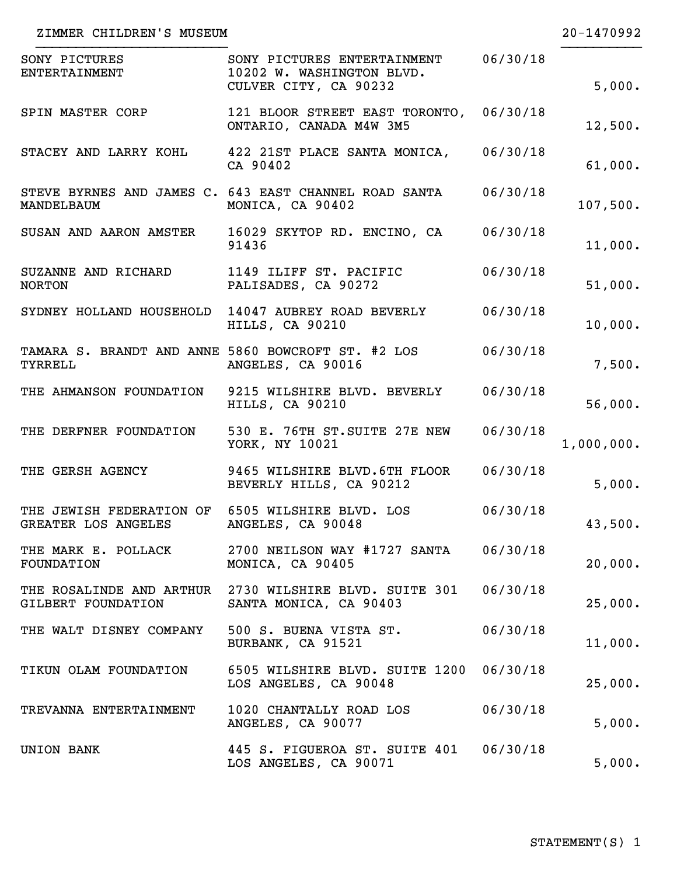| ZIMMER CHILDREN'S MUSEUM                                                |                                                                                   |          | 20-1470992 |
|-------------------------------------------------------------------------|-----------------------------------------------------------------------------------|----------|------------|
| SONY PICTURES<br><b>ENTERTAINMENT</b>                                   | SONY PICTURES ENTERTAINMENT<br>10202 W. WASHINGTON BLVD.<br>CULVER CITY, CA 90232 | 06/30/18 | 5,000.     |
| SPIN MASTER CORP                                                        | 121 BLOOR STREET EAST TORONTO,<br>ONTARIO, CANADA M4W 3M5                         | 06/30/18 | 12,500.    |
|                                                                         | STACEY AND LARRY KOHL 422 21ST PLACE SANTA MONICA, 06/30/18<br>CA 90402           |          | 61,000.    |
| MANDELBAUM                                                              | STEVE BYRNES AND JAMES C. 643 EAST CHANNEL ROAD SANTA<br>MONICA, CA 90402         | 06/30/18 | 107,500.   |
|                                                                         | SUSAN AND AARON AMSTER 16029 SKYTOP RD. ENCINO, CA<br>91436                       | 06/30/18 | 11,000.    |
| SUZANNE AND RICHARD 1149 ILIFF ST. PACIFIC<br><b>NORTON</b>             | PALISADES, CA 90272                                                               | 06/30/18 | 51,000.    |
|                                                                         | SYDNEY HOLLAND HOUSEHOLD 14047 AUBREY ROAD BEVERLY<br>HILLS, CA 90210             | 06/30/18 | 10,000.    |
| TYRRELL                                                                 | TAMARA S. BRANDT AND ANNE 5860 BOWCROFT ST. #2 LOS<br>ANGELES, CA 90016           | 06/30/18 | 7,500.     |
| THE AHMANSON FOUNDATION                                                 | 9215 WILSHIRE BLVD. BEVERLY<br>HILLS, CA 90210                                    | 06/30/18 | 56,000.    |
| THE DERFNER FOUNDATION                                                  | 530 E. 76TH ST.SUITE 27E NEW<br>YORK, NY 10021                                    | 06/30/18 | 1,000,000. |
| THE GERSH AGENCY                                                        | 9465 WILSHIRE BLVD.6TH FLOOR<br>BEVERLY HILLS, CA 90212                           | 06/30/18 | 5,000.     |
| THE JEWISH FEDERATION OF 6505 WILSHIRE BLVD. LOS<br>GREATER LOS ANGELES | ANGELES, CA 90048                                                                 | 06/30/18 | 43,500.    |
| THE MARK E. POLLACK<br>FOUNDATION                                       | 2700 NEILSON WAY #1727 SANTA<br>MONICA, CA 90405                                  | 06/30/18 | 20,000.    |
| GILBERT FOUNDATION                                                      | THE ROSALINDE AND ARTHUR 2730 WILSHIRE BLVD. SUITE 301<br>SANTA MONICA, CA 90403  | 06/30/18 | 25,000.    |
| THE WALT DISNEY COMPANY 500 S. BUENA VISTA ST.                          | BURBANK, CA 91521                                                                 | 06/30/18 | 11,000.    |
| TIKUN OLAM FOUNDATION                                                   | 6505 WILSHIRE BLVD. SUITE 1200<br>LOS ANGELES, CA 90048                           | 06/30/18 | 25,000.    |
| TREVANNA ENTERTAINMENT                                                  | 1020 CHANTALLY ROAD LOS<br>ANGELES, CA 90077                                      | 06/30/18 | 5,000.     |
| UNION BANK                                                              | 445 S. FIGUEROA ST. SUITE 401<br>LOS ANGELES, CA 90071                            | 06/30/18 | 5,000.     |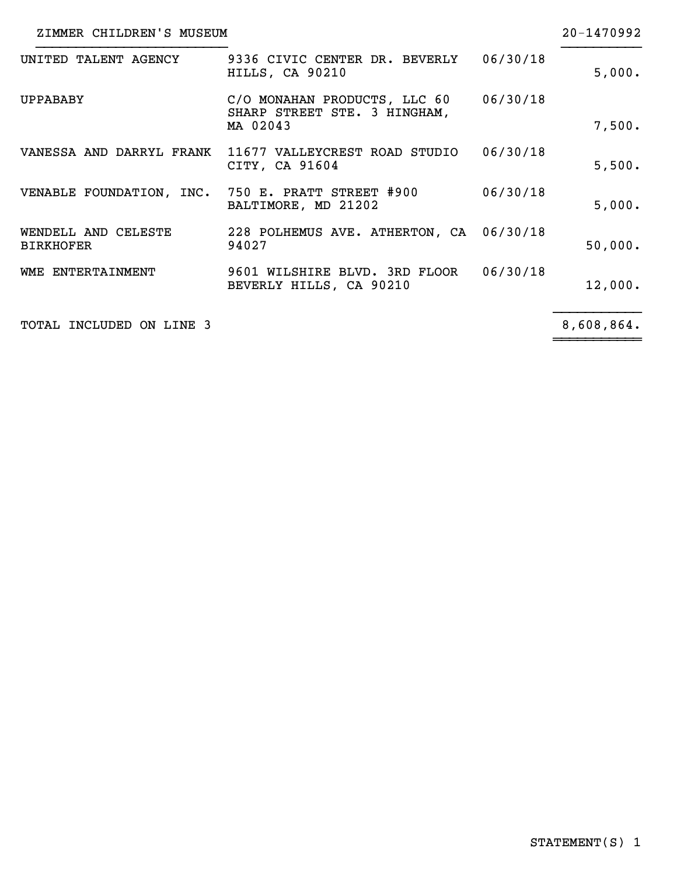| ZIMMER CHILDREN'S MUSEUM                |                                                                          |          | 20-1470992 |
|-----------------------------------------|--------------------------------------------------------------------------|----------|------------|
| UNITED TALENT AGENCY                    | 9336 CIVIC CENTER DR. BEVERLY<br>HILLS, CA 90210                         | 06/30/18 | 5,000.     |
| <b>UPPABABY</b>                         | C/O MONAHAN PRODUCTS, LLC 60<br>SHARP STREET STE. 3 HINGHAM,<br>MA 02043 | 06/30/18 | 7,500.     |
|                                         | VANESSA AND DARRYL FRANK 11677 VALLEYCREST ROAD STUDIO<br>CITY, CA 91604 | 06/30/18 | 5,500.     |
|                                         | VENABLE FOUNDATION, INC. 750 E. PRATT STREET #900<br>BALTIMORE, MD 21202 | 06/30/18 | 5,000.     |
| WENDELL AND CELESTE<br><b>BIRKHOFER</b> | 228 POLHEMUS AVE. ATHERTON, CA 06/30/18<br>94027                         |          | 50,000.    |
| WME ENTERTAINMENT                       | 9601 WILSHIRE BLVD. 3RD FLOOR<br>BEVERLY HILLS, CA 90210                 | 06/30/18 | 12,000.    |
| TOTAL INCLUDED ON LINE 3                |                                                                          |          | 8,608,864. |

}}}}}}}}}}} ~~~~~~~~~~~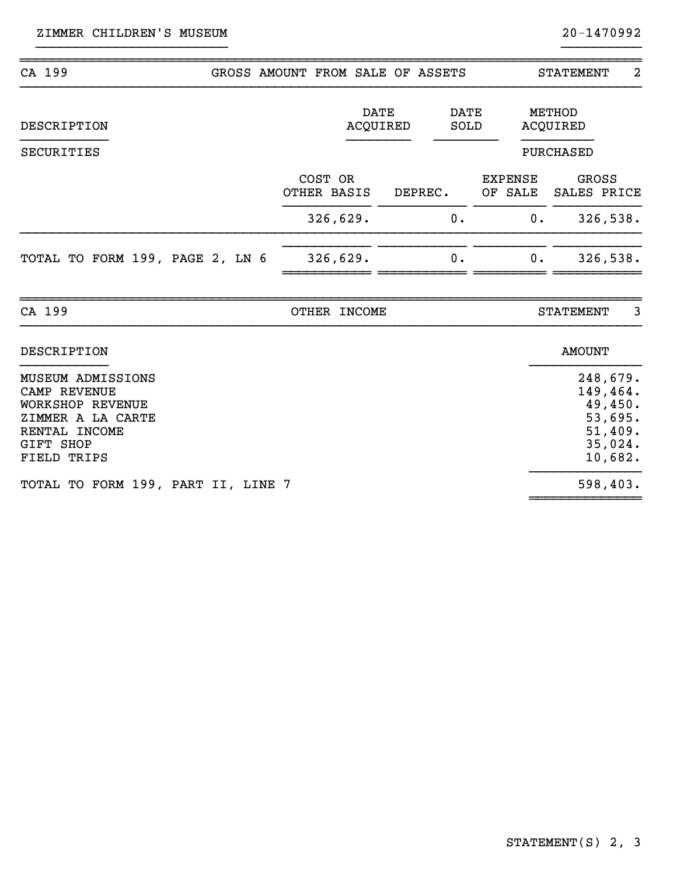| CA 199                                                                                                                                              |  | GROSS AMOUNT FROM SALE OF ASSETS |                         |                     |                                 | $\overline{2}$<br><b>STATEMENT</b>                                          |
|-----------------------------------------------------------------------------------------------------------------------------------------------------|--|----------------------------------|-------------------------|---------------------|---------------------------------|-----------------------------------------------------------------------------|
| DESCRIPTION<br><b>SECURITIES</b>                                                                                                                    |  |                                  | <b>DATE</b><br>ACQUIRED | <b>DATE</b><br>SOLD |                                 | METHOD<br>ACQUIRED<br><b>PURCHASED</b>                                      |
|                                                                                                                                                     |  | COST OR<br>OTHER BASIS           |                         | DEPREC.<br>0.       | <b>EXPENSE</b><br>OF SALE<br>0. | GROSS<br>SALES PRICE                                                        |
| TOTAL TO FORM 199, PAGE 2, LN 6                                                                                                                     |  | 326,629.<br>326,629.             |                         | 0.                  | 0.                              | 326,538.<br>326,538.                                                        |
| CA 199                                                                                                                                              |  | OTHER INCOME                     |                         |                     |                                 | 3<br><b>STATEMENT</b>                                                       |
| <b>DESCRIPTION</b>                                                                                                                                  |  |                                  |                         |                     |                                 | <b>AMOUNT</b>                                                               |
| <b>MUSEUM ADMISSIONS</b><br><b>CAMP REVENUE</b><br><b>WORKSHOP REVENUE</b><br>ZIMMER A LA CARTE<br>RENTAL INCOME<br><b>GIFT SHOP</b><br>FIELD TRIPS |  |                                  |                         |                     |                                 | 248,679.<br>149,464.<br>49,450.<br>53,695.<br>51,409.<br>35,024.<br>10,682. |
| TOTAL TO FORM 199, PART II, LINE 7                                                                                                                  |  |                                  |                         |                     |                                 | 598,403.                                                                    |

}}}}}}}}}}}}}}}}}}}}}}}} }}}}}}}}}}

~~~~~~~~~~~~~~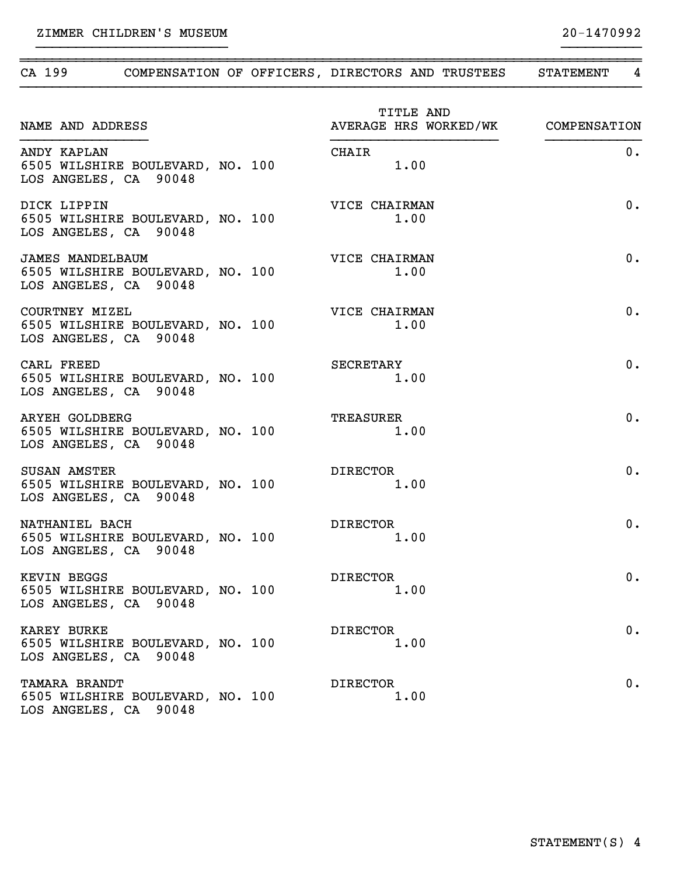ZIMMER CHILDREN'S MUSEUM 20-1470992

| CA 199 COMPENSATION OF OFFICERS, DIRECTORS AND TRUSTEES                              |                                                 | <b>STATEMENT</b><br>4 |
|--------------------------------------------------------------------------------------|-------------------------------------------------|-----------------------|
| NAME AND ADDRESS                                                                     | TITLE AND<br>AVERAGE HRS WORKED/WK COMPENSATION |                       |
| ANDY KAPLAN<br>6505 WILSHIRE BOULEVARD, NO. 100<br>LOS ANGELES, CA 90048             | CHAIR<br>1.00                                   | $0$ .                 |
| DICK LIPPIN<br>6505 WILSHIRE BOULEVARD, NO. 100<br>LOS ANGELES, CA 90048             | VICE CHAIRMAN<br>1.00                           | 0.                    |
| <b>JAMES MANDELBAUM</b><br>6505 WILSHIRE BOULEVARD, NO. 100<br>LOS ANGELES, CA 90048 | VICE CHAIRMAN<br>1.00                           | 0.                    |
| COURTNEY MIZEL<br>6505 WILSHIRE BOULEVARD, NO. 100<br>LOS ANGELES, CA 90048          | VICE CHAIRMAN<br>1.00                           | 0.                    |
| CARL FREED<br>6505 WILSHIRE BOULEVARD, NO. 100<br>LOS ANGELES, CA 90048              | SECRETARY<br>1.00                               | $0$ .                 |
| <b>ARYEH GOLDBERG</b><br>6505 WILSHIRE BOULEVARD, NO. 100<br>LOS ANGELES, CA 90048   | TREASURER<br>1.00                               | $0$ .                 |
| SUSAN AMSTER<br>6505 WILSHIRE BOULEVARD, NO. 100<br>LOS ANGELES, CA 90048            | DIRECTOR<br>1.00                                | 0.                    |
| NATHANIEL BACH<br>6505 WILSHIRE BOULEVARD, NO. 100<br>LOS ANGELES, CA 90048          | DIRECTOR<br>1.00                                | 0.                    |
| KEVIN BEGGS<br>6505 WILSHIRE BOULEVARD, NO. 100<br>LOS ANGELES, CA 90048             | <b>DIRECTOR</b><br>1.00                         | 0.                    |
| <b>KAREY BURKE</b><br>6505 WILSHIRE BOULEVARD, NO. 100<br>LOS ANGELES, CA 90048      | <b>DIRECTOR</b><br>1.00                         | 0.                    |
| <b>TAMARA BRANDT</b><br>6505 WILSHIRE BOULEVARD, NO. 100<br>LOS ANGELES, CA 90048    | <b>DIRECTOR</b><br>1.00                         | 0.                    |

}}}}}}}}}}}}}}}}}}}}}}}} }}}}}}}}}}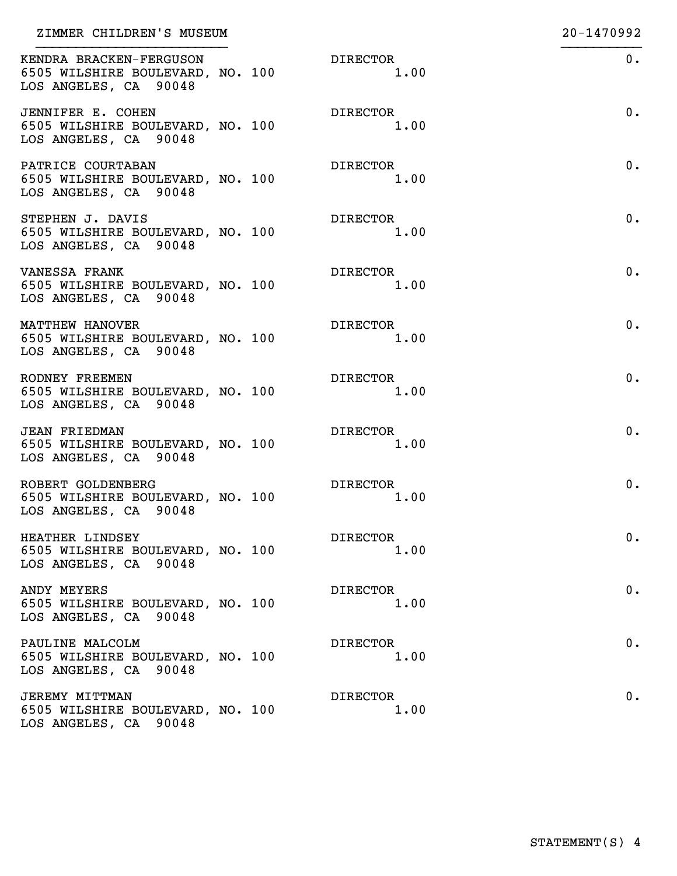| ZIMMER CHILDREN'S MUSEUM                                                             |                         | 20-1470992 |
|--------------------------------------------------------------------------------------|-------------------------|------------|
| KENDRA BRACKEN-FERGUSON<br>6505 WILSHIRE BOULEVARD, NO. 100<br>LOS ANGELES, CA 90048 | DIRECTOR<br>1.00        | 0.         |
| JENNIFER E. COHEN<br>6505 WILSHIRE BOULEVARD, NO. 100<br>LOS ANGELES, CA 90048       | <b>DIRECTOR</b><br>1.00 | 0.         |
| PATRICE COURTABAN<br>6505 WILSHIRE BOULEVARD, NO. 100<br>LOS ANGELES, CA 90048       | <b>DIRECTOR</b><br>1.00 | 0.         |
| STEPHEN J. DAVIS<br>6505 WILSHIRE BOULEVARD, NO. 100<br>LOS ANGELES, CA 90048        | DIRECTOR<br>1.00        | 0.         |
| VANESSA FRANK<br>6505 WILSHIRE BOULEVARD, NO. 100<br>LOS ANGELES, CA 90048           | DIRECTOR<br>1.00        | 0.         |
| MATTHEW HANOVER<br>6505 WILSHIRE BOULEVARD, NO. 100<br>LOS ANGELES, CA 90048         | <b>DIRECTOR</b><br>1.00 | 0.         |
| RODNEY FREEMEN<br>6505 WILSHIRE BOULEVARD, NO. 100<br>LOS ANGELES, CA 90048          | <b>DIRECTOR</b><br>1.00 | 0.         |
| <b>JEAN FRIEDMAN</b><br>6505 WILSHIRE BOULEVARD, NO. 100<br>LOS ANGELES, CA 90048    | DIRECTOR<br>1.00        | 0.         |
| ROBERT GOLDENBERG<br>6505 WILSHIRE BOULEVARD, NO. 100<br>LOS ANGELES, CA 90048       | <b>DIRECTOR</b><br>1.00 | 0.         |
| HEATHER LINDSEY<br>6505 WILSHIRE BOULEVARD, NO. 100<br>LOS ANGELES, CA 90048         | <b>DIRECTOR</b><br>1.00 | 0.         |
| ANDY MEYERS<br>6505 WILSHIRE BOULEVARD, NO. 100<br>LOS ANGELES, CA 90048             | <b>DIRECTOR</b><br>1.00 | 0.         |
| PAULINE MALCOLM<br>6505 WILSHIRE BOULEVARD, NO. 100<br>LOS ANGELES, CA 90048         | <b>DIRECTOR</b><br>1.00 | 0.         |
| <b>JEREMY MITTMAN</b><br>6505 WILSHIRE BOULEVARD, NO. 100<br>LOS ANGELES, CA 90048   | <b>DIRECTOR</b><br>1.00 | 0.         |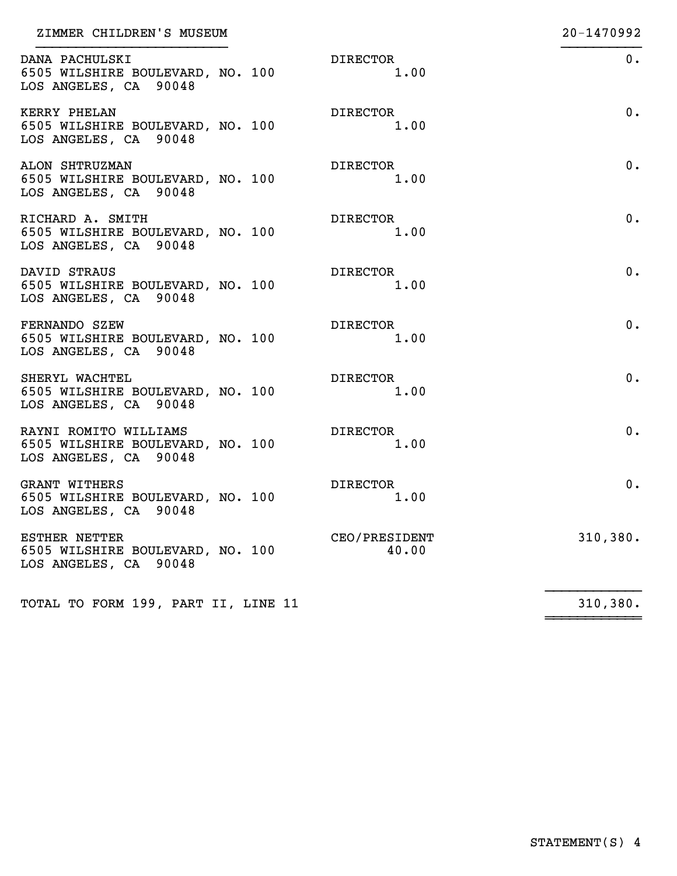| ZIMMER CHILDREN'S MUSEUM                                                             |                         | 20-1470992 |
|--------------------------------------------------------------------------------------|-------------------------|------------|
| DANA PACHULSKI<br>6505 WILSHIRE BOULEVARD, NO. 100<br>LOS ANGELES, CA 90048          | <b>DIRECTOR</b><br>1.00 | $0$ .      |
| KERRY PHELAN<br>6505 WILSHIRE BOULEVARD, NO. 100<br>LOS ANGELES, CA 90048            | <b>DIRECTOR</b><br>1.00 | $0$ .      |
| ALON SHTRUZMAN<br>6505 WILSHIRE BOULEVARD, NO. 100<br>LOS ANGELES, CA 90048          | <b>DIRECTOR</b><br>1.00 | $0$ .      |
| RICHARD A. SMITH<br>6505 WILSHIRE BOULEVARD, NO. 100<br>LOS ANGELES, CA 90048        | <b>DIRECTOR</b><br>1.00 | 0.         |
| DAVID STRAUS<br>6505 WILSHIRE BOULEVARD, NO. 100<br>LOS ANGELES, CA 90048            | <b>DIRECTOR</b><br>1.00 | $0$ .      |
| FERNANDO SZEW<br>6505 WILSHIRE BOULEVARD, NO. 100<br>LOS ANGELES, CA 90048           | <b>DIRECTOR</b><br>1.00 | $0$ .      |
| SHERYL WACHTEL<br>6505 WILSHIRE BOULEVARD, NO. 100<br>LOS ANGELES, CA 90048          | <b>DIRECTOR</b><br>1.00 | $0$ .      |
| RAYNI ROMITO WILLIAMS<br>6505 WILSHIRE BOULEVARD, NO. 100<br>LOS ANGELES, CA 90048   | <b>DIRECTOR</b><br>1.00 | $0$ .      |
| <b>GRANT WITHERS</b><br>6505 WILSHIRE BOULEVARD, NO. 100<br>LOS ANGELES, CA 90048    | DIRECTOR<br>1.00        | 0.         |
| <b>ESTHER NETTER</b><br>6505 WILSHIRE BOULEVARD, NO. 100<br>LOS ANGELES, CA<br>90048 | CEO/PRESIDENT<br>40.00  | 310, 380.  |
| TOTAL TO FORM 199, PART II, LINE 11                                                  |                         | 310, 380.  |
|                                                                                      |                         |            |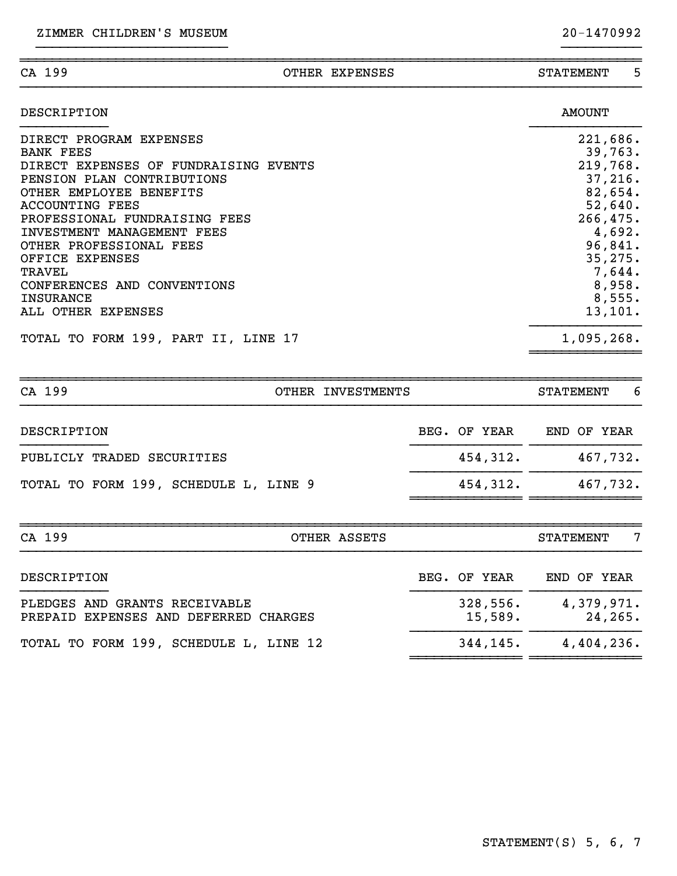| --<br>" י<br><br>ີ |  | . п. т<br>GН 4<br>. I N<br>г. Л<br>בער |  |
|--------------------|--|----------------------------------------|--|
|                    |  |                                        |  |

| DESCRIPTION                           | <b>AMOUNT</b> |
|---------------------------------------|---------------|
| DIRECT PROGRAM EXPENSES               | 221,686.      |
| <b>BANK FEES</b>                      | 39,763.       |
| DIRECT EXPENSES OF FUNDRAISING EVENTS | 219,768.      |
| PENSION PLAN CONTRIBUTIONS            | 37,216.       |
| OTHER EMPLOYEE BENEFITS               | 82,654.       |
| <b>ACCOUNTING FEES</b>                | 52,640.       |
| PROFESSIONAL FUNDRAISING FEES         | 266, 475.     |
| INVESTMENT MANAGEMENT FEES            | 4,692.        |
| OTHER PROFESSIONAL FEES               | 96,841.       |
| OFFICE EXPENSES                       | 35, 275.      |
| TRAVEL                                | 7,644.        |
| CONFERENCES AND CONVENTIONS           | 8,958.        |
| <b>INSURANCE</b>                      | 8,555.        |
| ALL OTHER EXPENSES                    | 13, 101.      |
| TOTAL TO FORM 199, PART II, LINE 17   | 1,095,268.    |

~~~~~~~~~~~~~~~~~~~~~~~~~~~~~~~~~~~~~~~~~~~~~~~~~~~~~~~~~~~~~~~~~~~~~~~~~~~~~~

}}}}}}}}}}}}}}}}}}}}}}}} }}}}}}}}}}

| CA 199<br>OTHER INVESTMENTS                                            |                     | -6<br><b>STATEMENT</b>             |
|------------------------------------------------------------------------|---------------------|------------------------------------|
| DESCRIPTION                                                            | BEG. OF YEAR        | END OF YEAR                        |
| PUBLICLY TRADED SECURITIES                                             | 454,312.            | 467,732.                           |
| TOTAL TO FORM 199, SCHEDULE L, LINE 9                                  | 454,312.            | 467,732.                           |
|                                                                        |                     |                                    |
| CA 199<br>OTHER ASSETS                                                 |                     | $\overline{7}$<br><b>STATEMENT</b> |
| DESCRIPTION                                                            | BEG. OF YEAR        | END OF YEAR                        |
| PLEDGES AND GRANTS RECEIVABLE<br>PREPAID EXPENSES AND DEFERRED CHARGES | 328,556.<br>15,589. | 4,379,971.<br>24, 265.             |
| TOTAL TO FORM 199, SCHEDULE L, LINE 12                                 | 344,145.            | 4,404,236.                         |

~~~~~~~~~~~~~~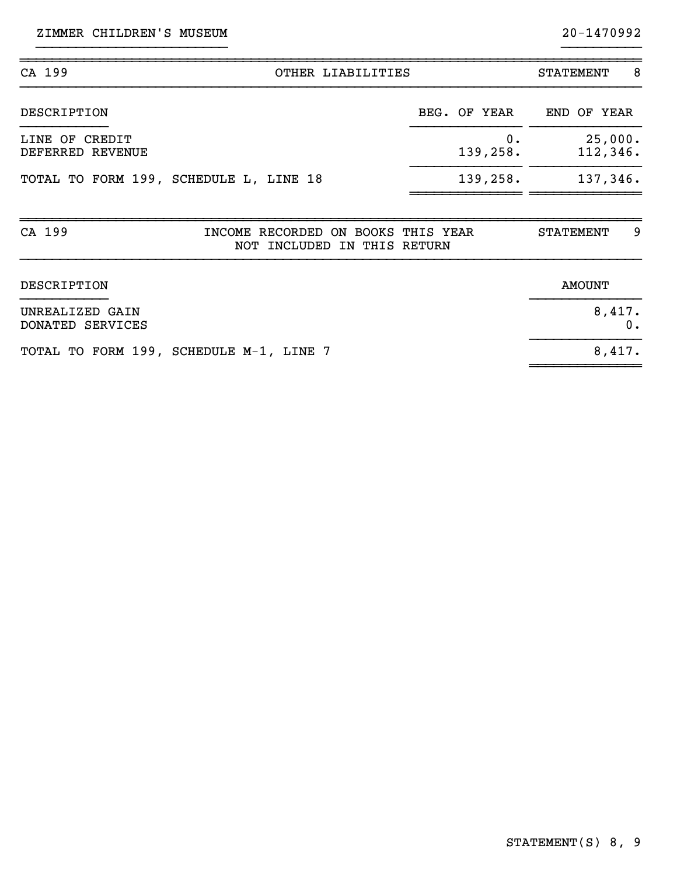| CA 199<br>OTHER LIABILITIES                                                 |                   | -8<br><b>STATEMENT</b> |
|-----------------------------------------------------------------------------|-------------------|------------------------|
| <b>DESCRIPTION</b>                                                          | BEG. OF YEAR      | END OF YEAR            |
| LINE OF CREDIT<br>DEFERRED REVENUE                                          | $0$ .<br>139,258. | 25,000.<br>112,346.    |
| TOTAL TO FORM 199, SCHEDULE L, LINE 18                                      | 139,258.          | 137,346.               |
| CA 199<br>INCOME RECORDED ON BOOKS THIS YEAR<br>NOT INCLUDED IN THIS RETURN |                   | 9<br><b>STATEMENT</b>  |

}}}}}}}}}}}}}}}}}}}}}}}} }}}}}}}}}}

| DESCRIPTION                             | AMOUNT |
|-----------------------------------------|--------|
| UNREALIZED GAIN<br>DONATED SERVICES     | 8,417. |
| TOTAL TO FORM 199, SCHEDULE M-1, LINE 7 | 8,417. |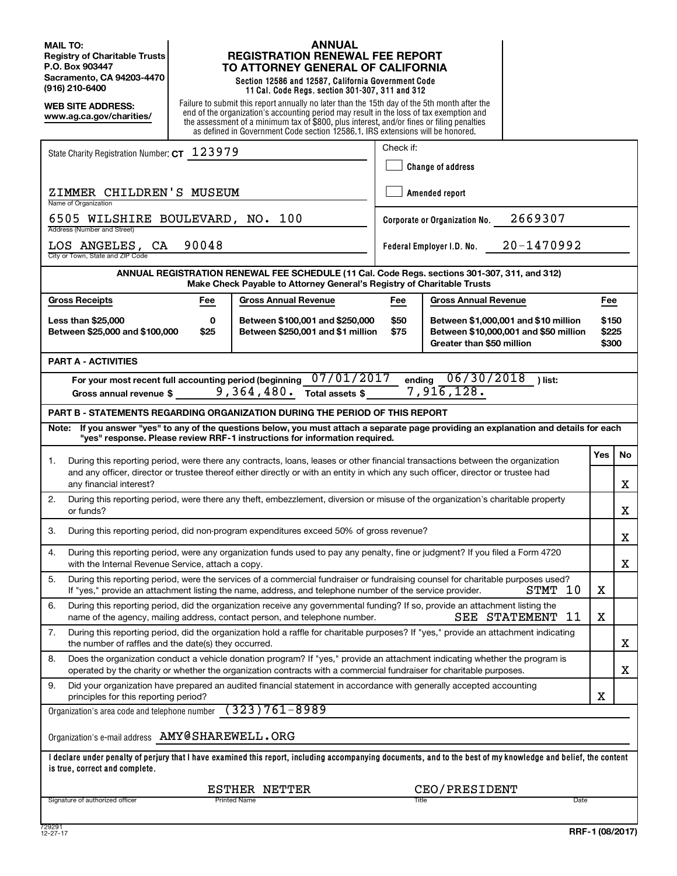**MAIL TO: Registry of Charitable Trusts P.O. Box 903447 Sacramento, CA 94203-4470 (916) 210-6400**

**WEB SITE ADDRESS: www.ag.ca.gov/charities/**

## **ANNUAL REGISTRATION RENEWAL FEE REPORT TO ATTORNEY GENERAL OF CALIFORNIA**

**Section 12586 and 12587, California Government Code 11 Cal. Code Regs. section 301-307, 311 and 312**

Failure to submit this report annually no later than the 15th day of the 5th month after the end of the organization's accounting period may result in the loss of tax exemption and the assessment of a minimum tax of \$800, plus interest, and/or fines or filing penalties as defined in Government Code section 12586.1. IRS extensions will be honored.

| State Charity Registration Number: CT 123979                                                                                                                                                                                                             |                                                                      | Check if:                |                                 |                                                                               |                         |    |
|----------------------------------------------------------------------------------------------------------------------------------------------------------------------------------------------------------------------------------------------------------|----------------------------------------------------------------------|--------------------------|---------------------------------|-------------------------------------------------------------------------------|-------------------------|----|
|                                                                                                                                                                                                                                                          |                                                                      | <b>Change of address</b> |                                 |                                                                               |                         |    |
| ZIMMER CHILDREN'S MUSEUM<br>Name of Organization                                                                                                                                                                                                         |                                                                      | Amended report           |                                 |                                                                               |                         |    |
| 6505 WILSHIRE BOULEVARD, NO. 100<br>Address (Number and Street)                                                                                                                                                                                          |                                                                      |                          | Corporate or Organization No.   | 2669307                                                                       |                         |    |
| 90048<br>LOS ANGELES, CA<br>City or Town, State and ZIP Code                                                                                                                                                                                             |                                                                      |                          | Federal Employer I.D. No.       | 20-1470992                                                                    |                         |    |
| ANNUAL REGISTRATION RENEWAL FEE SCHEDULE (11 Cal. Code Regs. sections 301-307, 311, and 312)<br>Make Check Payable to Attorney General's Registry of Charitable Trusts                                                                                   |                                                                      |                          |                                 |                                                                               |                         |    |
| <b>Gross Receipts</b><br><b>Gross Annual Revenue</b><br>Fee                                                                                                                                                                                              |                                                                      | Fee                      | <b>Gross Annual Revenue</b>     |                                                                               | Fee                     |    |
| <b>Less than \$25,000</b><br>0<br>Between \$25,000 and \$100,000<br>\$25                                                                                                                                                                                 | Between \$100,001 and \$250,000<br>Between \$250,001 and \$1 million | \$50<br>\$75             | Greater than \$50 million       | Between \$1,000,001 and \$10 million<br>Between \$10,000,001 and \$50 million | \$150<br>\$225<br>\$300 |    |
| <b>PART A - ACTIVITIES</b>                                                                                                                                                                                                                               |                                                                      |                          |                                 |                                                                               |                         |    |
| For your most recent full accounting period (beginning<br>9,364,480.<br>Gross annual revenue \$                                                                                                                                                          | 07/01/2017<br>Total assets \$                                        |                          | ending 06/30/2018<br>7,916,128. | ) list:                                                                       |                         |    |
| <b>PART B - STATEMENTS REGARDING ORGANIZATION DURING THE PERIOD OF THIS REPORT</b>                                                                                                                                                                       |                                                                      |                          |                                 |                                                                               |                         |    |
| If you answer "yes" to any of the questions below, you must attach a separate page providing an explanation and details for each<br>Note:<br>"yes" response. Please review RRF-1 instructions for information required.                                  |                                                                      |                          |                                 |                                                                               |                         |    |
| During this reporting period, were there any contracts, loans, leases or other financial transactions between the organization<br>1.                                                                                                                     |                                                                      |                          |                                 |                                                                               | <b>Yes</b>              | No |
| and any officer, director or trustee thereof either directly or with an entity in which any such officer, director or trustee had<br>any financial interest?                                                                                             |                                                                      |                          |                                 |                                                                               |                         | X  |
| 2.<br>During this reporting period, were there any theft, embezzlement, diversion or misuse of the organization's charitable property<br>or funds?                                                                                                       |                                                                      |                          |                                 |                                                                               |                         | X  |
| During this reporting period, did non-program expenditures exceed 50% of gross revenue?<br>3.                                                                                                                                                            |                                                                      |                          |                                 |                                                                               |                         | X  |
| During this reporting period, were any organization funds used to pay any penalty, fine or judgment? If you filed a Form 4720<br>4.<br>with the Internal Revenue Service, attach a copy.                                                                 |                                                                      |                          |                                 |                                                                               |                         | X  |
| During this reporting period, were the services of a commercial fundraiser or fundraising counsel for charitable purposes used?<br>5.<br>If "yes," provide an attachment listing the name, address, and telephone number of the service provider.        |                                                                      |                          |                                 | 10<br>STMT                                                                    | X                       |    |
| 6.<br>During this reporting period, did the organization receive any governmental funding? If so, provide an attachment listing the<br>name of the agency, mailing address, contact person, and telephone number.                                        |                                                                      |                          |                                 | 11<br>SEE STATEMENT                                                           | X                       |    |
| 7.<br>During this reporting period, did the organization hold a raffle for charitable purposes? If "yes," provide an attachment indicating<br>the number of raffles and the date(s) they occurred.                                                       |                                                                      |                          |                                 |                                                                               |                         | X  |
| Does the organization conduct a vehicle donation program? If "yes," provide an attachment indicating whether the program is<br>8.<br>operated by the charity or whether the organization contracts with a commercial fundraiser for charitable purposes. |                                                                      |                          |                                 |                                                                               |                         | X  |
| Did your organization have prepared an audited financial statement in accordance with generally accepted accounting<br>9.<br>principles for this reporting period?                                                                                       |                                                                      |                          |                                 |                                                                               | х                       |    |
| $(323)761 - 8989$<br>Organization's area code and telephone number                                                                                                                                                                                       |                                                                      |                          |                                 |                                                                               |                         |    |
| Organization's e-mail address AMY@SHAREWELL. ORG                                                                                                                                                                                                         |                                                                      |                          |                                 |                                                                               |                         |    |
| I declare under penalty of perjury that I have examined this report, including accompanying documents, and to the best of my knowledge and belief, the content<br>is true, correct and complete.                                                         |                                                                      |                          |                                 |                                                                               |                         |    |
| ESTHER NETTER                                                                                                                                                                                                                                            |                                                                      |                          | CEO/PRESIDENT                   |                                                                               |                         |    |
| Printed Name<br>Signature of authorized officer                                                                                                                                                                                                          |                                                                      | Title                    |                                 | Date                                                                          |                         |    |
| 729291                                                                                                                                                                                                                                                   |                                                                      |                          |                                 |                                                                               |                         |    |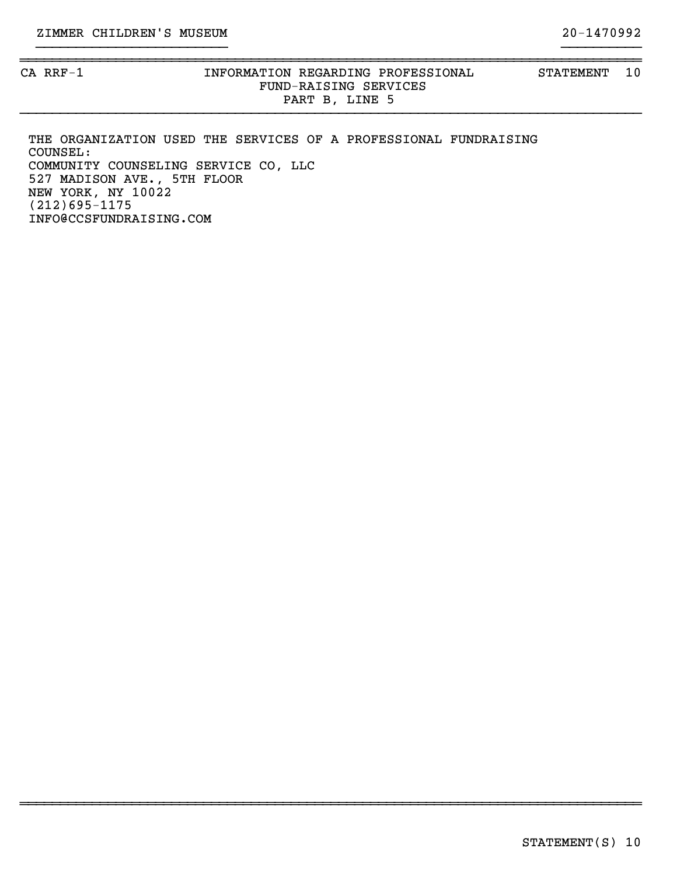## CA RRF-1 **INFORMATION REGARDING PROFESSIONAL** STATEMENT 10 FUND-RAISING SERVICES PART B, LINE 5

THE ORGANIZATION USED THE SERVICES OF A PROFESSIONAL FUNDRAISING COUNSEL: COMMUNITY COUNSELING SERVICE CO, LLC 527 MADISON AVE., 5TH FLOOR NEW YORK, NY 10022 (212)695-1175 INFO@CCSFUNDRAISING.COM

~~~~~~~~~~~~~~~~~~~~~~~~~~~~~~~~~~~~~~~~~~~~~~~~~~~~~~~~~~~~~~~~~~~~~~~~~~~~~~

}}}}}}}}}}}}}}}}}}}}}}}}}}}}}}}}}}}}}}}}}}}}}}}}}}}}}}}}}}}}}}}}}}}}}}}}}}}}}}

~~~~~~~~~~~~~~~~~~~~~~~~~~~~~~~~~~~~~~~~~~~~~~~~~~~~~~~~~~~~~~~~~~~~~~~~~~~~~~